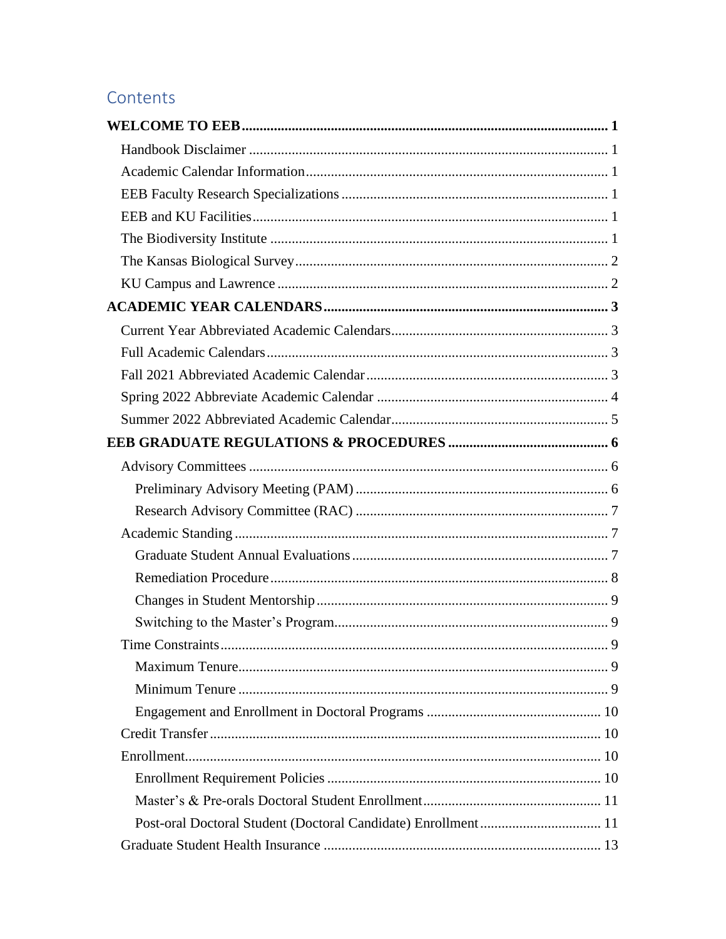# Contents

<span id="page-0-0"></span>

| 9 |
|---|
|   |
|   |
|   |
|   |
|   |
|   |
|   |
|   |
|   |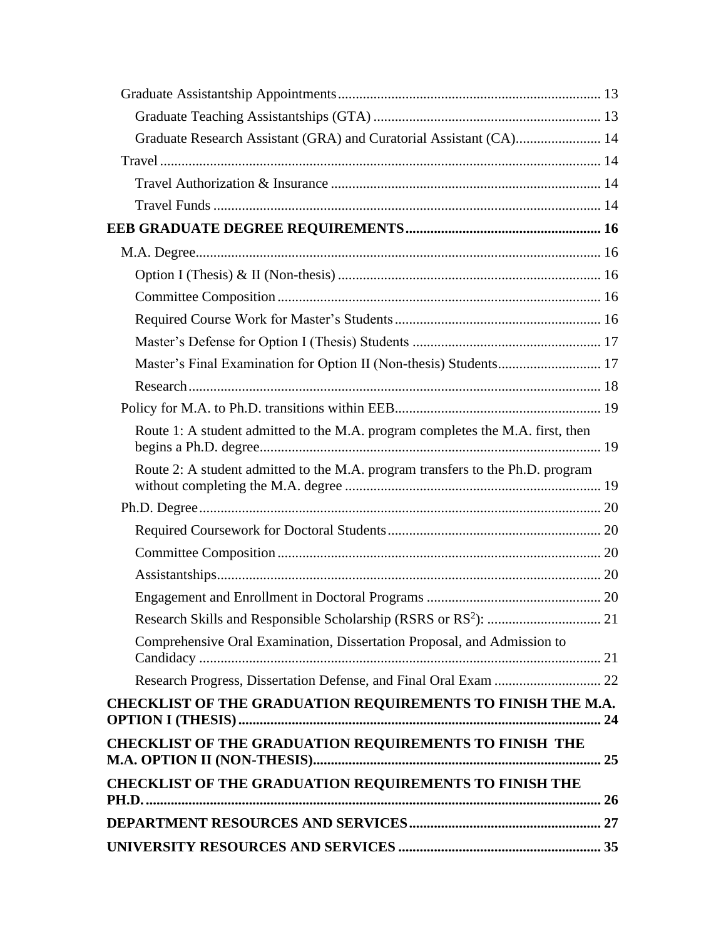| Graduate Research Assistant (GRA) and Curatorial Assistant (CA) 14             |  |
|--------------------------------------------------------------------------------|--|
|                                                                                |  |
|                                                                                |  |
|                                                                                |  |
|                                                                                |  |
|                                                                                |  |
|                                                                                |  |
|                                                                                |  |
|                                                                                |  |
|                                                                                |  |
|                                                                                |  |
|                                                                                |  |
|                                                                                |  |
| Route 1: A student admitted to the M.A. program completes the M.A. first, then |  |
| Route 2: A student admitted to the M.A. program transfers to the Ph.D. program |  |
|                                                                                |  |
|                                                                                |  |
|                                                                                |  |
|                                                                                |  |
|                                                                                |  |
|                                                                                |  |
| Comprehensive Oral Examination, Dissertation Proposal, and Admission to        |  |
|                                                                                |  |
| CHECKLIST OF THE GRADUATION REQUIREMENTS TO FINISH THE M.A.                    |  |
| <b>CHECKLIST OF THE GRADUATION REQUIREMENTS TO FINISH THE</b>                  |  |
| <b>CHECKLIST OF THE GRADUATION REQUIREMENTS TO FINISH THE</b>                  |  |
|                                                                                |  |
|                                                                                |  |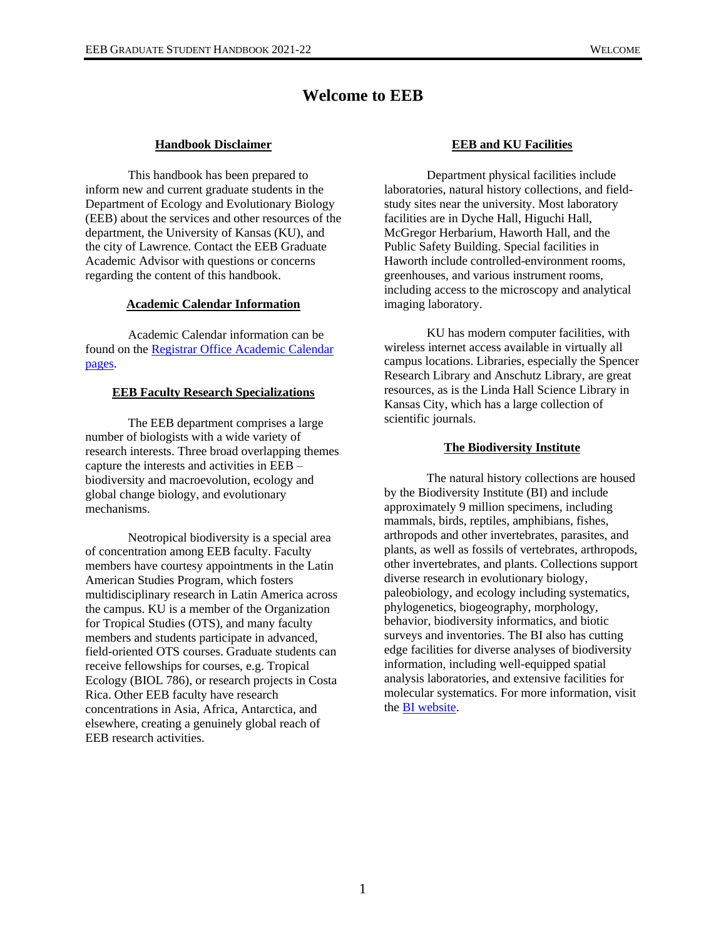# **Welcome to EEB**

# **Handbook Disclaimer**

<span id="page-3-1"></span><span id="page-3-0"></span>This handbook has been prepared to inform new and current graduate students in the Department of Ecology and Evolutionary Biology (EEB) about the services and other resources of the department, the University of Kansas (KU), and the city of Lawrence. Contact the EEB Graduate Academic Advisor with questions or concerns regarding the content of this handbook.

### **Academic Calendar Information**

<span id="page-3-2"></span>Academic Calendar information can be found on th[e Registrar Office Academic Calendar](https://registrar.ku.edu/calendar)  [pages.](https://registrar.ku.edu/calendar)

# <span id="page-3-3"></span>**EEB Faculty Research Specializations**

The EEB department comprises a large number of biologists with a wide variety of research interests. Three broad overlapping themes capture the interests and activities in EEB – biodiversity and macroevolution, ecology and global change biology, and evolutionary mechanisms.

Neotropical biodiversity is a special area of concentration among EEB faculty. Faculty members have courtesy appointments in the Latin American Studies Program, which fosters multidisciplinary research in Latin America across the campus. KU is a member of the Organization for Tropical Studies (OTS), and many faculty members and students participate in advanced, field-oriented OTS courses. Graduate students can receive fellowships for courses, e.g. Tropical Ecology (BIOL 786), or research projects in Costa Rica. Other EEB faculty have research concentrations in Asia, Africa, Antarctica, and elsewhere, creating a genuinely global reach of EEB research activities.

# **EEB and KU Facilities**

<span id="page-3-4"></span>Department physical facilities include laboratories, natural history collections, and fieldstudy sites near the university. Most laboratory facilities are in Dyche Hall, Higuchi Hall, McGregor Herbarium, Haworth Hall, and the Public Safety Building. Special facilities in Haworth include controlled-environment rooms, greenhouses, and various instrument rooms, including access to the microscopy and analytical imaging laboratory.

KU has modern computer facilities, with wireless internet access available in virtually all campus locations. Libraries, especially the Spencer Research Library and Anschutz Library, are great resources, as is the Linda Hall Science Library in Kansas City, which has a large collection of scientific journals.

# **The Biodiversity Institute**

<span id="page-3-5"></span>The natural history collections are housed by the Biodiversity Institute (BI) and include approximately 9 million specimens, including mammals, birds, reptiles, amphibians, fishes, arthropods and other invertebrates, parasites, and plants, as well as fossils of vertebrates, arthropods, other invertebrates, and plants. Collections support diverse research in evolutionary biology, paleobiology, and ecology including systematics, phylogenetics, biogeography, morphology, behavior, biodiversity informatics, and biotic surveys and inventories. The BI also has cutting edge facilities for diverse analyses of biodiversity information, including well-equipped spatial analysis laboratories, and extensive facilities for molecular systematics. For more information, visit the [BI website.](https://biodiversity.ku.edu/)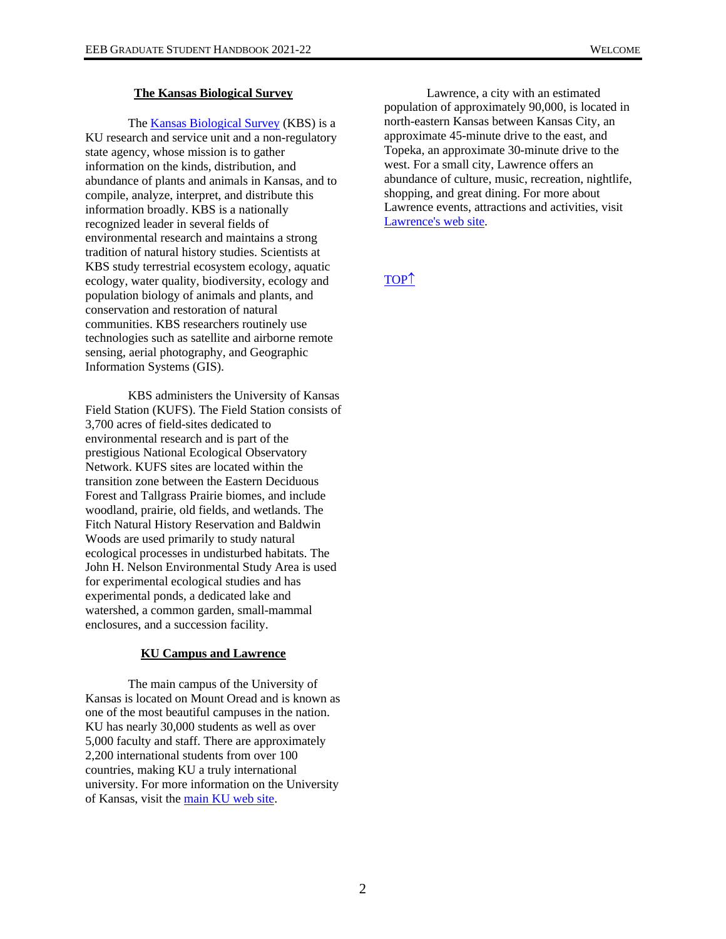#### **The Kansas Biological Survey**

<span id="page-4-0"></span>The [Kansas Biological Survey](http://biosurvey.ku.edu/) (KBS) is a KU research and service unit and a non-regulatory state agency, whose mission is to gather information on the kinds, distribution, and abundance of plants and animals in Kansas, and to compile, analyze, interpret, and distribute this information broadly. KBS is a nationally recognized leader in several fields of environmental research and maintains a strong tradition of natural history studies. Scientists at KBS study terrestrial ecosystem ecology, aquatic ecology, water quality, biodiversity, ecology and population biology of animals and plants, and conservation and restoration of natural communities. KBS researchers routinely use technologies such as satellite and airborne remote sensing, aerial photography, and Geographic Information Systems (GIS).

KBS administers the University of Kansas Field Station (KUFS). The Field Station consists of 3,700 acres of field-sites dedicated to environmental research and is part of the prestigious National Ecological Observatory Network. KUFS sites are located within the transition zone between the Eastern Deciduous Forest and Tallgrass Prairie biomes, and include woodland, prairie, old fields, and wetlands. The Fitch Natural History Reservation and Baldwin Woods are used primarily to study natural ecological processes in undisturbed habitats. The John H. Nelson Environmental Study Area is used for experimental ecological studies and has experimental ponds, a dedicated lake and watershed, a common garden, small-mammal enclosures, and a succession facility.

# **KU Campus and Lawrence**

<span id="page-4-1"></span>The main campus of the University of Kansas is located on Mount Oread and is known as one of the most beautiful campuses in the nation. KU has nearly 30,000 students as well as over 5,000 faculty and staff. There are approximately 2,200 international students from over 100 countries, making KU a truly international university. For more information on the University of Kansas, visit the [main KU web site.](https://www.ku.edu/)

Lawrence, a city with an estimated population of approximately 90,000, is located in north-eastern Kansas between Kansas City, an approximate 45-minute drive to the east, and Topeka, an approximate 30-minute drive to the west. For a small city, Lawrence offers an abundance of culture, music, recreation, nightlife, shopping, and great dining. For more about Lawrence events, attractions and activities, visit [Lawrence's web site.](http://www.lawrence.com/)

[TOP](#page-0-0)<sup>1</sup>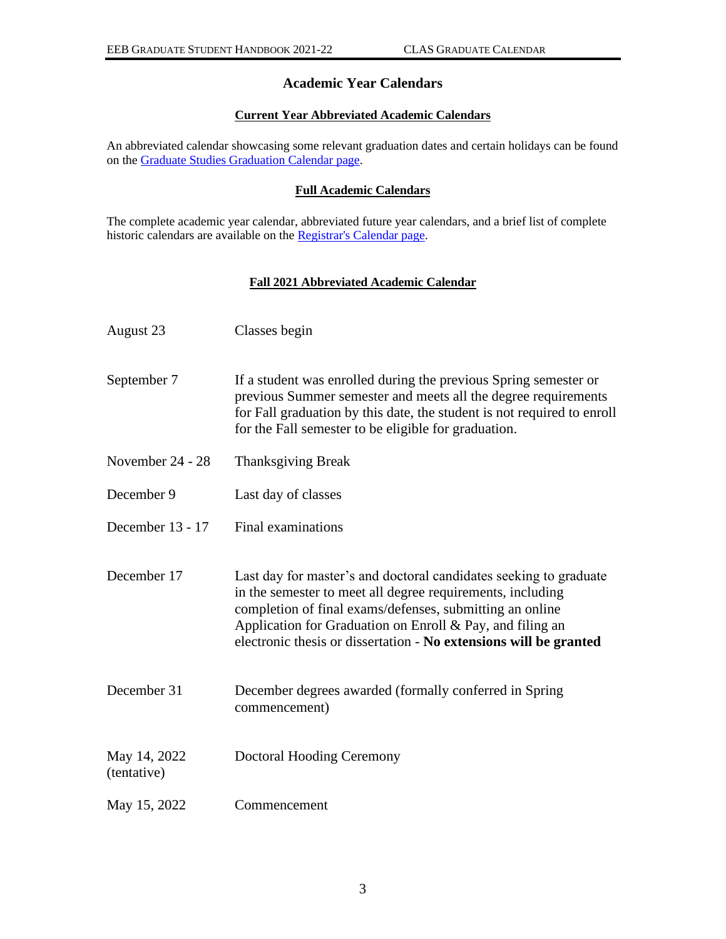# **Academic Year Calendars**

# **Current Year Abbreviated Academic Calendars**

<span id="page-5-1"></span><span id="page-5-0"></span>An abbreviated calendar showcasing some relevant graduation dates and certain holidays can be found on th[e Graduate Studies Graduation Calendar page.](http://graduate.ku.edu/graduation)

# **Full Academic Calendars**

<span id="page-5-2"></span>The complete academic year calendar, abbreviated future year calendars, and a brief list of complete historic calendars are available on the [Registrar's Calendar page.](https://registrar.ku.edu/calendar)

# **Fall 2021 Abbreviated Academic Calendar**

<span id="page-5-3"></span>

| August 23                   | Classes begin                                                                                                                                                                                                                                                                                                                    |
|-----------------------------|----------------------------------------------------------------------------------------------------------------------------------------------------------------------------------------------------------------------------------------------------------------------------------------------------------------------------------|
| September 7                 | If a student was enrolled during the previous Spring semester or<br>previous Summer semester and meets all the degree requirements<br>for Fall graduation by this date, the student is not required to enroll<br>for the Fall semester to be eligible for graduation.                                                            |
| November 24 - 28            | <b>Thanksgiving Break</b>                                                                                                                                                                                                                                                                                                        |
| December 9                  | Last day of classes                                                                                                                                                                                                                                                                                                              |
| December 13 - 17            | Final examinations                                                                                                                                                                                                                                                                                                               |
| December 17                 | Last day for master's and doctoral candidates seeking to graduate<br>in the semester to meet all degree requirements, including<br>completion of final exams/defenses, submitting an online<br>Application for Graduation on Enroll $& Pay$ , and filing an<br>electronic thesis or dissertation - No extensions will be granted |
| December 31                 | December degrees awarded (formally conferred in Spring)<br>commencement)                                                                                                                                                                                                                                                         |
| May 14, 2022<br>(tentative) | Doctoral Hooding Ceremony                                                                                                                                                                                                                                                                                                        |
| May 15, 2022                | Commencement                                                                                                                                                                                                                                                                                                                     |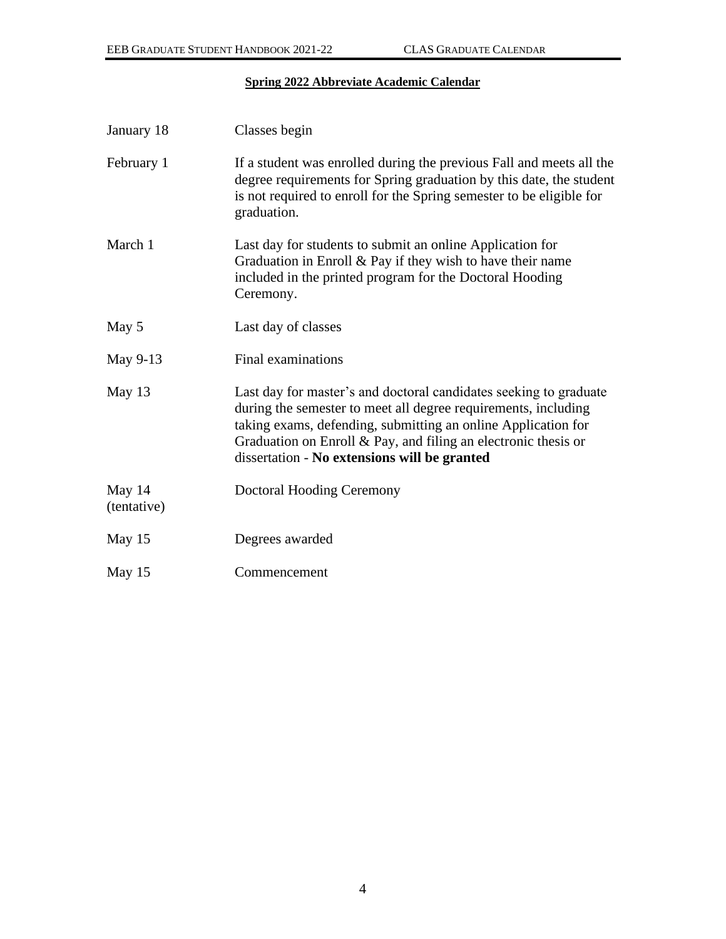# **Spring 2022 Abbreviate Academic Calendar**

<span id="page-6-0"></span>

| January 18            | Classes begin                                                                                                                                                                                                                                                                                                             |
|-----------------------|---------------------------------------------------------------------------------------------------------------------------------------------------------------------------------------------------------------------------------------------------------------------------------------------------------------------------|
| February 1            | If a student was enrolled during the previous Fall and meets all the<br>degree requirements for Spring graduation by this date, the student<br>is not required to enroll for the Spring semester to be eligible for<br>graduation.                                                                                        |
| March 1               | Last day for students to submit an online Application for<br>Graduation in Enroll $&$ Pay if they wish to have their name<br>included in the printed program for the Doctoral Hooding<br>Ceremony.                                                                                                                        |
| May 5                 | Last day of classes                                                                                                                                                                                                                                                                                                       |
| May 9-13              | Final examinations                                                                                                                                                                                                                                                                                                        |
| May 13                | Last day for master's and doctoral candidates seeking to graduate<br>during the semester to meet all degree requirements, including<br>taking exams, defending, submitting an online Application for<br>Graduation on Enroll $& Pay$ , and filing an electronic thesis or<br>dissertation - No extensions will be granted |
| May 14<br>(tentative) | <b>Doctoral Hooding Ceremony</b>                                                                                                                                                                                                                                                                                          |
| May 15                | Degrees awarded                                                                                                                                                                                                                                                                                                           |
| May 15                | Commencement                                                                                                                                                                                                                                                                                                              |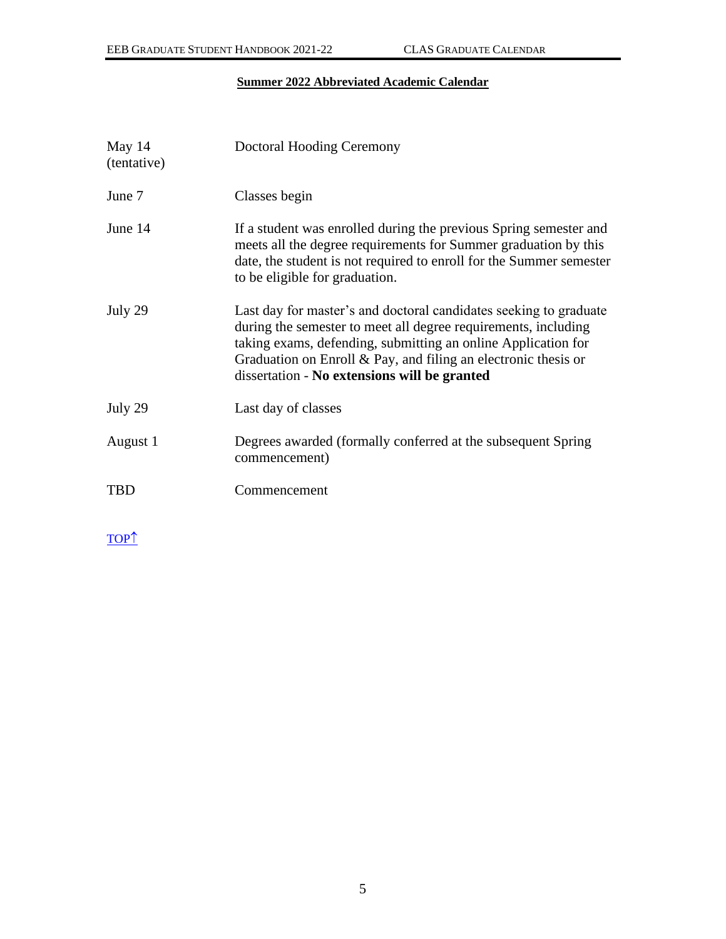# **Summer 2022 Abbreviated Academic Calendar**

<span id="page-7-0"></span>

| May 14<br>(tentative) | Doctoral Hooding Ceremony                                                                                                                                                                                                                                                                                                 |
|-----------------------|---------------------------------------------------------------------------------------------------------------------------------------------------------------------------------------------------------------------------------------------------------------------------------------------------------------------------|
| June 7                | Classes begin                                                                                                                                                                                                                                                                                                             |
| June 14               | If a student was enrolled during the previous Spring semester and<br>meets all the degree requirements for Summer graduation by this<br>date, the student is not required to enroll for the Summer semester<br>to be eligible for graduation.                                                                             |
| July 29               | Last day for master's and doctoral candidates seeking to graduate<br>during the semester to meet all degree requirements, including<br>taking exams, defending, submitting an online Application for<br>Graduation on Enroll $\&$ Pay, and filing an electronic thesis or<br>dissertation - No extensions will be granted |
| July 29               | Last day of classes                                                                                                                                                                                                                                                                                                       |
| August 1              | Degrees awarded (formally conferred at the subsequent Spring)<br>commencement)                                                                                                                                                                                                                                            |
| <b>TBD</b>            | Commencement                                                                                                                                                                                                                                                                                                              |

[TOP](#page-0-0)<sup>1</sup>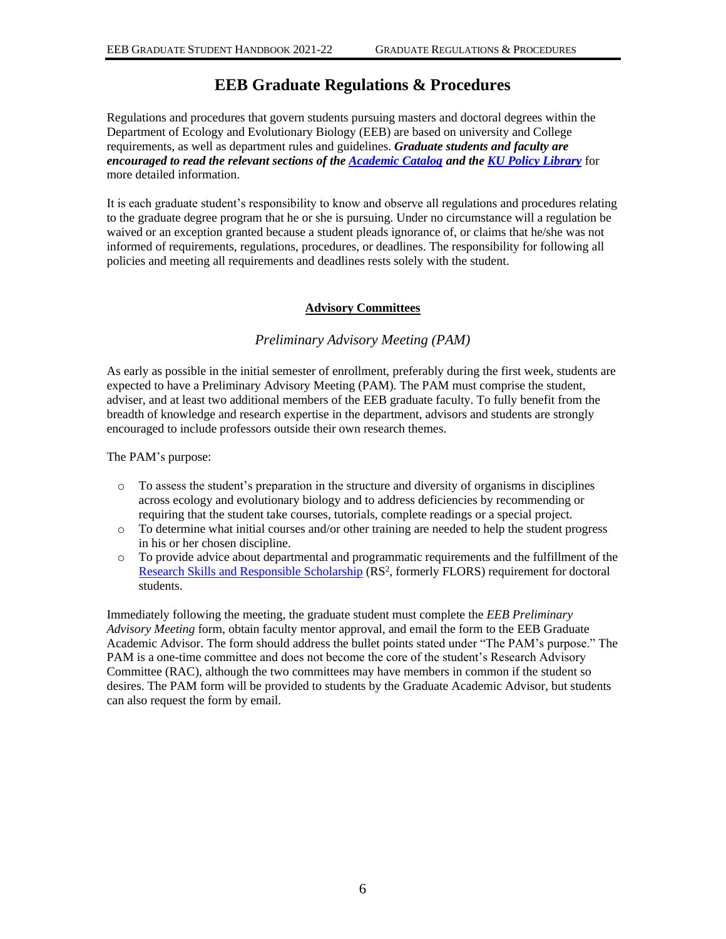# **EEB Graduate Regulations & Procedures**

<span id="page-8-0"></span>Regulations and procedures that govern students pursuing masters and doctoral degrees within the Department of Ecology and Evolutionary Biology (EEB) are based on university and College requirements, as well as department rules and guidelines. *Graduate students and faculty are encouraged to read the relevant sections of the [Academic Catalog](http://catalog.ku.edu/liberal-arts-sciences/) and the [KU Policy Library](http://policy.ku.edu/)* for more detailed information.

It is each graduate student's responsibility to know and observe all regulations and procedures relating to the graduate degree program that he or she is pursuing. Under no circumstance will a regulation be waived or an exception granted because a student pleads ignorance of, or claims that he/she was not informed of requirements, regulations, procedures, or deadlines. The responsibility for following all policies and meeting all requirements and deadlines rests solely with the student.

# **Advisory Committees**

# *Preliminary Advisory Meeting (PAM)*

<span id="page-8-2"></span><span id="page-8-1"></span>As early as possible in the initial semester of enrollment, preferably during the first week, students are expected to have a Preliminary Advisory Meeting (PAM). The PAM must comprise the student, adviser, and at least two additional members of the EEB graduate faculty. To fully benefit from the breadth of knowledge and research expertise in the department, advisors and students are strongly encouraged to include professors outside their own research themes.

The PAM's purpose:

- o To assess the student's preparation in the structure and diversity of organisms in disciplines across ecology and evolutionary biology and to address deficiencies by recommending or requiring that the student take courses, tutorials, complete readings or a special project.
- o To determine what initial courses and/or other training are needed to help the student progress in his or her chosen discipline.
- o To provide advice about departmental and programmatic requirements and the fulfillment of the [Research Skills and Responsible Scholarship](https://policy.ku.edu/graduate-studies/research-skills-responsible-scholarship) (RS<sup>2</sup>, formerly FLORS) requirement for doctoral students.

Immediately following the meeting, the graduate student must complete the *EEB Preliminary Advisory Meeting* form, obtain faculty mentor approval, and email the form to the EEB Graduate Academic Advisor. The form should address the bullet points stated under "The PAM's purpose." The PAM is a one-time committee and does not become the core of the student's Research Advisory Committee (RAC), although the two committees may have members in common if the student so desires. The PAM form will be provided to students by the Graduate Academic Advisor, but students can also request the form by email.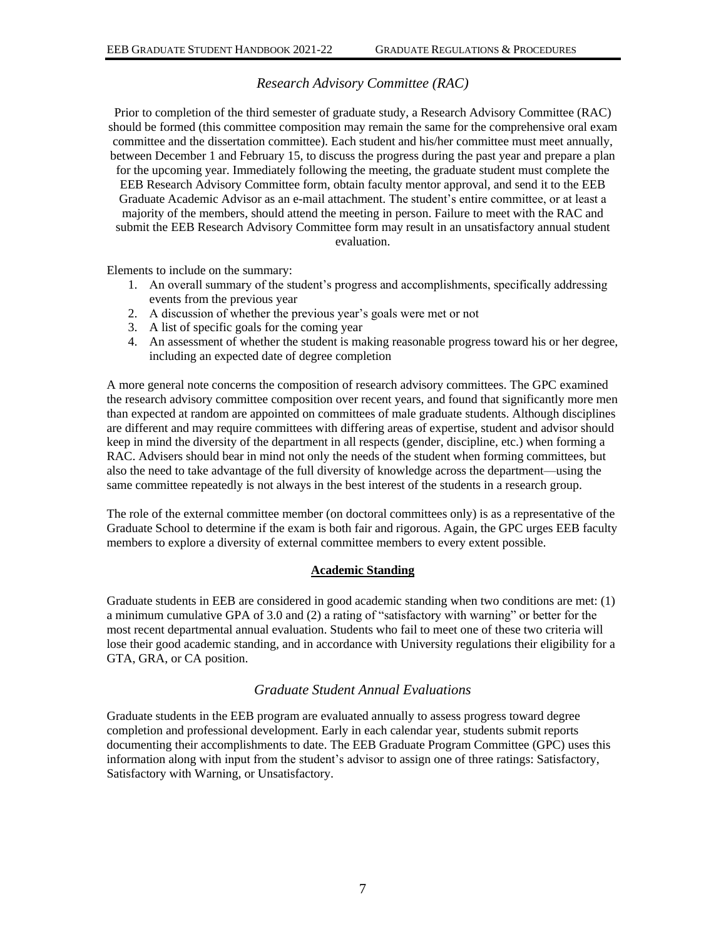# *Research Advisory Committee (RAC)*

<span id="page-9-0"></span>Prior to completion of the third semester of graduate study, a Research Advisory Committee (RAC) should be formed (this committee composition may remain the same for the comprehensive oral exam committee and the dissertation committee). Each student and his/her committee must meet annually, between December 1 and February 15, to discuss the progress during the past year and prepare a plan for the upcoming year. Immediately following the meeting, the graduate student must complete the EEB Research Advisory Committee form, obtain faculty mentor approval, and send it to the EEB Graduate Academic Advisor as an e-mail attachment. The student's entire committee, or at least a majority of the members, should attend the meeting in person. Failure to meet with the RAC and submit the EEB Research Advisory Committee form may result in an unsatisfactory annual student evaluation.

Elements to include on the summary:

- 1. An overall summary of the student's progress and accomplishments, specifically addressing events from the previous year
- 2. A discussion of whether the previous year's goals were met or not
- 3. A list of specific goals for the coming year
- 4. An assessment of whether the student is making reasonable progress toward his or her degree, including an expected date of degree completion

A more general note concerns the composition of research advisory committees. The GPC examined the research advisory committee composition over recent years, and found that significantly more men than expected at random are appointed on committees of male graduate students. Although disciplines are different and may require committees with differing areas of expertise, student and advisor should keep in mind the diversity of the department in all respects (gender, discipline, etc.) when forming a RAC. Advisers should bear in mind not only the needs of the student when forming committees, but also the need to take advantage of the full diversity of knowledge across the department—using the same committee repeatedly is not always in the best interest of the students in a research group.

The role of the external committee member (on doctoral committees only) is as a representative of the Graduate School to determine if the exam is both fair and rigorous. Again, the GPC urges EEB faculty members to explore a diversity of external committee members to every extent possible.

#### **Academic Standing**

<span id="page-9-1"></span>Graduate students in EEB are considered in good academic standing when two conditions are met: (1) a minimum cumulative GPA of 3.0 and (2) a rating of "satisfactory with warning" or better for the most recent departmental annual evaluation. Students who fail to meet one of these two criteria will lose their good academic standing, and in accordance with University regulations their eligibility for a GTA, GRA, or CA position.

# *Graduate Student Annual Evaluations*

<span id="page-9-2"></span>Graduate students in the EEB program are evaluated annually to assess progress toward degree completion and professional development. Early in each calendar year, students submit reports documenting their accomplishments to date. The EEB Graduate Program Committee (GPC) uses this information along with input from the student's advisor to assign one of three ratings: Satisfactory, Satisfactory with Warning, or Unsatisfactory.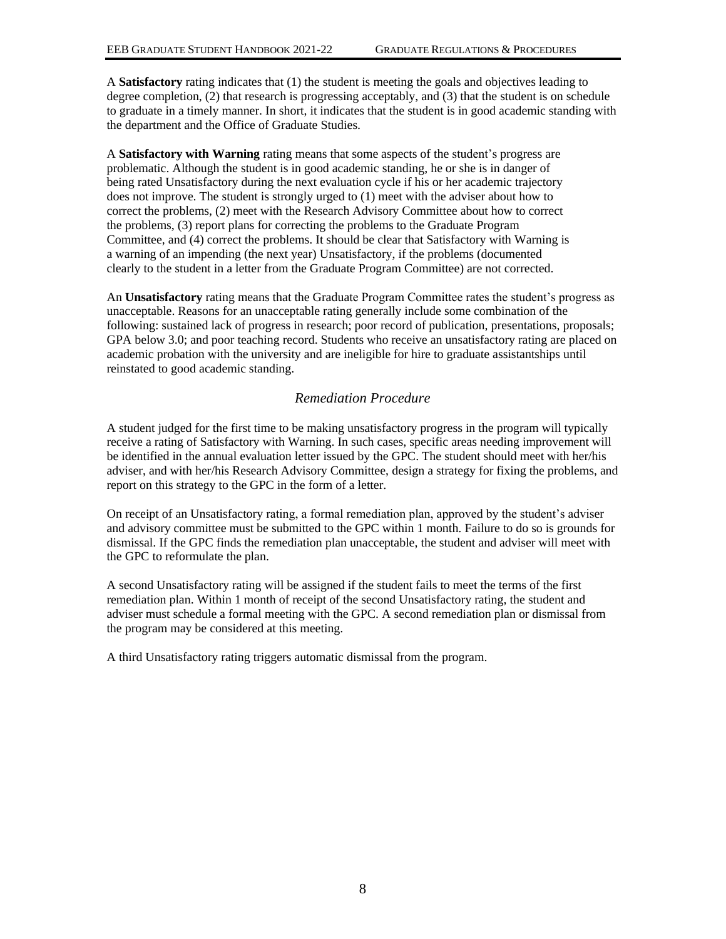A **Satisfactory** rating indicates that (1) the student is meeting the goals and objectives leading to degree completion, (2) that research is progressing acceptably, and (3) that the student is on schedule to graduate in a timely manner. In short, it indicates that the student is in good academic standing with the department and the Office of Graduate Studies.

A **Satisfactory with Warning** rating means that some aspects of the student's progress are problematic. Although the student is in good academic standing, he or she is in danger of being rated Unsatisfactory during the next evaluation cycle if his or her academic trajectory does not improve. The student is strongly urged to (1) meet with the adviser about how to correct the problems, (2) meet with the Research Advisory Committee about how to correct the problems, (3) report plans for correcting the problems to the Graduate Program Committee, and (4) correct the problems. It should be clear that Satisfactory with Warning is a warning of an impending (the next year) Unsatisfactory, if the problems (documented clearly to the student in a letter from the Graduate Program Committee) are not corrected.

An **Unsatisfactory** rating means that the Graduate Program Committee rates the student's progress as unacceptable. Reasons for an unacceptable rating generally include some combination of the following: sustained lack of progress in research; poor record of publication, presentations, proposals; GPA below 3.0; and poor teaching record. Students who receive an unsatisfactory rating are placed on academic probation with the university and are ineligible for hire to graduate assistantships until reinstated to good academic standing.

# *Remediation Procedure*

<span id="page-10-0"></span>A student judged for the first time to be making unsatisfactory progress in the program will typically receive a rating of Satisfactory with Warning. In such cases, specific areas needing improvement will be identified in the annual evaluation letter issued by the GPC. The student should meet with her/his adviser, and with her/his Research Advisory Committee, design a strategy for fixing the problems, and report on this strategy to the GPC in the form of a letter.

On receipt of an Unsatisfactory rating, a formal remediation plan, approved by the student's adviser and advisory committee must be submitted to the GPC within 1 month. Failure to do so is grounds for dismissal. If the GPC finds the remediation plan unacceptable, the student and adviser will meet with the GPC to reformulate the plan.

A second Unsatisfactory rating will be assigned if the student fails to meet the terms of the first remediation plan. Within 1 month of receipt of the second Unsatisfactory rating, the student and adviser must schedule a formal meeting with the GPC. A second remediation plan or dismissal from the program may be considered at this meeting.

A third Unsatisfactory rating triggers automatic dismissal from the program.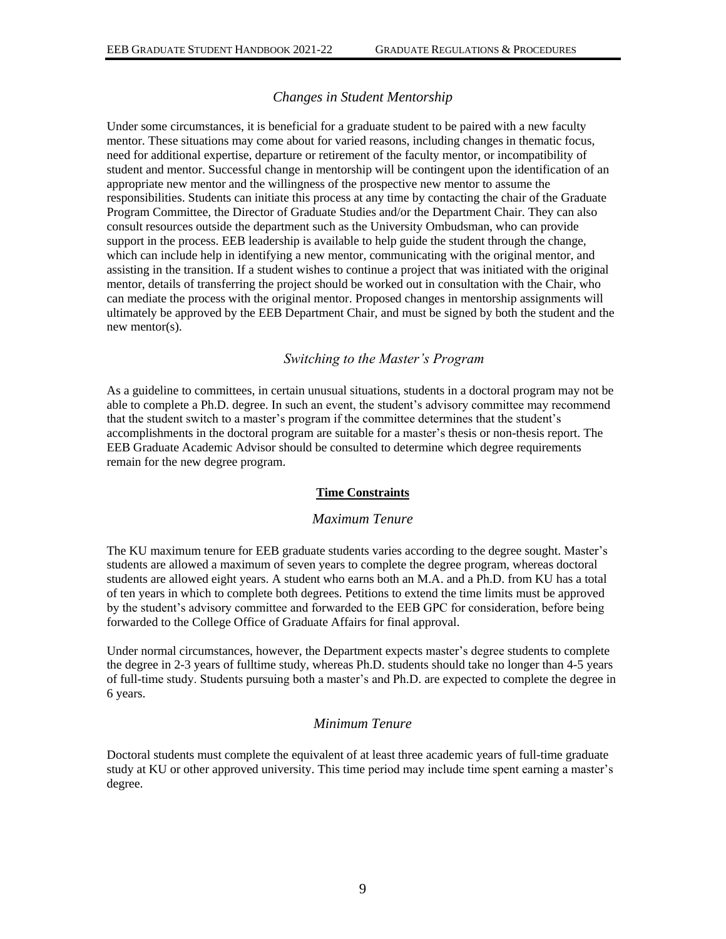# *Changes in Student Mentorship*

<span id="page-11-0"></span>Under some circumstances, it is beneficial for a graduate student to be paired with a new faculty mentor. These situations may come about for varied reasons, including changes in thematic focus, need for additional expertise, departure or retirement of the faculty mentor, or incompatibility of student and mentor. Successful change in mentorship will be contingent upon the identification of an appropriate new mentor and the willingness of the prospective new mentor to assume the responsibilities. Students can initiate this process at any time by contacting the chair of the Graduate Program Committee, the Director of Graduate Studies and/or the Department Chair. They can also consult resources outside the department such as the University Ombudsman, who can provide support in the process. EEB leadership is available to help guide the student through the change, which can include help in identifying a new mentor, communicating with the original mentor, and assisting in the transition. If a student wishes to continue a project that was initiated with the original mentor, details of transferring the project should be worked out in consultation with the Chair, who can mediate the process with the original mentor. Proposed changes in mentorship assignments will ultimately be approved by the EEB Department Chair, and must be signed by both the student and the new mentor(s).

# *Switching to the Master's Program*

<span id="page-11-1"></span>As a guideline to committees, in certain unusual situations, students in a doctoral program may not be able to complete a Ph.D. degree. In such an event, the student's advisory committee may recommend that the student switch to a master's program if the committee determines that the student's accomplishments in the doctoral program are suitable for a master's thesis or non-thesis report. The EEB Graduate Academic Advisor should be consulted to determine which degree requirements remain for the new degree program.

#### **Time Constraints**

#### *Maximum Tenure*

<span id="page-11-3"></span><span id="page-11-2"></span>The KU maximum tenure for EEB graduate students varies according to the degree sought. Master's students are allowed a maximum of seven years to complete the degree program, whereas doctoral students are allowed eight years. A student who earns both an M.A. and a Ph.D. from KU has a total of ten years in which to complete both degrees. Petitions to extend the time limits must be approved by the student's advisory committee and forwarded to the EEB GPC for consideration, before being forwarded to the College Office of Graduate Affairs for final approval.

Under normal circumstances, however, the Department expects master's degree students to complete the degree in 2-3 years of fulltime study, whereas Ph.D. students should take no longer than 4-5 years of full-time study. Students pursuing both a master's and Ph.D. are expected to complete the degree in 6 years.

### *Minimum Tenure*

<span id="page-11-4"></span>Doctoral students must complete the equivalent of at least three academic years of full-time graduate study at KU or other approved university. This time period may include time spent earning a master's degree.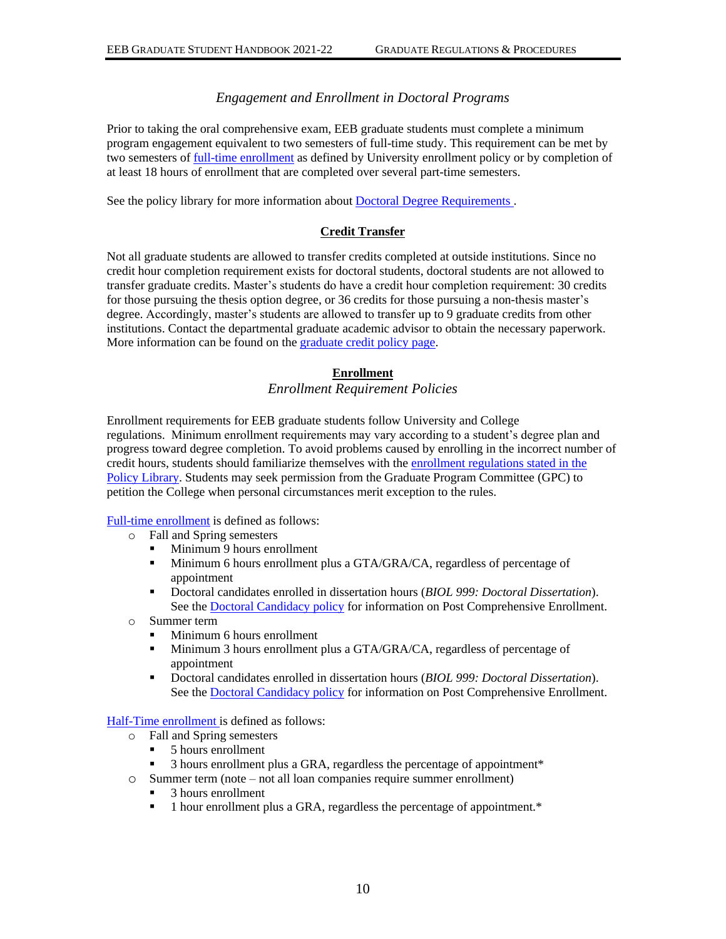# *Engagement and Enrollment in Doctoral Programs*

<span id="page-12-0"></span>Prior to taking the oral comprehensive exam, EEB graduate students must complete a minimum program engagement equivalent to two semesters of full-time study. This requirement can be met by two semesters of [full-time enrollment](https://policy.ku.edu/graduate-studies/fulltime-enrollment) as defined by University enrollment policy or by completion of at least 18 hours of enrollment that are completed over several part-time semesters.

See the policy library for more information about Doctoral [Degree Requirements](https://policy.ku.edu/graduate-studies/doctoral-degree-requirements) .

# **Credit Transfer**

<span id="page-12-1"></span>Not all graduate students are allowed to transfer credits completed at outside institutions. Since no credit hour completion requirement exists for doctoral students, doctoral students are not allowed to transfer graduate credits. Master's students do have a credit hour completion requirement: 30 credits for those pursuing the thesis option degree, or 36 credits for those pursuing a non-thesis master's degree. Accordingly, master's students are allowed to transfer up to 9 graduate credits from other institutions. Contact the departmental graduate academic advisor to obtain the necessary paperwork. More information can be found on the [graduate credit](http://policy.ku.edu/graduate-studies/graduate-credit) policy page.

### **Enrollment**

*Enrollment Requirement Policies*

<span id="page-12-3"></span><span id="page-12-2"></span>Enrollment requirements for EEB graduate students follow University and College regulations. Minimum enrollment requirements may vary according to a student's degree plan and progress toward degree completion. To avoid problems caused by enrolling in the incorrect number of credit hours, students should familiarize themselves with the [enrollment regulations stated in the](http://policy.ku.edu/graduate-studies/fulltime-enrollment)  [Policy Library.](http://policy.ku.edu/graduate-studies/fulltime-enrollment) Students may seek permission from the Graduate Program Committee (GPC) to petition the College when personal circumstances merit exception to the rules.

[Full-time enrollment](http://policy.ku.edu/graduate-studies/fulltime-enrollment) is defined as follows:

- o Fall and Spring semesters
	- Minimum 9 hours enrollment
	- **EXECUTE:** Minimum 6 hours enrollment plus a GTA/GRA/CA, regardless of percentage of appointment
	- Doctoral candidates enrolled in dissertation hours (*BIOL 999: Doctoral Dissertation*). See the [Doctoral Candidacy](http://policy.ku.edu/graduate-studies/doctoral-candidacy) policy for information on Post Comprehensive Enrollment.
- o Summer term
	- Minimum 6 hours enrollment
	- **I** Minimum 3 hours enrollment plus a GTA/GRA/CA, regardless of percentage of appointment
	- Doctoral candidates enrolled in dissertation hours (*BIOL 999: Doctoral Dissertation*). See the [Doctoral Candidacy policy](http://policy.ku.edu/graduate-studies/doctoral-candidacy) for information on Post Comprehensive Enrollment.

[Half-Time enrollment i](http://policy.ku.edu/graduate-studies/fulltime-enrollment)s defined as follows:

- o Fall and Spring semesters
	- 5 hours enrollment
	- 3 hours enrollment plus a GRA, regardless the percentage of appointment\*
- o Summer term (note not all loan companies require summer enrollment)
	- 3 hours enrollment
	- 1 hour enrollment plus a GRA, regardless the percentage of appointment.<sup>\*</sup>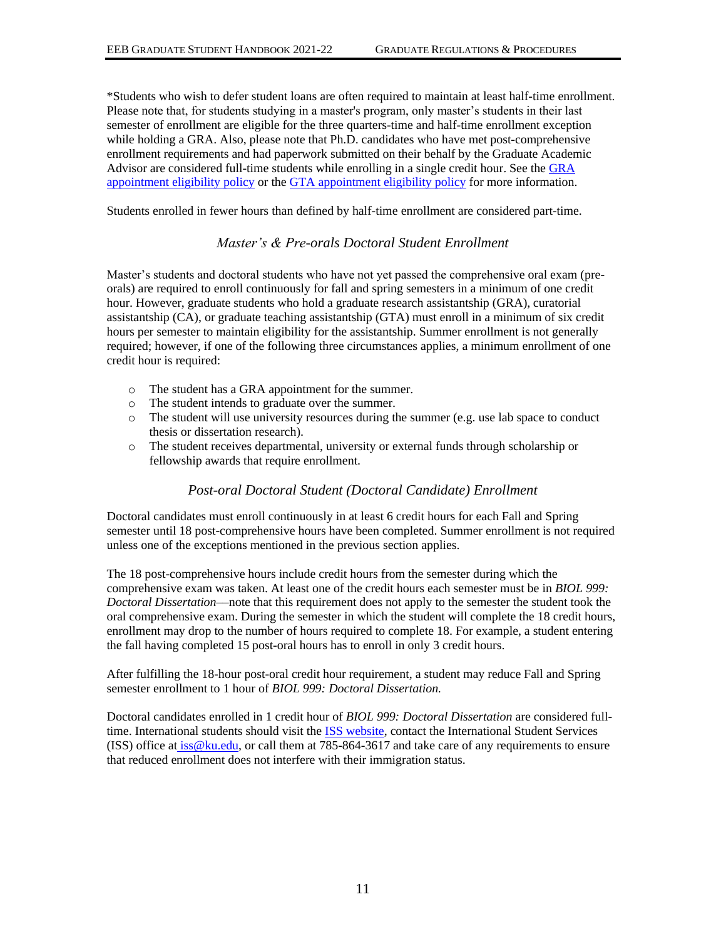\*Students who wish to defer student loans are often required to maintain at least half-time enrollment. Please note that, for students studying in a master's program, only master's students in their last semester of enrollment are eligible for the three quarters-time and half-time enrollment exception while holding a GRA. Also, please note that Ph.D. candidates who have met post-comprehensive enrollment requirements and had paperwork submitted on their behalf by the Graduate Academic Advisor are considered full-time students while enrolling in a single credit hour. See the [GRA](https://policy.ku.edu/graduate-studies/GRA-appointment-eligibility)  [appointment eligibility policy](https://policy.ku.edu/graduate-studies/GRA-appointment-eligibility) or the [GTA appointment eligibility policy](https://policy.ku.edu/graduate-studies/GTA-appointment-eligibility) for more information.

<span id="page-13-0"></span>Students enrolled in fewer hours than defined by half-time enrollment are considered part-time.

# *Master's & Pre-orals Doctoral Student Enrollment*

Master's students and doctoral students who have not yet passed the comprehensive oral exam (preorals) are required to enroll continuously for fall and spring semesters in a minimum of one credit hour. However, graduate students who hold a graduate research assistantship (GRA), curatorial assistantship (CA), or graduate teaching assistantship (GTA) must enroll in a minimum of six credit hours per semester to maintain eligibility for the assistantship. Summer enrollment is not generally required; however, if one of the following three circumstances applies, a minimum enrollment of one credit hour is required:

- o The student has a GRA appointment for the summer.
- o The student intends to graduate over the summer.
- o The student will use university resources during the summer (e.g. use lab space to conduct thesis or dissertation research).
- o The student receives departmental, university or external funds through scholarship or fellowship awards that require enrollment.

# *Post-oral Doctoral Student (Doctoral Candidate) Enrollment*

<span id="page-13-1"></span>Doctoral candidates must enroll continuously in at least 6 credit hours for each Fall and Spring semester until 18 post-comprehensive hours have been completed. Summer enrollment is not required unless one of the exceptions mentioned in the previous section applies.

The 18 post-comprehensive hours include credit hours from the semester during which the comprehensive exam was taken. At least one of the credit hours each semester must be in *BIOL 999: Doctoral Dissertation*––note that this requirement does not apply to the semester the student took the oral comprehensive exam. During the semester in which the student will complete the 18 credit hours, enrollment may drop to the number of hours required to complete 18. For example, a student entering the fall having completed 15 post-oral hours has to enroll in only 3 credit hours.

After fulfilling the 18-hour post-oral credit hour requirement, a student may reduce Fall and Spring semester enrollment to 1 hour of *BIOL 999: Doctoral Dissertation.*

Doctoral candidates enrolled in 1 credit hour of *BIOL 999: Doctoral Dissertation* are considered full-time. International students should visit the [ISS website,](http://iss.ku.edu/) contact the International Student Services (ISS) office at iss@ku.edu, or call them at 785-864-3617 and take care of any requirements to ensure that reduced enrollment does not interfere with their immigration status.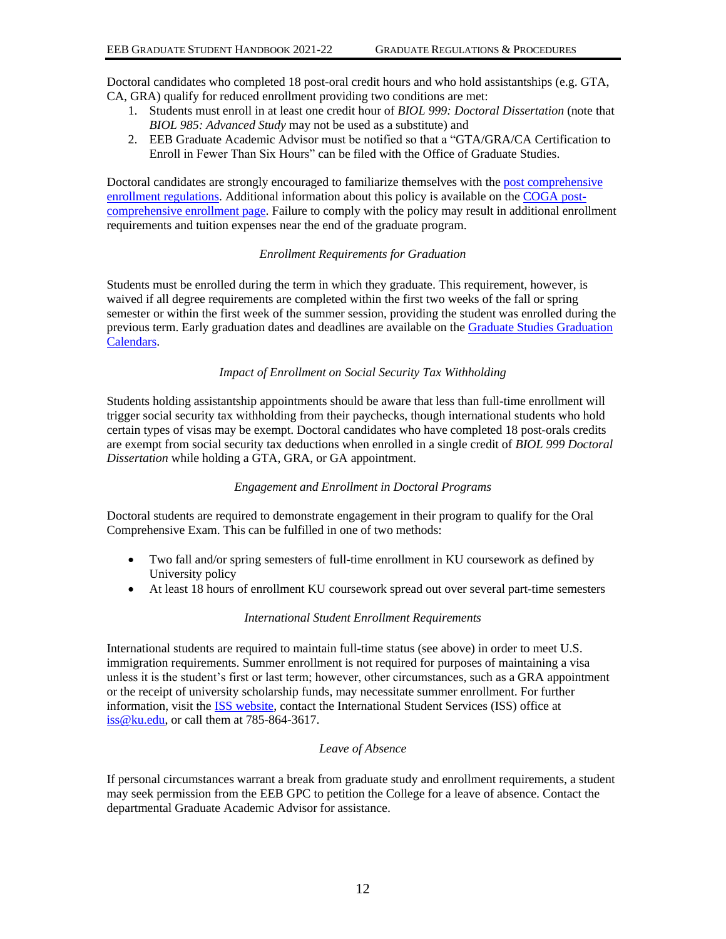Doctoral candidates who completed 18 post-oral credit hours and who hold assistantships (e.g. GTA, CA, GRA) qualify for reduced enrollment providing two conditions are met:

- 1. Students must enroll in at least one credit hour of *BIOL 999: Doctoral Dissertation* (note that *BIOL 985: Advanced Study* may not be used as a substitute) and
- 2. EEB Graduate Academic Advisor must be notified so that a "GTA/GRA/CA Certification to Enroll in Fewer Than Six Hours" can be filed with the Office of Graduate Studies.

Doctoral candidates are strongly encouraged to familiarize themselves with the post comprehensive [enrollment regulations.](https://policy.ku.edu/graduate-studies/doctoral-candidacy) Additional information about this policy is available on the [COGA post](http://coga.ku.edu/progress-to-degree/enrollment/post-comprehensive-enrollment)[comprehensive enrollment page.](http://coga.ku.edu/progress-to-degree/enrollment/post-comprehensive-enrollment) Failure to comply with the policy may result in additional enrollment requirements and tuition expenses near the end of the graduate program.

#### *Enrollment Requirements for Graduation*

Students must be enrolled during the term in which they graduate. This requirement, however, is waived if all degree requirements are completed within the first two weeks of the fall or spring semester or within the first week of the summer session, providing the student was enrolled during the previous term. Early graduation dates and deadlines are available on the [Graduate Studies Graduation](http://graduate.ku.edu/graduation) [Calendars.](http://graduate.ku.edu/graduation)

### *Impact of Enrollment on Social Security Tax Withholding*

Students holding assistantship appointments should be aware that less than full-time enrollment will trigger social security tax withholding from their paychecks, though international students who hold certain types of visas may be exempt. Doctoral candidates who have completed 18 post-orals credits are exempt from social security tax deductions when enrolled in a single credit of *BIOL 999 Doctoral Dissertation* while holding a GTA, GRA, or GA appointment.

#### *Engagement and Enrollment in Doctoral Programs*

Doctoral students are required to demonstrate engagement in their program to qualify for the Oral Comprehensive Exam. This can be fulfilled in one of two methods:

- Two fall and/or spring semesters of full-time enrollment in KU coursework as defined by University policy
- At least 18 hours of enrollment KU coursework spread out over several part-time semesters

#### *International Student Enrollment Requirements*

International students are required to maintain full-time status (see above) in order to meet U.S. immigration requirements. Summer enrollment is not required for purposes of maintaining a visa unless it is the student's first or last term; however, other circumstances, such as a GRA appointment or the receipt of university scholarship funds, may necessitate summer enrollment. For further information, visit the [ISS website,](http://iss.ku.edu/) contact the International Student Services (ISS) office at iss@ku.edu, or call them at 785-864-3617.

### *Leave of Absence*

If personal circumstances warrant a break from graduate study and enrollment requirements, a student may seek permission from the EEB GPC to petition the College for a leave of absence. Contact the departmental Graduate Academic Advisor for assistance.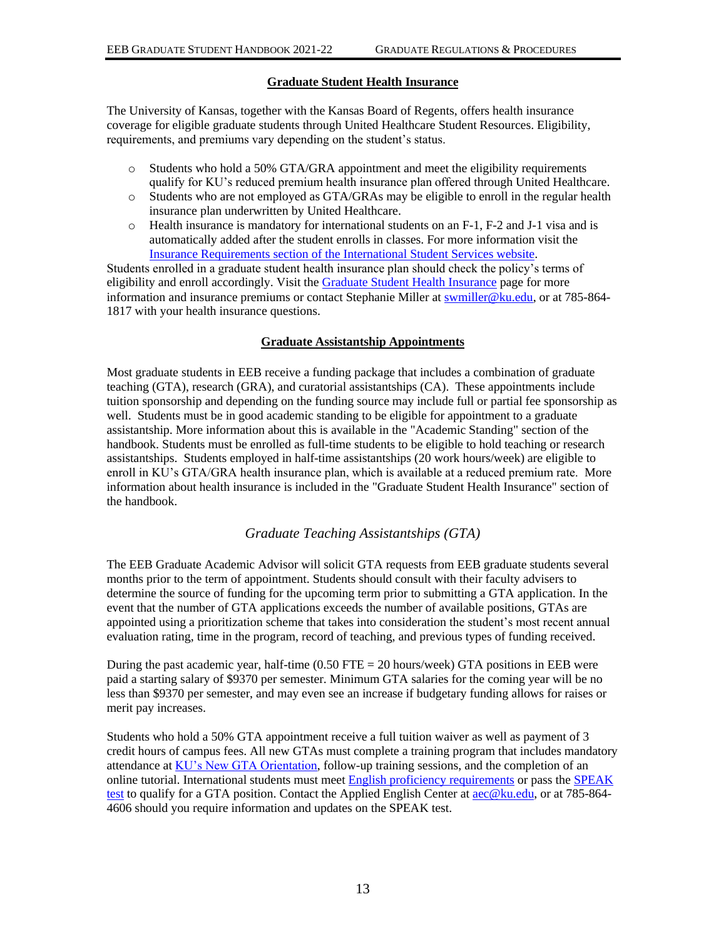# **Graduate Student Health Insurance**

<span id="page-15-0"></span>The University of Kansas, together with the Kansas Board of Regents, offers health insurance coverage for eligible graduate students through United Healthcare Student Resources. Eligibility, requirements, and premiums vary depending on the student's status.

- $\circ$  Students who hold a 50% GTA/GRA appointment and meet the eligibility requirements qualify for KU's reduced premium health insurance plan offered through United Healthcare.
- o Students who are not employed as GTA/GRAs may be eligible to enroll in the regular health insurance plan underwritten by United Healthcare.
- $\circ$  Health insurance is mandatory for international students on an F-1, F-2 and J-1 visa and is automatically added after the student enrolls in classes. For more information visit the [Insurance Requirements section of the International Student Services website.](http://iss.ku.edu/insurance)

Students enrolled in a graduate student health insurance plan should check the policy's terms of eligibility and enroll accordingly. Visit th[e Graduate Student Health Insurance](https://humanresources.ku.edu/graduate-student-health-insurance) page for more information and insurance premiums or contact Stephanie Miller at [swmiller@ku.edu,](mailto:swmiller@ku.edu) or at 785-864-1817 with your health insurance questions.

#### **Graduate Assistantship Appointments**

<span id="page-15-1"></span>Most graduate students in EEB receive a funding package that includes a combination of graduate teaching (GTA), research (GRA), and curatorial assistantships (CA). These appointments include tuition sponsorship and depending on the funding source may include full or partial fee sponsorship as well. Students must be in good academic standing to be eligible for appointment to a graduate assistantship. More information about this is available in the "Academic Standing" section of the handbook. Students must be enrolled as full-time students to be eligible to hold teaching or research assistantships. Students employed in half-time assistantships (20 work hours/week) are eligible to enroll in KU's GTA/GRA health insurance plan, which is available at a reduced premium rate. More information about health insurance is included in the "Graduate Student Health Insurance" section of the handbook.

### *Graduate Teaching Assistantships (GTA)*

<span id="page-15-2"></span>The EEB Graduate Academic Advisor will solicit GTA requests from EEB graduate students several months prior to the term of appointment. Students should consult with their faculty advisers to determine the source of funding for the upcoming term prior to submitting a GTA application. In the event that the number of GTA applications exceeds the number of available positions, GTAs are appointed using a prioritization scheme that takes into consideration the student's most recent annual evaluation rating, time in the program, record of teaching, and previous types of funding received.

During the past academic year, half-time  $(0.50$  FTE = 20 hours/week) GTA positions in EEB were paid a starting salary of \$9370 per semester. Minimum GTA salaries for the coming year will be no less than \$9370 per semester, and may even see an increase if budgetary funding allows for raises or merit pay increases.

Students who hold a 50% GTA appointment receive a full tuition waiver as well as payment of 3 credit hours of campus fees. All new GTAs must complete a training program that includes mandatory attendance a[t KU's New GTA Orientation,](http://cte.ku.edu/node/45718) follow-up training sessions, and the completion of an online tutorial. International students must meet [English proficiency requirements](https://gradapply.ku.edu/english-requirements) or pass the [SPEAK](http://aec.ku.edu/speak-test-and-testing-information)  [test](http://aec.ku.edu/speak-test-and-testing-information) to qualify for a GTA position. Contact the Applied English Center a[t aec@ku.edu,](mailto:aec@ku.edu) or at 785-864- 4606 should you require information and updates on the SPEAK test.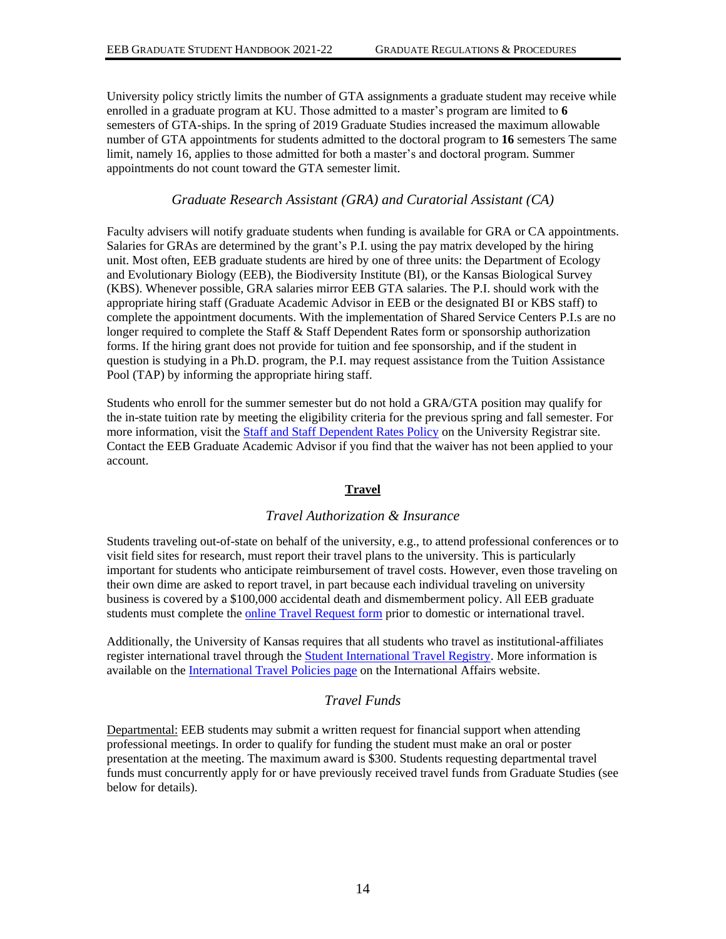University policy strictly limits the number of GTA assignments a graduate student may receive while enrolled in a graduate program at KU. Those admitted to a master's program are limited to **6** semesters of GTA-ships. In the spring of 2019 Graduate Studies increased the maximum allowable number of GTA appointments for students admitted to the doctoral program to **16** semesters The same limit, namely 16, applies to those admitted for both a master's and doctoral program. Summer appointments do not count toward the GTA semester limit.

# *Graduate Research Assistant (GRA) and Curatorial Assistant (CA)*

<span id="page-16-0"></span>Faculty advisers will notify graduate students when funding is available for GRA or CA appointments. Salaries for GRAs are determined by the grant's P.I. using the pay matrix developed by the hiring unit. Most often, EEB graduate students are hired by one of three units: the Department of Ecology and Evolutionary Biology (EEB), the Biodiversity Institute (BI), or the Kansas Biological Survey (KBS). Whenever possible, GRA salaries mirror EEB GTA salaries. The P.I. should work with the appropriate hiring staff (Graduate Academic Advisor in EEB or the designated BI or KBS staff) to complete the appointment documents. With the implementation of Shared Service Centers P.I.s are no longer required to complete the Staff & Staff Dependent Rates form or sponsorship authorization forms. If the hiring grant does not provide for tuition and fee sponsorship, and if the student in question is studying in a Ph.D. program, the P.I. may request assistance from the Tuition Assistance Pool (TAP) by informing the appropriate hiring staff.

Students who enroll for the summer semester but do not hold a GRA/GTA position may qualify for the in-state tuition rate by meeting the eligibility criteria for the previous spring and fall semester. For more information, visit the [Staff and Staff Dependent Rates Policy](http://registrar.ku.edu/staff-and-staff-dependent-rates) on the University Registrar site. Contact the EEB Graduate Academic Advisor if you find that the waiver has not been applied to your account.

#### **Travel**

# *Travel Authorization & Insurance*

<span id="page-16-2"></span><span id="page-16-1"></span>Students traveling out-of-state on behalf of the university, e.g., to attend professional conferences or to visit field sites for research, must report their travel plans to the university. This is particularly important for students who anticipate reimbursement of travel costs. However, even those traveling on their own dime are asked to report travel, in part because each individual traveling on university business is covered by a \$100,000 accidental death and dismemberment policy. All EEB graduate students must complete th[e online Travel Request form](https://deptsec.ku.edu/~ssc/forms/form/1) prior to domestic or international travel.

Additionally, the University of Kansas requires that all students who travel as institutional-affiliates register international travel through the [Student International Travel Registry.](https://ku.studioabroad.com/index.cfm?FuseAction=Programs.ViewProgram&Program_ID=10481) More information is available on the [International Travel Policies page](http://international.ku.edu/studenttravel) on the International Affairs website.

# *Travel Funds*

<span id="page-16-3"></span>Departmental: EEB students may submit a written request for financial support when attending professional meetings. In order to qualify for funding the student must make an oral or poster presentation at the meeting. The maximum award is \$300. Students requesting departmental travel funds must concurrently apply for or have previously received travel funds from Graduate Studies (see below for details).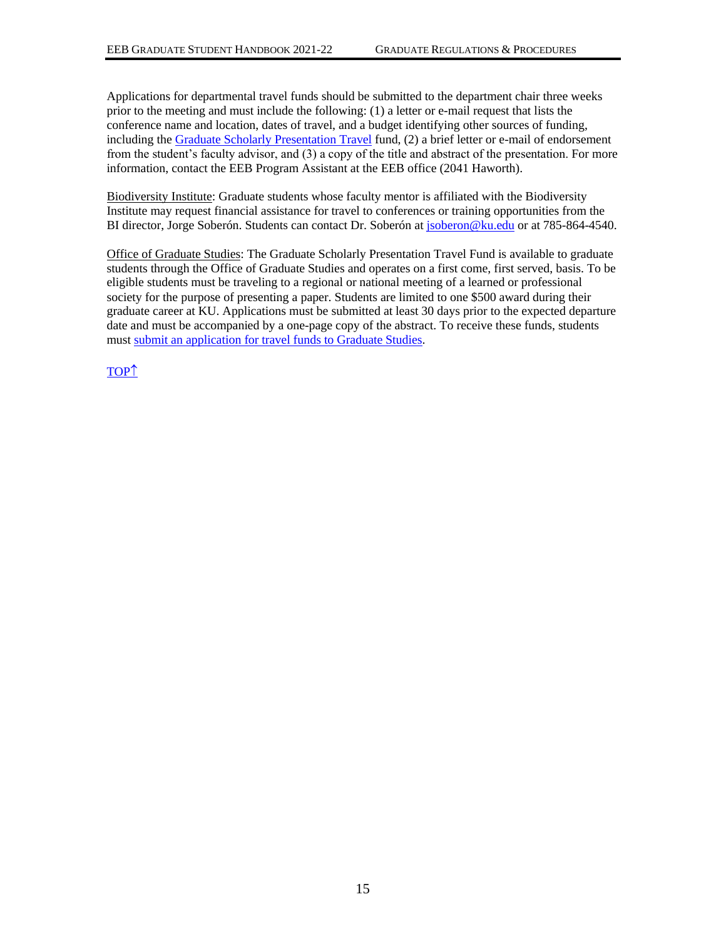Applications for departmental travel funds should be submitted to the department chair three weeks prior to the meeting and must include the following: (1) a letter or e-mail request that lists the conference name and location, dates of travel, and a budget identifying other sources of funding, including th[e Graduate Scholarly Presentation Travel](https://graduate.ku.edu/graduate-scholarly-presentation-travel-fund) fund, (2) a brief letter or e-mail of endorsement from the student's faculty advisor, and (3) a copy of the title and abstract of the presentation. For more information, contact the EEB Program Assistant at the EEB office (2041 Haworth).

Biodiversity Institute: Graduate students whose faculty mentor is affiliated with the Biodiversity Institute may request financial assistance for travel to conferences or training opportunities from the BI director, Jorge Soberón. Students can contact Dr. Soberón a[t jsoberon@ku.edu](mailto:jsoberon@ku.edu) or at 785-864-4540.

Office of Graduate Studies: The Graduate Scholarly Presentation Travel Fund is available to graduate students through the Office of Graduate Studies and operates on a first come, first served, basis. To be eligible students must be traveling to a regional or national meeting of a learned or professional society for the purpose of presenting a paper. Students are limited to one \$500 award during their graduate career at KU. Applications must be submitted at least 30 days prior to the expected departure date and must be accompanied by a one-page copy of the abstract. To receive these funds, students must [submit an application for travel funds to Graduate Studies.](https://graduate.ku.edu/graduate-scholarly-presentation-travel-fund)

[TOP](#page-0-0)<sup>1</sup>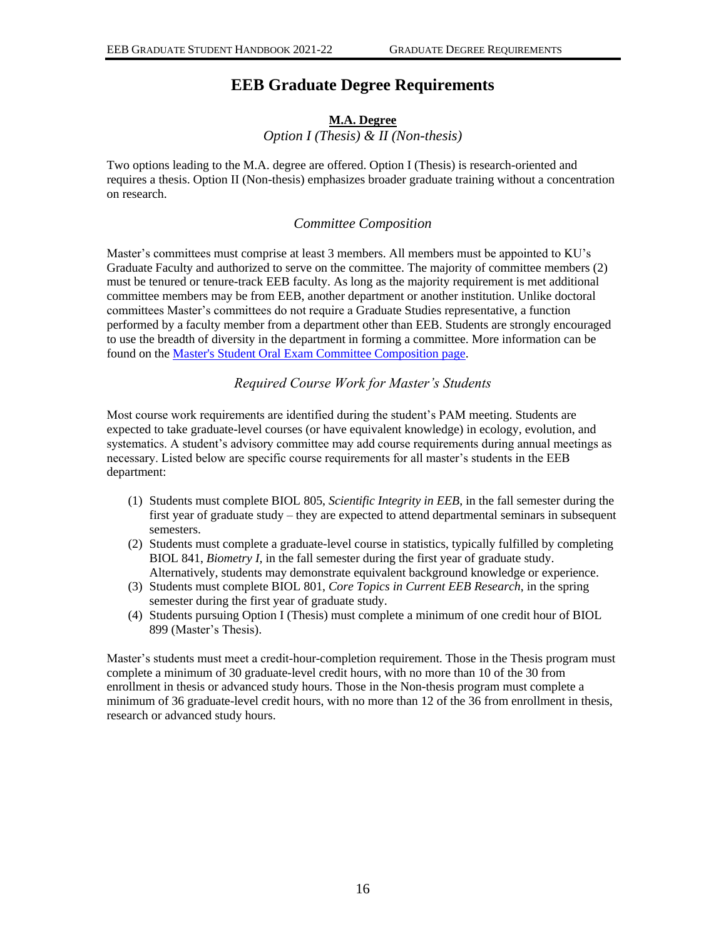# **EEB Graduate Degree Requirements**

# **M.A. Degree**  *Option I (Thesis) & II (Non-thesis)*

<span id="page-18-2"></span><span id="page-18-1"></span><span id="page-18-0"></span>Two options leading to the M.A. degree are offered. Option I (Thesis) is research-oriented and requires a thesis. Option II (Non-thesis) emphasizes broader graduate training without a concentration on research.

# *Committee Composition*

<span id="page-18-3"></span>Master's committees must comprise at least 3 members. All members must be appointed to KU's Graduate Faculty and authorized to serve on the committee. The majority of committee members (2) must be tenured or tenure-track EEB faculty. As long as the majority requirement is met additional committee members may be from EEB, another department or another institution. Unlike doctoral committees Master's committees do not require a Graduate Studies representative, a function performed by a faculty member from a department other than EEB. Students are strongly encouraged to use the breadth of diversity in the department in forming a committee. More information can be found on th[e Master's Student Oral Exam Committee Composition page.](http://policy.ku.edu/graduate-studies/masters-oral-exam-committee-composition)

# *Required Course Work for Master's Students*

<span id="page-18-4"></span>Most course work requirements are identified during the student's PAM meeting. Students are expected to take graduate-level courses (or have equivalent knowledge) in ecology, evolution, and systematics. A student's advisory committee may add course requirements during annual meetings as necessary. Listed below are specific course requirements for all master's students in the EEB department:

- (1) Students must complete BIOL 805, *Scientific Integrity in EEB*, in the fall semester during the first year of graduate study – they are expected to attend departmental seminars in subsequent semesters.
- (2) Students must complete a graduate-level course in statistics, typically fulfilled by completing BIOL 841, *Biometry I,* in the fall semester during the first year of graduate study. Alternatively, students may demonstrate equivalent background knowledge or experience.
- (3) Students must complete BIOL 801, *Core Topics in Current EEB Research*, in the spring semester during the first year of graduate study.
- (4) Students pursuing Option I (Thesis) must complete a minimum of one credit hour of BIOL 899 (Master's Thesis).

Master's students must meet a credit-hour-completion requirement. Those in the Thesis program must complete a minimum of 30 graduate-level credit hours, with no more than 10 of the 30 from enrollment in thesis or advanced study hours. Those in the Non-thesis program must complete a minimum of 36 graduate-level credit hours, with no more than 12 of the 36 from enrollment in thesis, research or advanced study hours.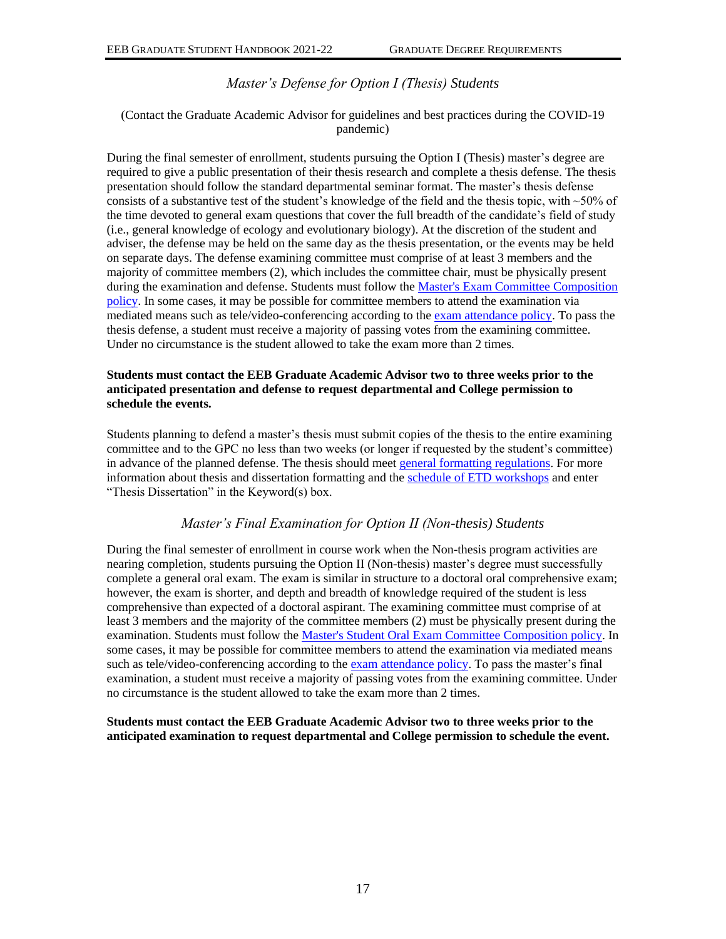# *Master's Defense for Option I (Thesis) Students*

# <span id="page-19-0"></span>(Contact the Graduate Academic Advisor for guidelines and best practices during the COVID-19 pandemic)

During the final semester of enrollment, students pursuing the Option I (Thesis) master's degree are required to give a public presentation of their thesis research and complete a thesis defense. The thesis presentation should follow the standard departmental seminar format. The master's thesis defense consists of a substantive test of the student's knowledge of the field and the thesis topic, with  $\sim$ 50% of the time devoted to general exam questions that cover the full breadth of the candidate's field of study (i.e., general knowledge of ecology and evolutionary biology). At the discretion of the student and adviser, the defense may be held on the same day as the thesis presentation, or the events may be held on separate days. The defense examining committee must comprise of at least 3 members and the majority of committee members (2), which includes the committee chair, must be physically present during the examination and defense. Students must follow the Master's Exam Committee Composition [policy.](http://policy.ku.edu/graduate-studies/masters-oral-exam-committee-composition) In some cases, it may be possible for committee members to attend the examination via mediated means such as tele/video-conferencing according to the [exam attendance policy.](http://policy.ku.edu/graduate-studies/oral-exam-attendance) To pass the thesis defense, a student must receive a majority of passing votes from the examining committee. Under no circumstance is the student allowed to take the exam more than 2 times.

### **Students must contact the EEB Graduate Academic Advisor two to three weeks prior to the anticipated presentation and defense to request departmental and College permission to schedule the events.**

Students planning to defend a master's thesis must submit copies of the thesis to the entire examining committee and to the GPC no less than two weeks (or longer if requested by the student's committee) in advance of the planned defense. The thesis should meet [general formatting regulations.](http://www.graduate.ku.edu/formatting) For more information about thesis and dissertation formatting and th[e schedule of ETD](https://workshops.ku.edu/workshops.php) workshops and enter "Thesis Dissertation" in the Keyword(s) box.

# *Master's Final Examination for Option II (Non-thesis) Students*

<span id="page-19-1"></span>During the final semester of enrollment in course work when the Non-thesis program activities are nearing completion, students pursuing the Option II (Non-thesis) master's degree must successfully complete a general oral exam. The exam is similar in structure to a doctoral oral comprehensive exam; however, the exam is shorter, and depth and breadth of knowledge required of the student is less comprehensive than expected of a doctoral aspirant. The examining committee must comprise of at least 3 members and the majority of the committee members (2) must be physically present during the examination. Students must follow th[e Master's Student Oral Exam Committee Composition policy.](http://policy.ku.edu/graduate-studies/masters-oral-exam-committee-composition) In some cases, it may be possible for committee members to attend the examination via mediated means such as tele/video-conferencing according to the [exam attendance policy.](http://policy.ku.edu/graduate-studies/oral-exam-attendance) To pass the master's final examination, a student must receive a majority of passing votes from the examining committee. Under no circumstance is the student allowed to take the exam more than 2 times.

### **Students must contact the EEB Graduate Academic Advisor two to three weeks prior to the anticipated examination to request departmental and College permission to schedule the event.**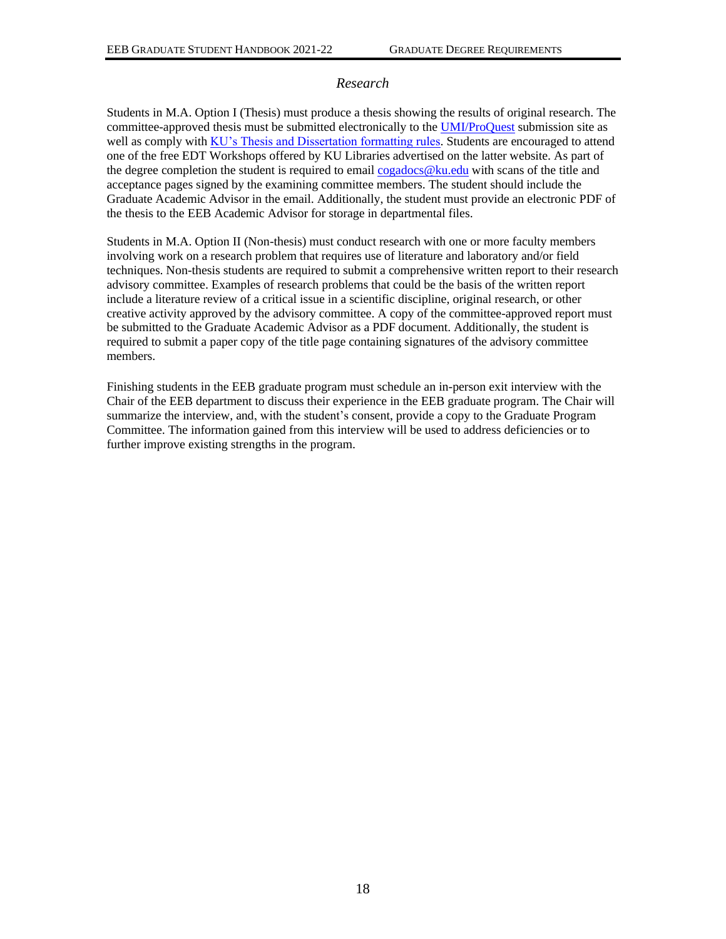# *Research*

<span id="page-20-0"></span>Students in M.A. Option I (Thesis) must produce a thesis showing the results of original research. The committee-approved thesis must be submitted electronically to th[e UMI/ProQuest](https://www.etdadmin.com/main/home) submission site as well as comply with [KU's Thesis and Dissertation formatting rules.](http://guides.lib.ku.edu/etd) Students are encouraged to attend one of the free EDT Workshops offered by KU Libraries advertised on the latter website. As part of the degree completion the student is required to email [cogadocs@ku.edu](mailto:cogadocs@ku.edu) with scans of the title and acceptance pages signed by the examining committee members. The student should include the Graduate Academic Advisor in the email. Additionally, the student must provide an electronic PDF of the thesis to the EEB Academic Advisor for storage in departmental files.

Students in M.A. Option II (Non-thesis) must conduct research with one or more faculty members involving work on a research problem that requires use of literature and laboratory and/or field techniques. Non-thesis students are required to submit a comprehensive written report to their research advisory committee. Examples of research problems that could be the basis of the written report include a literature review of a critical issue in a scientific discipline, original research, or other creative activity approved by the advisory committee. A copy of the committee-approved report must be submitted to the Graduate Academic Advisor as a PDF document. Additionally, the student is required to submit a paper copy of the title page containing signatures of the advisory committee members.

Finishing students in the EEB graduate program must schedule an in-person exit interview with the Chair of the EEB department to discuss their experience in the EEB graduate program. The Chair will summarize the interview, and, with the student's consent, provide a copy to the Graduate Program Committee. The information gained from this interview will be used to address deficiencies or to further improve existing strengths in the program.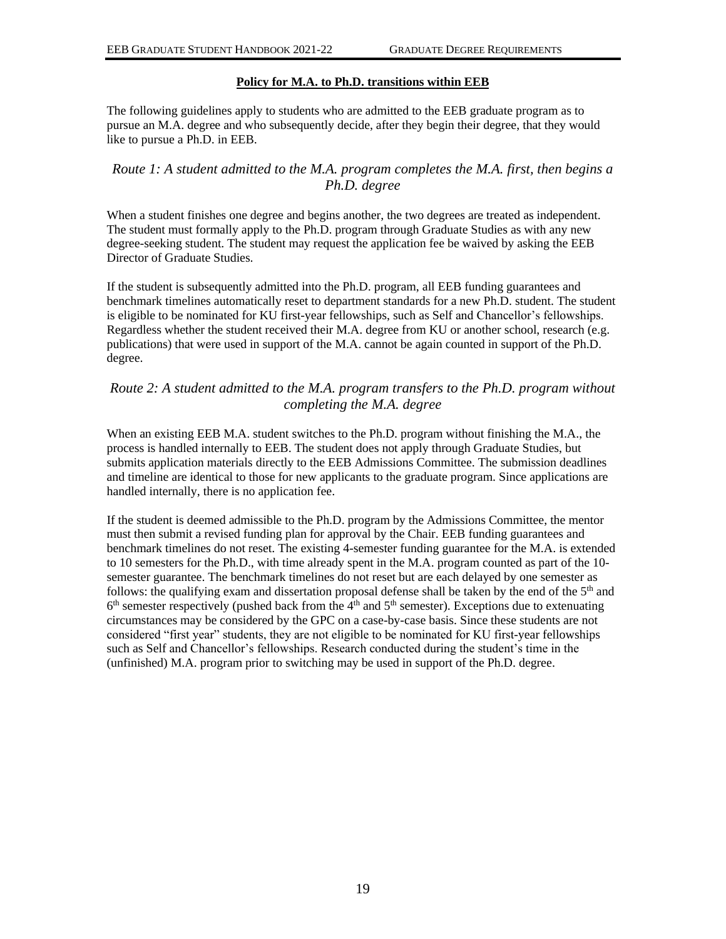# **Policy for M.A. to Ph.D. transitions within EEB**

<span id="page-21-0"></span>The following guidelines apply to students who are admitted to the EEB graduate program as to pursue an M.A. degree and who subsequently decide, after they begin their degree, that they would like to pursue a Ph.D. in EEB.

# <span id="page-21-1"></span>*Route 1: A student admitted to the M.A. program completes the M.A. first, then begins a Ph.D. degree*

When a student finishes one degree and begins another, the two degrees are treated as independent. The student must formally apply to the Ph.D. program through Graduate Studies as with any new degree-seeking student. The student may request the application fee be waived by asking the EEB Director of Graduate Studies.

If the student is subsequently admitted into the Ph.D. program, all EEB funding guarantees and benchmark timelines automatically reset to department standards for a new Ph.D. student. The student is eligible to be nominated for KU first-year fellowships, such as Self and Chancellor's fellowships. Regardless whether the student received their M.A. degree from KU or another school, research (e.g. publications) that were used in support of the M.A. cannot be again counted in support of the Ph.D. degree.

# <span id="page-21-2"></span>*Route 2: A student admitted to the M.A. program transfers to the Ph.D. program without completing the M.A. degree*

When an existing EEB M.A. student switches to the Ph.D. program without finishing the M.A., the process is handled internally to EEB. The student does not apply through Graduate Studies, but submits application materials directly to the EEB Admissions Committee. The submission deadlines and timeline are identical to those for new applicants to the graduate program. Since applications are handled internally, there is no application fee.

If the student is deemed admissible to the Ph.D. program by the Admissions Committee, the mentor must then submit a revised funding plan for approval by the Chair. EEB funding guarantees and benchmark timelines do not reset. The existing 4-semester funding guarantee for the M.A. is extended to 10 semesters for the Ph.D., with time already spent in the M.A. program counted as part of the 10 semester guarantee. The benchmark timelines do not reset but are each delayed by one semester as follows: the qualifying exam and dissertation proposal defense shall be taken by the end of the  $5<sup>th</sup>$  and  $6<sup>th</sup>$  semester respectively (pushed back from the  $4<sup>th</sup>$  and  $5<sup>th</sup>$  semester). Exceptions due to extenuating circumstances may be considered by the GPC on a case-by-case basis. Since these students are not considered "first year" students, they are not eligible to be nominated for KU first-year fellowships such as Self and Chancellor's fellowships. Research conducted during the student's time in the (unfinished) M.A. program prior to switching may be used in support of the Ph.D. degree.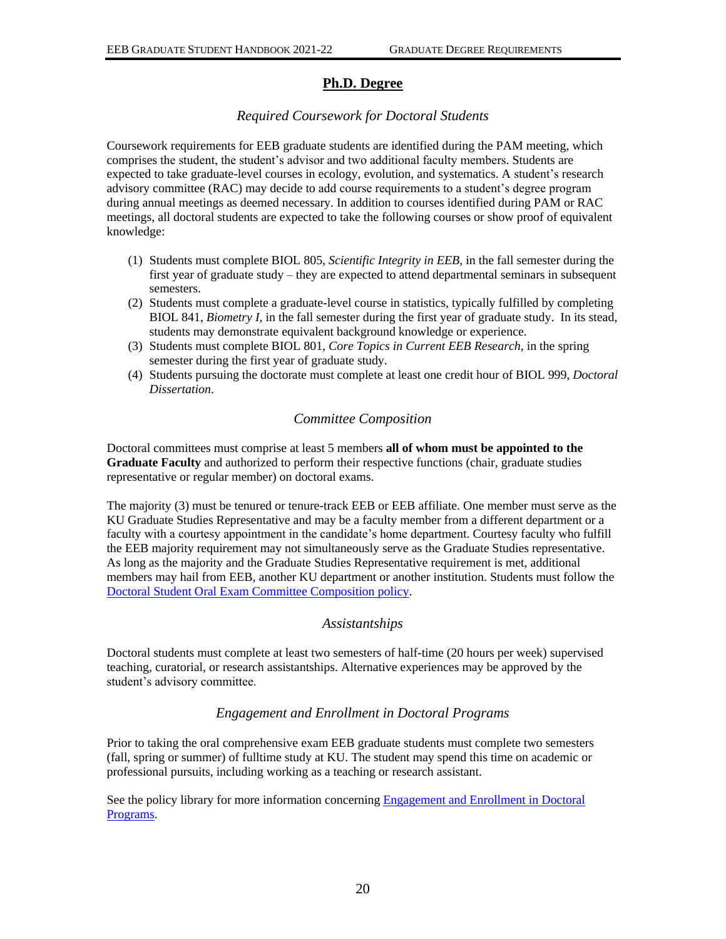# **Ph.D. Degree**

# *Required Coursework for Doctoral Students*

<span id="page-22-1"></span><span id="page-22-0"></span>Coursework requirements for EEB graduate students are identified during the PAM meeting, which comprises the student, the student's advisor and two additional faculty members. Students are expected to take graduate-level courses in ecology, evolution, and systematics. A student's research advisory committee (RAC) may decide to add course requirements to a student's degree program during annual meetings as deemed necessary. In addition to courses identified during PAM or RAC meetings, all doctoral students are expected to take the following courses or show proof of equivalent knowledge:

- (1) Students must complete BIOL 805, *Scientific Integrity in EEB*, in the fall semester during the first year of graduate study – they are expected to attend departmental seminars in subsequent semesters.
- (2) Students must complete a graduate-level course in statistics, typically fulfilled by completing BIOL 841, *Biometry I,* in the fall semester during the first year of graduate study. In its stead, students may demonstrate equivalent background knowledge or experience.
- (3) Students must complete BIOL 801, *Core Topics in Current EEB Research*, in the spring semester during the first year of graduate study.
- (4) Students pursuing the doctorate must complete at least one credit hour of BIOL 999, *Doctoral Dissertation*.

# *Committee Composition*

<span id="page-22-2"></span>Doctoral committees must comprise at least 5 members **all of whom must be appointed to the Graduate Faculty** and authorized to perform their respective functions (chair, graduate studies representative or regular member) on doctoral exams.

The majority (3) must be tenured or tenure-track EEB or EEB affiliate. One member must serve as the KU Graduate Studies Representative and may be a faculty member from a different department or a faculty with a courtesy appointment in the candidate's home department. Courtesy faculty who fulfill the EEB majority requirement may not simultaneously serve as the Graduate Studies representative. As long as the majority and the Graduate Studies Representative requirement is met, additional members may hail from EEB, another KU department or another institution. Students must follow the Doctoral Student Oral [Exam Committee Composition policy.](http://policy.ku.edu/graduate-studies/oral-exam-committee-composition/)

# *Assistantships*

<span id="page-22-3"></span>Doctoral students must complete at least two semesters of half-time (20 hours per week) supervised teaching, curatorial, or research assistantships. Alternative experiences may be approved by the student's advisory committee.

# *Engagement and Enrollment in Doctoral Programs*

<span id="page-22-4"></span>Prior to taking the oral comprehensive exam EEB graduate students must complete two semesters (fall, spring or summer) of fulltime study at KU. The student may spend this time on academic or professional pursuits, including working as a teaching or research assistant.

See the policy library for more information concerning [Engagement and Enrollment in Doctoral](https://policy.ku.edu/graduate-studies/engagement-enrollment-doctoral-programs)  [Programs.](https://policy.ku.edu/graduate-studies/engagement-enrollment-doctoral-programs)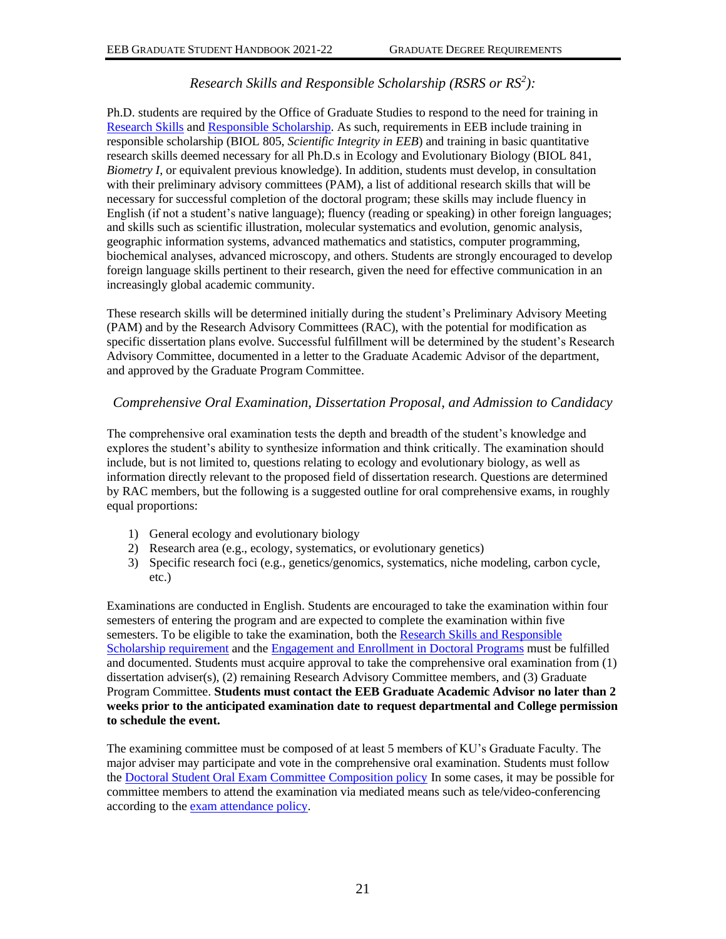# *Research Skills and Responsible Scholarship (RSRS or RS<sup>2</sup> ):*

<span id="page-23-0"></span>Ph.D. students are required by the Office of Graduate Studies to respond to the need for training in [Research Skills](http://policy.ku.edu/graduate-studies/doctoral-research-skills-requirement) and [Responsible Scholarship.](http://policy.ku.edu/graduate-studies/research-skills-responsible-scholarship) As such, requirements in EEB include training in responsible scholarship (BIOL 805, *Scientific Integrity in EEB*) and training in basic quantitative research skills deemed necessary for all Ph.D.s in Ecology and Evolutionary Biology (BIOL 841, *Biometry I*, or equivalent previous knowledge). In addition, students must develop, in consultation with their preliminary advisory committees (PAM), a list of additional research skills that will be necessary for successful completion of the doctoral program; these skills may include fluency in English (if not a student's native language); fluency (reading or speaking) in other foreign languages; and skills such as scientific illustration, molecular systematics and evolution, genomic analysis, geographic information systems, advanced mathematics and statistics, computer programming, biochemical analyses, advanced microscopy, and others. Students are strongly encouraged to develop foreign language skills pertinent to their research, given the need for effective communication in an increasingly global academic community.

These research skills will be determined initially during the student's Preliminary Advisory Meeting (PAM) and by the Research Advisory Committees (RAC), with the potential for modification as specific dissertation plans evolve. Successful fulfillment will be determined by the student's Research Advisory Committee, documented in a letter to the Graduate Academic Advisor of the department, and approved by the Graduate Program Committee.

# <span id="page-23-1"></span>*Comprehensive Oral Examination, Dissertation Proposal, and Admission to Candidacy*

The comprehensive oral examination tests the depth and breadth of the student's knowledge and explores the student's ability to synthesize information and think critically. The examination should include, but is not limited to, questions relating to ecology and evolutionary biology, as well as information directly relevant to the proposed field of dissertation research. Questions are determined by RAC members, but the following is a suggested outline for oral comprehensive exams, in roughly equal proportions:

- 1) General ecology and evolutionary biology
- 2) Research area (e.g., ecology, systematics, or evolutionary genetics)
- 3) Specific research foci (e.g., genetics/genomics, systematics, niche modeling, carbon cycle, etc.)

Examinations are conducted in English. Students are encouraged to take the examination within four semesters of entering the program and are expected to complete the examination within five semesters. To be eligible to take the examination, both the [Research Skills and Responsible](http://policy.ku.edu/graduate-studies/research-skills-responsible-scholarship)  [Scholarship requirement](http://policy.ku.edu/graduate-studies/research-skills-responsible-scholarship) and the [Engagement and Enrollment in Doctoral Programs](https://policy.ku.edu/graduate-studies/engagement-enrollment-doctoral-programs) must be fulfilled and documented. Students must acquire approval to take the comprehensive oral examination from (1) dissertation adviser(s), (2) remaining Research Advisory Committee members, and (3) Graduate Program Committee. **Students must contact the EEB Graduate Academic Advisor no later than 2 weeks prior to the anticipated examination date to request departmental and College permission to schedule the event.**

The examining committee must be composed of at least 5 members of KU's Graduate Faculty. The major adviser may participate and vote in the comprehensive oral examination. Students must follow the [Doctoral Student Oral Exam Committee Composition policy](http://policy.ku.edu/graduate-studies/oral-exam-committee-composition/) In some cases, it may be possible for committee members to attend the examination via mediated means such as tele/video-conferencing according to the [exam attendance policy.](http://policy.ku.edu/graduate-studies/oral-exam-attendance)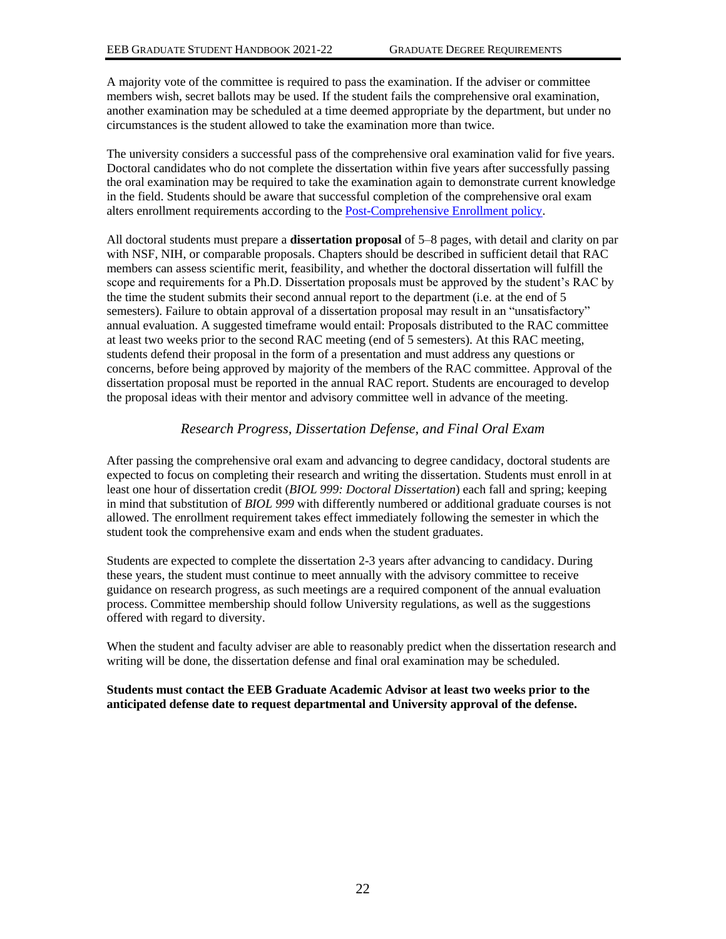A majority vote of the committee is required to pass the examination. If the adviser or committee members wish, secret ballots may be used. If the student fails the comprehensive oral examination, another examination may be scheduled at a time deemed appropriate by the department, but under no circumstances is the student allowed to take the examination more than twice.

The university considers a successful pass of the comprehensive oral examination valid for five years. Doctoral candidates who do not complete the dissertation within five years after successfully passing the oral examination may be required to take the examination again to demonstrate current knowledge in the field. Students should be aware that successful completion of the comprehensive oral exam alters enrollment requirements according to the [Post-Comprehensive Enrollment policy.](https://coga.ku.edu/progress-to-degree/enrollment/post-comprehensive-enrollment)

All doctoral students must prepare a **dissertation proposal** of 5–8 pages, with detail and clarity on par with NSF, NIH, or comparable proposals. Chapters should be described in sufficient detail that RAC members can assess scientific merit, feasibility, and whether the doctoral dissertation will fulfill the scope and requirements for a Ph.D. Dissertation proposals must be approved by the student's RAC by the time the student submits their second annual report to the department (i.e. at the end of 5 semesters). Failure to obtain approval of a dissertation proposal may result in an "unsatisfactory" annual evaluation. A suggested timeframe would entail: Proposals distributed to the RAC committee at least two weeks prior to the second RAC meeting (end of 5 semesters). At this RAC meeting, students defend their proposal in the form of a presentation and must address any questions or concerns, before being approved by majority of the members of the RAC committee. Approval of the dissertation proposal must be reported in the annual RAC report. Students are encouraged to develop the proposal ideas with their mentor and advisory committee well in advance of the meeting.

# *Research Progress, Dissertation Defense, and Final Oral Exam*

<span id="page-24-0"></span>After passing the comprehensive oral exam and advancing to degree candidacy, doctoral students are expected to focus on completing their research and writing the dissertation. Students must enroll in at least one hour of dissertation credit (*BIOL 999: Doctoral Dissertation*) each fall and spring; keeping in mind that substitution of *BIOL 999* with differently numbered or additional graduate courses is not allowed. The enrollment requirement takes effect immediately following the semester in which the student took the comprehensive exam and ends when the student graduates.

Students are expected to complete the dissertation 2-3 years after advancing to candidacy. During these years, the student must continue to meet annually with the advisory committee to receive guidance on research progress, as such meetings are a required component of the annual evaluation process. Committee membership should follow University regulations, as well as the suggestions offered with regard to diversity.

When the student and faculty adviser are able to reasonably predict when the dissertation research and writing will be done, the dissertation defense and final oral examination may be scheduled.

#### **Students must contact the EEB Graduate Academic Advisor at least two weeks prior to the anticipated defense date to request departmental and University approval of the defense.**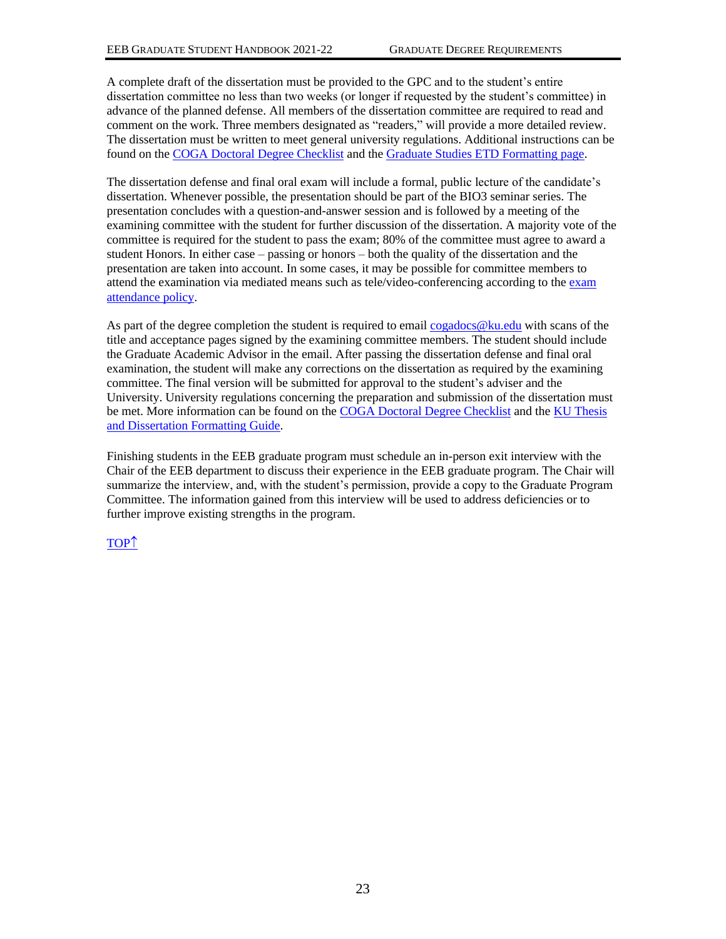A complete draft of the dissertation must be provided to the GPC and to the student's entire dissertation committee no less than two weeks (or longer if requested by the student's committee) in advance of the planned defense. All members of the dissertation committee are required to read and comment on the work. Three members designated as "readers," will provide a more detailed review. The dissertation must be written to meet general university regulations. Additional instructions can be found on th[e COGA Doctoral Degree Checklist](http://clas.ku.edu/coga/graduation/doctoral) and the [Graduate Studies ETD Formatting page.](http://www.graduate.ku.edu/formatting)

The dissertation defense and final oral exam will include a formal, public lecture of the candidate's dissertation. Whenever possible, the presentation should be part of the BIO3 seminar series. The presentation concludes with a question-and-answer session and is followed by a meeting of the examining committee with the student for further discussion of the dissertation. A majority vote of the committee is required for the student to pass the exam; 80% of the committee must agree to award a student Honors. In either case – passing or honors – both the quality of the dissertation and the presentation are taken into account. In some cases, it may be possible for committee members to attend the examination via mediated means such as tele/video-conferencing according to the [exam](http://policy.ku.edu/graduate-studies/oral-exam-attendance)  [attendance policy.](http://policy.ku.edu/graduate-studies/oral-exam-attendance)

As part of the degree completion the student is required to email [cogadocs@ku.edu](mailto:cogadocs@ku.edu) with scans of the title and acceptance pages signed by the examining committee members. The student should include the Graduate Academic Advisor in the email. After passing the dissertation defense and final oral examination, the student will make any corrections on the dissertation as required by the examining committee. The final version will be submitted for approval to the student's adviser and the University. University regulations concerning the preparation and submission of the dissertation must be met. More information can be found on th[e COGA Doctoral Degree Checklist](http://clas.ku.edu/coga/graduation/doctoral) and th[e KU Thesis](http://guides.lib.ku.edu/etd)  [and Dissertation Formatting Guide.](http://guides.lib.ku.edu/etd)

Finishing students in the EEB graduate program must schedule an in-person exit interview with the Chair of the EEB department to discuss their experience in the EEB graduate program. The Chair will summarize the interview, and, with the student's permission, provide a copy to the Graduate Program Committee. The information gained from this interview will be used to address deficiencies or to further improve existing strengths in the program.

# [TOP](#page-0-0)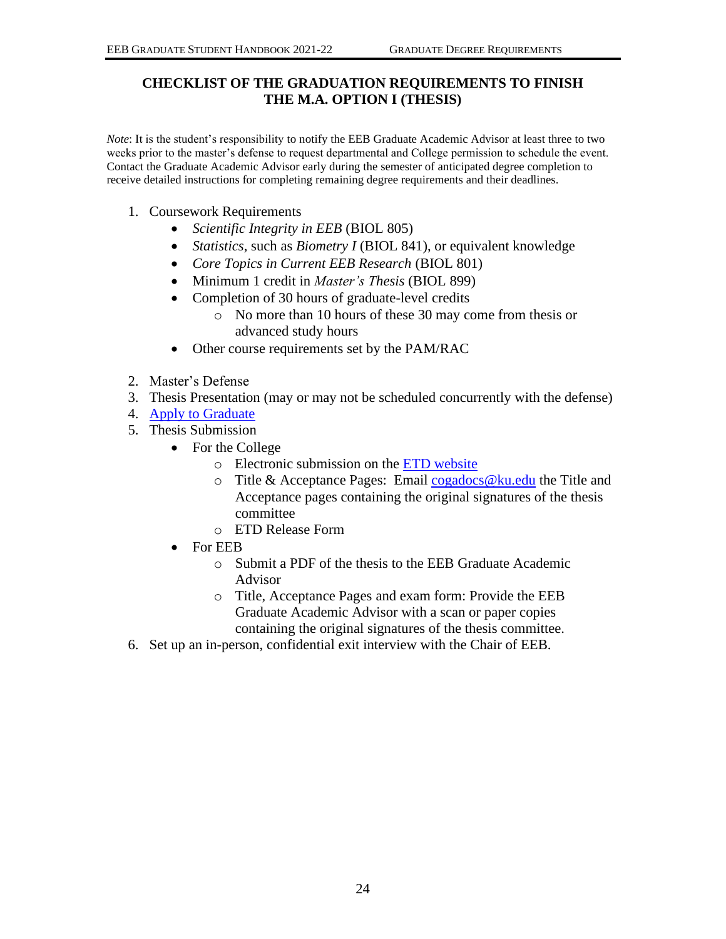# <span id="page-26-0"></span>**CHECKLIST OF THE GRADUATION REQUIREMENTS TO FINISH THE M.A. OPTION I (THESIS)**

*Note*: It is the student's responsibility to notify the EEB Graduate Academic Advisor at least three to two weeks prior to the master's defense to request departmental and College permission to schedule the event. Contact the Graduate Academic Advisor early during the semester of anticipated degree completion to receive detailed instructions for completing remaining degree requirements and their deadlines.

- 1. Coursework Requirements
	- *Scientific Integrity in EEB* (BIOL 805)
	- *Statistics*, such as *Biometry I* (BIOL 841), or equivalent knowledge
	- *Core Topics in Current EEB Research* (BIOL 801)
	- Minimum 1 credit in *Master's Thesis* (BIOL 899)
	- Completion of 30 hours of graduate-level credits
		- o No more than 10 hours of these 30 may come from thesis or advanced study hours
	- Other course requirements set by the PAM/RAC
- 2. Master's Defense
- 3. Thesis Presentation (may or may not be scheduled concurrently with the defense)
- 4. [Apply to Graduate](https://sa.ku.edu/)
- 5. Thesis Submission
	- For the College
		- o Electronic submission on the [ETD website](http://www.etdadmin.com/cgi-bin/home)
		- $\circ$  Title & Acceptance Pages: Email cogadocs @ku.edu the Title and Acceptance pages containing the original signatures of the thesis committee
		- o ETD Release Form
	- For EEB
		- o Submit a PDF of the thesis to the EEB Graduate Academic Advisor
		- o Title, Acceptance Pages and exam form: Provide the EEB Graduate Academic Advisor with a scan or paper copies containing the original signatures of the thesis committee.
- 6. Set up an in-person, confidential exit interview with the Chair of EEB.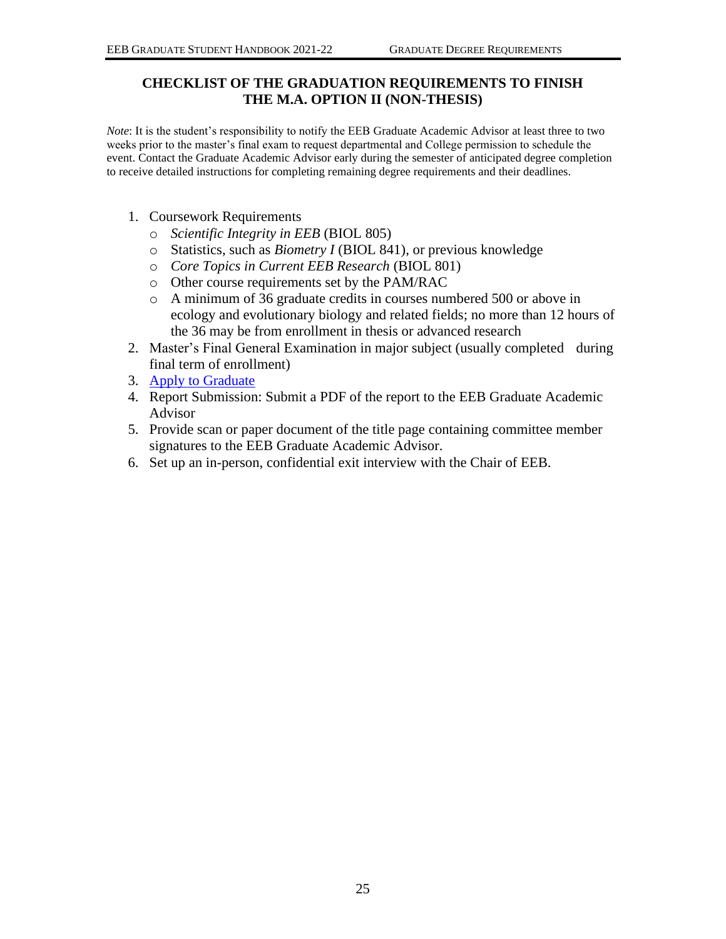# <span id="page-27-0"></span>**CHECKLIST OF THE GRADUATION REQUIREMENTS TO FINISH THE M.A. OPTION II (NON-THESIS)**

*Note*: It is the student's responsibility to notify the EEB Graduate Academic Advisor at least three to two weeks prior to the master's final exam to request departmental and College permission to schedule the event. Contact the Graduate Academic Advisor early during the semester of anticipated degree completion to receive detailed instructions for completing remaining degree requirements and their deadlines.

- 1. Coursework Requirements
	- o *Scientific Integrity in EEB* (BIOL 805)
	- o Statistics, such as *Biometry I* (BIOL 841), or previous knowledge
	- o *Core Topics in Current EEB Research* (BIOL 801)
	- o Other course requirements set by the PAM/RAC
	- o A minimum of 36 graduate credits in courses numbered 500 or above in ecology and evolutionary biology and related fields; no more than 12 hours of the 36 may be from enrollment in thesis or advanced research
- 2. Master's Final General Examination in major subject (usually completed during final term of enrollment)
- 3. [Apply to Graduate](https://sa.ku.edu/)
- 4. Report Submission: Submit a PDF of the report to the EEB Graduate Academic Advisor
- 5. Provide scan or paper document of the title page containing committee member signatures to the EEB Graduate Academic Advisor.
- 6. Set up an in-person, confidential exit interview with the Chair of EEB.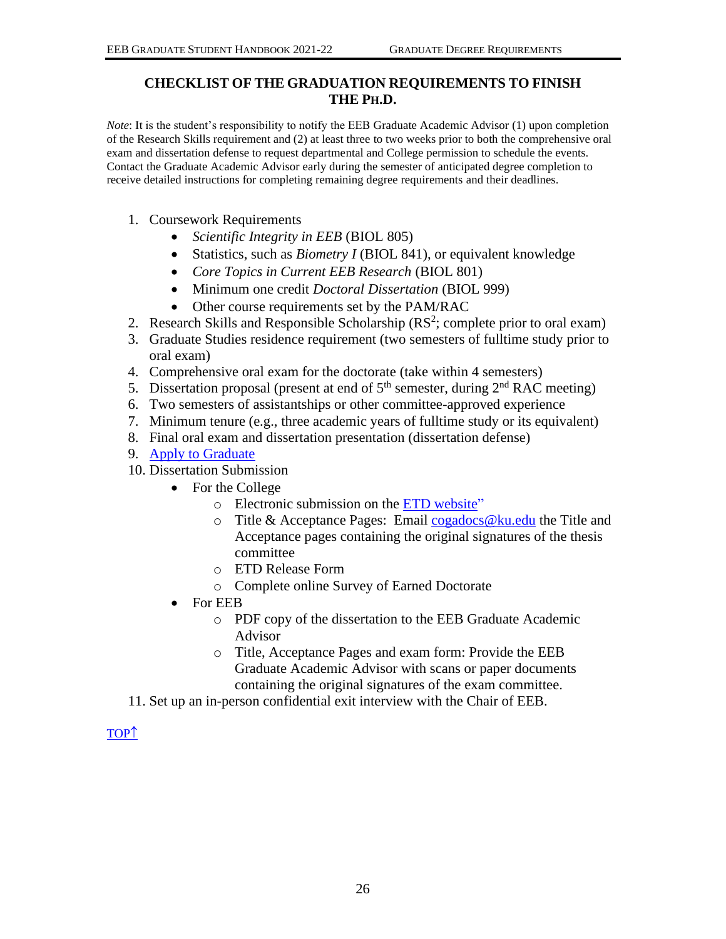# <span id="page-28-0"></span>**CHECKLIST OF THE GRADUATION REQUIREMENTS TO FINISH THE PH.D.**

*Note*: It is the student's responsibility to notify the EEB Graduate Academic Advisor (1) upon completion of the Research Skills requirement and (2) at least three to two weeks prior to both the comprehensive oral exam and dissertation defense to request departmental and College permission to schedule the events. Contact the Graduate Academic Advisor early during the semester of anticipated degree completion to receive detailed instructions for completing remaining degree requirements and their deadlines.

- 1. Coursework Requirements
	- *Scientific Integrity in EEB* (BIOL 805)
	- Statistics, such as *Biometry I* (BIOL 841), or equivalent knowledge
	- *Core Topics in Current EEB Research* (BIOL 801)
	- Minimum one credit *Doctoral Dissertation* (BIOL 999)
	- Other course requirements set by the PAM/RAC
- 2. Research Skills and Responsible Scholarship  $(RS^2;$  complete prior to oral exam)
- 3. Graduate Studies residence requirement (two semesters of fulltime study prior to oral exam)
- 4. Comprehensive oral exam for the doctorate (take within 4 semesters)
- 5. Dissertation proposal (present at end of  $5<sup>th</sup>$  semester, during  $2<sup>nd</sup>$  RAC meeting)
- 6. Two semesters of assistantships or other committee-approved experience
- 7. Minimum tenure (e.g., three academic years of fulltime study or its equivalent)
- 8. Final oral exam and dissertation presentation (dissertation defense)
- 9. [Apply to Graduate](https://sa.ku.edu/)
- 10. Dissertation Submission
	- For the College
		- o Electronic submission on the [ETD website"](http://www.etdadmin.com/cgi-bin/home)
		- $\circ$  Title & Acceptance Pages: Email [cogadocs@ku.edu](mailto:cogadocs@ku.edu) the Title and Acceptance pages containing the original signatures of the thesis committee
		- o ETD Release Form
		- o Complete online Survey of Earned Doctorate
	- For EEB
		- o PDF copy of the dissertation to the EEB Graduate Academic Advisor
		- o Title, Acceptance Pages and exam form: Provide the EEB Graduate Academic Advisor with scans or paper documents containing the original signatures of the exam committee.
- 11. Set up an in-person confidential exit interview with the Chair of EEB.

[TOP](#page-0-0)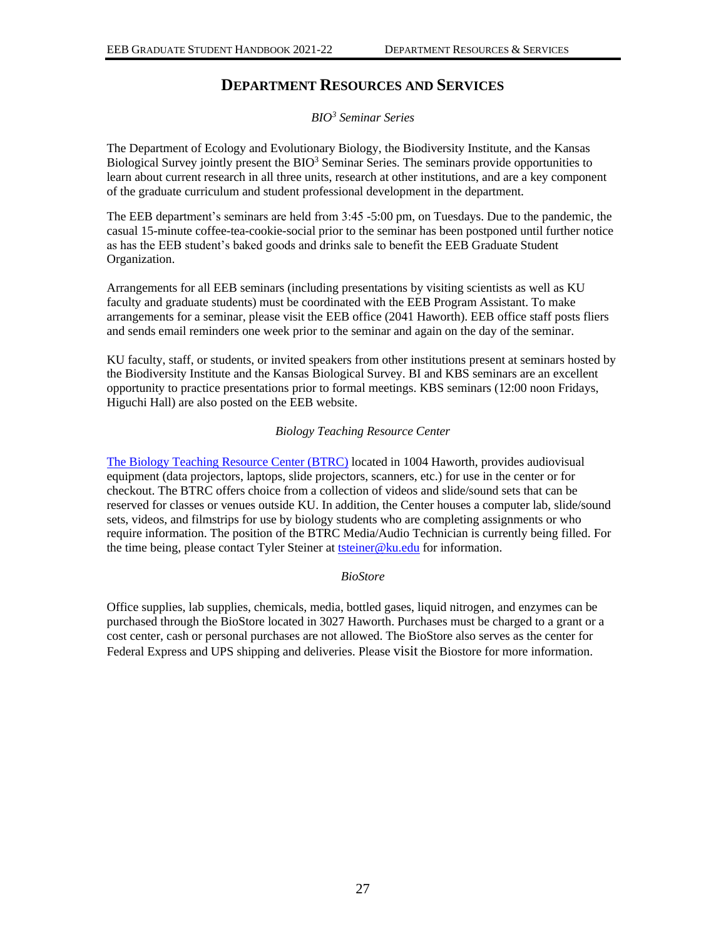# **DEPARTMENT RESOURCES AND SERVICES**

*BIO<sup>3</sup> Seminar Series*

<span id="page-29-0"></span>The Department of Ecology and Evolutionary Biology, the Biodiversity Institute, and the Kansas Biological Survey jointly present the BIO<sup>3</sup> Seminar Series. The seminars provide opportunities to learn about current research in all three units, research at other institutions, and are a key component of the graduate curriculum and student professional development in the department.

The EEB department's seminars are held from 3:45 -5:00 pm, on Tuesdays. Due to the pandemic, the casual 15-minute coffee-tea-cookie-social prior to the seminar has been postponed until further notice as has the EEB student's baked goods and drinks sale to benefit the EEB Graduate Student Organization.

Arrangements for all EEB seminars (including presentations by visiting scientists as well as KU faculty and graduate students) must be coordinated with the EEB Program Assistant. To make arrangements for a seminar, please visit the EEB office (2041 Haworth). EEB office staff posts fliers and sends email reminders one week prior to the seminar and again on the day of the seminar.

KU faculty, staff, or students, or invited speakers from other institutions present at seminars hosted by the Biodiversity Institute and the Kansas Biological Survey. BI and KBS seminars are an excellent opportunity to practice presentations prior to formal meetings. KBS seminars (12:00 noon Fridays, Higuchi Hall) are also posted on the EEB website.

### *Biology Teaching Resource Center*

[The Biology Teaching Resource Center \(BTRC\)](http://kuub.ku.edu/btrc) located in 1004 Haworth, provides audiovisual equipment (data projectors, laptops, slide projectors, scanners, etc.) for use in the center or for checkout. The BTRC offers choice from a collection of videos and slide/sound sets that can be reserved for classes or venues outside KU. In addition, the Center houses a computer lab, slide/sound sets, videos, and filmstrips for use by biology students who are completing assignments or who require information. The position of the BTRC Media/Audio Technician is currently being filled. For the time being, please contact Tyler Steiner at **tsteiner@ku.edu** for information.

#### *BioStore*

Office supplies, lab supplies, chemicals, media, bottled gases, liquid nitrogen, and enzymes can be purchased through the BioStore located in 3027 Haworth. Purchases must be charged to a grant or a cost center, cash or personal purchases are not allowed. The BioStore also serves as the center for Federal Express and UPS shipping and deliveries. Please visit the Biostore for more information.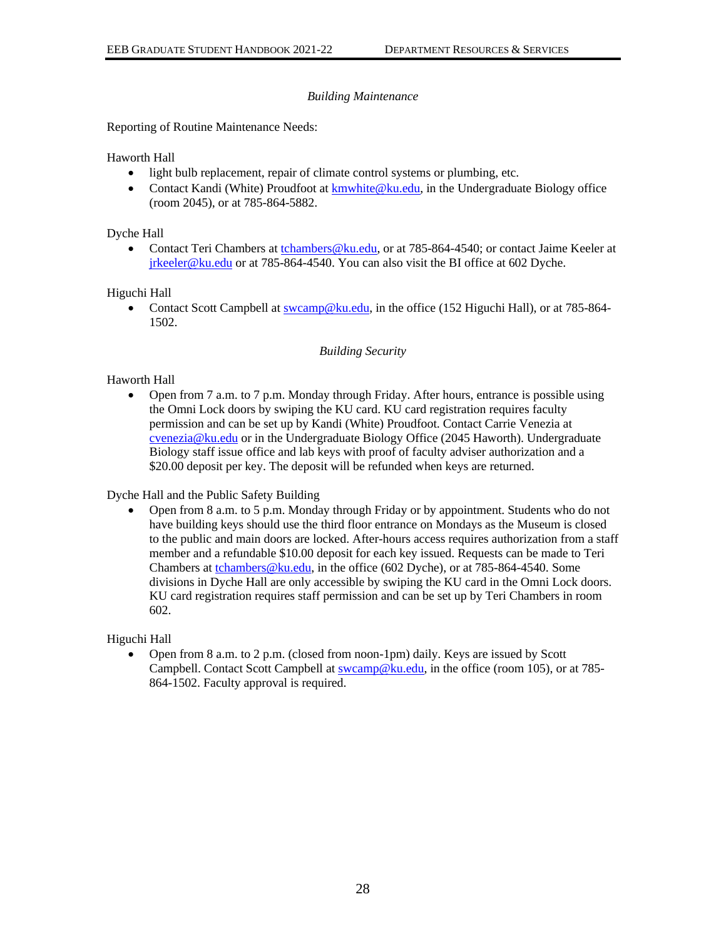# *Building Maintenance*

Reporting of Routine Maintenance Needs:

Haworth Hall

- light bulb replacement, repair of climate control systems or plumbing, etc.
- Contact Kandi (White) Proudfoot a[t kmwhite@ku.edu,](mailto:kmwhite@ku.edu) in the Undergraduate Biology office (room 2045), or at 785-864-5882.

Dyche Hall

Contact Teri Chambers at [tchambers@ku.edu,](mailto:tchambers@ku.edu) or at 785-864-4540; or contact Jaime Keeler at [jrkeeler@ku.edu](mailto:jrkeeler@ku.edu) or at 785-864-4540. You can also visit the BI office at 602 Dyche.

Higuchi Hall

• Contact Scott Campbell at [swcamp@ku.edu,](mailto:swcamp@ku.edu) in the office (152 Higuchi Hall), or at 785-864-1502.

#### *Building Security*

### Haworth Hall

• Open from 7 a.m. to 7 p.m. Monday through Friday. After hours, entrance is possible using the Omni Lock doors by swiping the KU card. KU card registration requires faculty permission and can be set up by Kandi (White) Proudfoot. Contact Carrie Venezia at [cvenezia@ku.edu](mailto:cvenezia@ku.edu) or in the Undergraduate Biology Office (2045 Haworth). Undergraduate Biology staff issue office and lab keys with proof of faculty adviser authorization and a \$20.00 deposit per key. The deposit will be refunded when keys are returned.

Dyche Hall and the Public Safety Building

• Open from 8 a.m. to 5 p.m. Monday through Friday or by appointment. Students who do not have building keys should use the third floor entrance on Mondays as the Museum is closed to the public and main doors are locked. After-hours access requires authorization from a staff member and a refundable \$10.00 deposit for each key issued. Requests can be made to Teri Chambers a[t tchambers@ku.edu,](mailto:tchambers@ku.edu) in the office (602 Dyche), or at 785-864-4540. Some divisions in Dyche Hall are only accessible by swiping the KU card in the Omni Lock doors. KU card registration requires staff permission and can be set up by Teri Chambers in room 602.

Higuchi Hall

• Open from 8 a.m. to 2 p.m. (closed from noon-1pm) daily. Keys are issued by Scott Campbell. Contact Scott Campbell at [swcamp@ku.edu,](mailto:swcamp@ku.edu) in the office (room 105), or at 785- 864-1502. Faculty approval is required.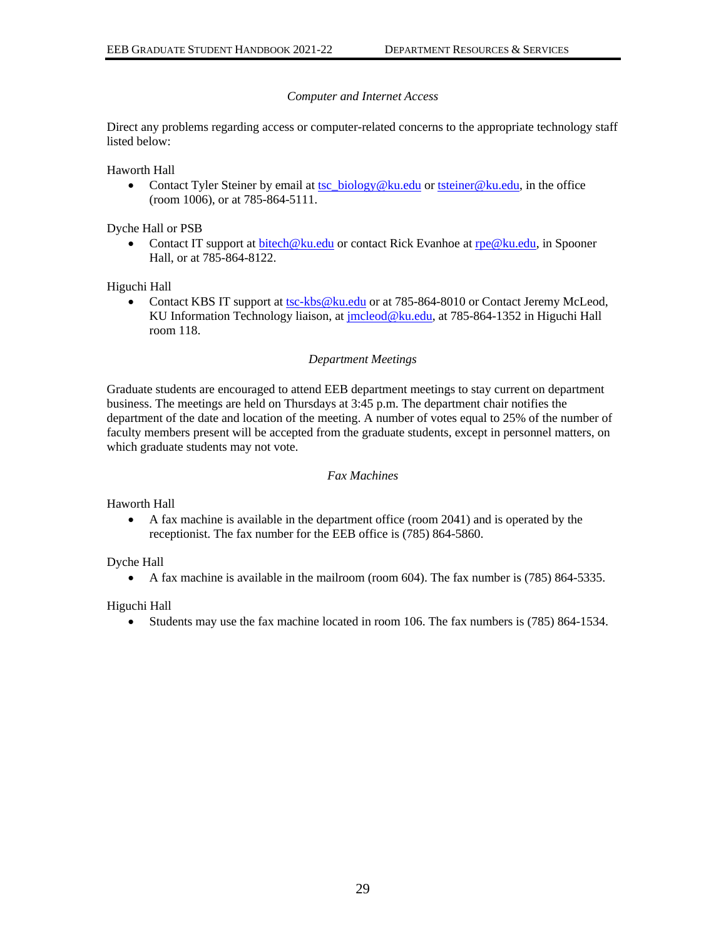# *Computer and Internet Access*

Direct any problems regarding access or computer-related concerns to the appropriate technology staff listed below:

Haworth Hall

• Contact Tyler Steiner by email at [tsc\\_biology@ku.edu](mailto:tsc_biology@ku.edu) or [tsteiner@ku.edu,](mailto:tsteiner@ku.edu) in the office (room 1006), or at 785-864-5111.

Dyche Hall or PSB

• Contact IT support at [bitech@ku.edu](mailto:bitech@ku.edu) or contact Rick Evanhoe a[t rpe@ku.edu,](mailto:rpe@ku.edu) in Spooner Hall, or at 785-864-8122.

Higuchi Hall

• Contact KBS IT support at [tsc-kbs@ku.edu](mailto:tsc-kbs@ku.edu) or at 785-864-8010 or Contact Jeremy McLeod, KU Information Technology liaison, at [jmcleod@ku.edu,](mailto:jmcleod@ku.edu) at 785-864-1352 in Higuchi Hall room 118.

### *Department Meetings*

Graduate students are encouraged to attend EEB department meetings to stay current on department business. The meetings are held on Thursdays at 3:45 p.m. The department chair notifies the department of the date and location of the meeting. A number of votes equal to 25% of the number of faculty members present will be accepted from the graduate students, except in personnel matters, on which graduate students may not vote.

#### *Fax Machines*

Haworth Hall

• A fax machine is available in the department office (room 2041) and is operated by the receptionist. The fax number for the EEB office is (785) 864-5860.

Dyche Hall

• A fax machine is available in the mailroom (room 604). The fax number is (785) 864-5335.

Higuchi Hall

• Students may use the fax machine located in room 106. The fax numbers is (785) 864-1534.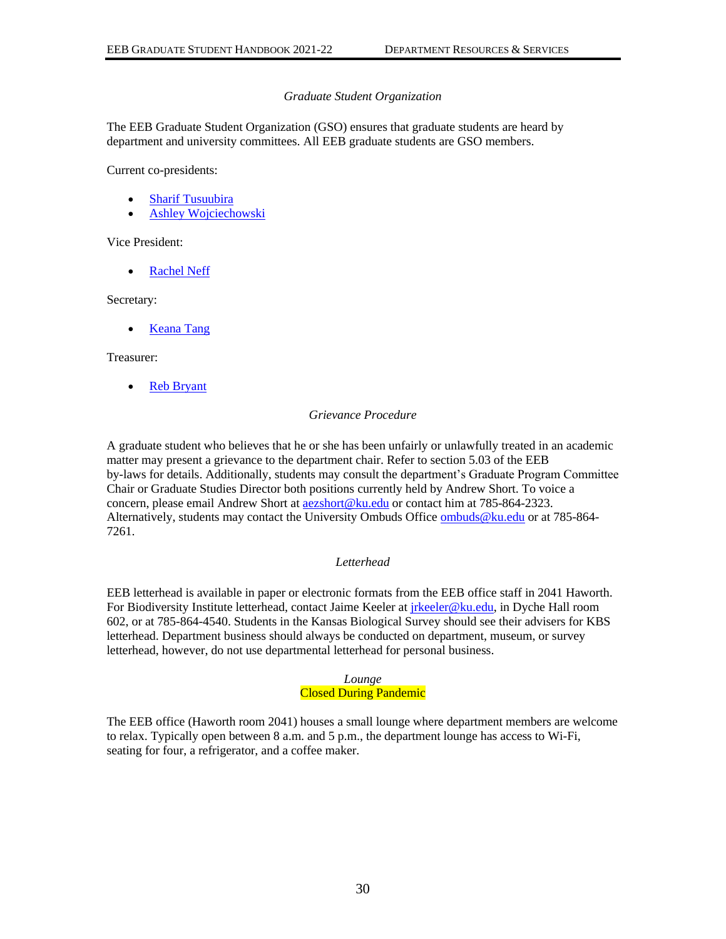#### *Graduate Student Organization*

<span id="page-32-0"></span>The EEB Graduate Student Organization (GSO) ensures that graduate students are heard by department and university committees. All EEB graduate students are GSO members.

Current co-presidents:

- [Sharif Tusuubira](mailto:tkksharif@ku.edu)
- [Ashley Wojciechowski](mailto:ashley.wojciechowski@ku.edu)

Vice President:

• [Rachel Neff](mailto:rachelneff@ku.edu)

Secretary:

• [Keana Tang](mailto:keanatang@ku.edu)

Treasurer:

• [Reb Bryant](mailto:reb.bryant@ku.edu)

#### *Grievance Procedure*

A graduate student who believes that he or she has been unfairly or unlawfully treated in an academic matter may present a grievance to the department chair. Refer to section 5.03 of the EEB by-laws for details. Additionally, students may consult the department's Graduate Program Committee Chair or Graduate Studies Director both positions currently held by Andrew Short. To voice a concern, please email Andrew Short at [aezshort@ku.edu](mailto:aezshort@ku.edu) or contact him at 785-864-2323. Alternatively, students may contact the University Ombuds Office [ombuds@ku.edu](mailto:ombuds@ku.edu) or at 785-864-7261.

#### *Letterhead*

EEB letterhead is available in paper or electronic formats from the EEB office staff in 2041 Haworth. For Biodiversity Institute letterhead, contact Jaime Keeler at *jrkeeler@ku.edu*, in Dyche Hall room 602, or at 785-864-4540. Students in the Kansas Biological Survey should see their advisers for KBS letterhead. Department business should always be conducted on department, museum, or survey letterhead, however, do not use departmental letterhead for personal business.

#### *Lounge* Closed During Pandemic

The EEB office (Haworth room 2041) houses a small lounge where department members are welcome to relax. Typically open between 8 a.m. and 5 p.m., the department lounge has access to Wi-Fi, seating for four, a refrigerator, and a coffee maker.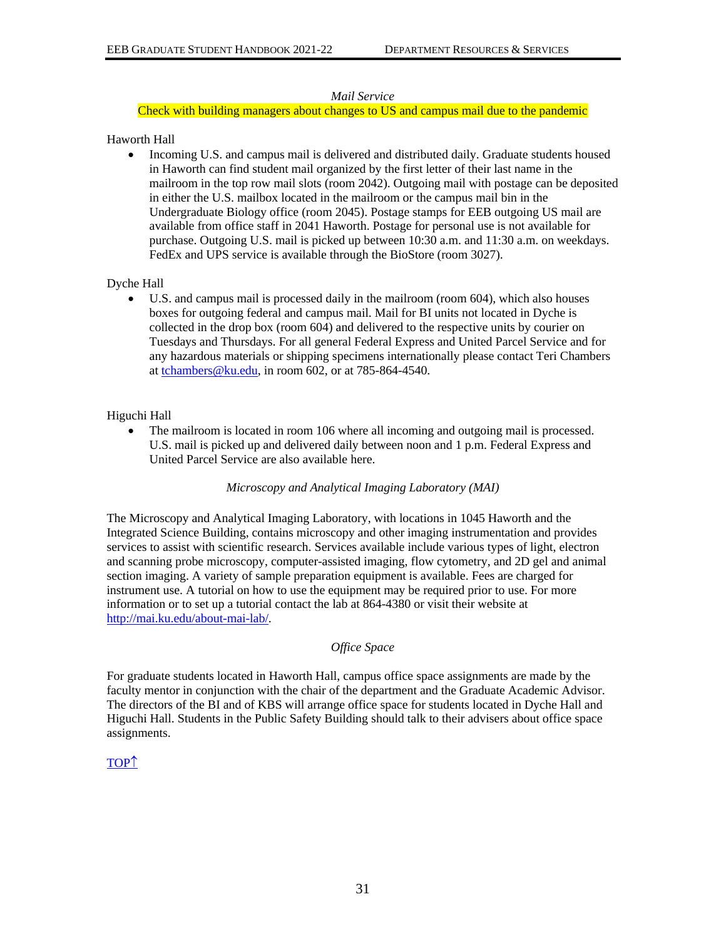### *Mail Service*

### Check with building managers about changes to US and campus mail due to the pandemic

### Haworth Hall

• Incoming U.S. and campus mail is delivered and distributed daily. Graduate students housed in Haworth can find student mail organized by the first letter of their last name in the mailroom in the top row mail slots (room 2042). Outgoing mail with postage can be deposited in either the U.S. mailbox located in the mailroom or the campus mail bin in the Undergraduate Biology office (room 2045). Postage stamps for EEB outgoing US mail are available from office staff in 2041 Haworth. Postage for personal use is not available for purchase. Outgoing U.S. mail is picked up between 10:30 a.m. and 11:30 a.m. on weekdays. FedEx and UPS service is available through the BioStore (room 3027).

# Dyche Hall

U.S. and campus mail is processed daily in the mailroom (room 604), which also houses boxes for outgoing federal and campus mail. Mail for BI units not located in Dyche is collected in the drop box (room 604) and delivered to the respective units by courier on Tuesdays and Thursdays. For all general Federal Express and United Parcel Service and for any hazardous materials or shipping specimens internationally please contact Teri Chambers at [tchambers@ku.edu,](mailto:tchambers@ku.edu) in room 602, or at 785-864-4540.

### Higuchi Hall

• The mailroom is located in room 106 where all incoming and outgoing mail is processed. U.S. mail is picked up and delivered daily between noon and 1 p.m. Federal Express and United Parcel Service are also available here.

#### *Microscopy and Analytical Imaging Laboratory (MAI)*

The Microscopy and Analytical Imaging Laboratory, with locations in 1045 Haworth and the Integrated Science Building, contains microscopy and other imaging instrumentation and provides services to assist with scientific research. Services available include various types of light, electron and scanning probe microscopy, computer-assisted imaging, flow cytometry, and 2D gel and animal section imaging. A variety of sample preparation equipment is available. Fees are charged for instrument use. A tutorial on how to use the equipment may be required prior to use. For more information or to set up a tutorial contact the lab at 864-4380 or visit their website at [http://mai.ku.edu/about-mai-lab/.](http://mai.ku.edu/about-mai-lab/)

#### *Office Space*

For graduate students located in Haworth Hall, campus office space assignments are made by the faculty mentor in conjunction with the chair of the department and the Graduate Academic Advisor. The directors of the BI and of KBS will arrange office space for students located in Dyche Hall and Higuchi Hall. Students in the Public Safety Building should talk to their advisers about office space assignments.

# [TOP](#page-0-0)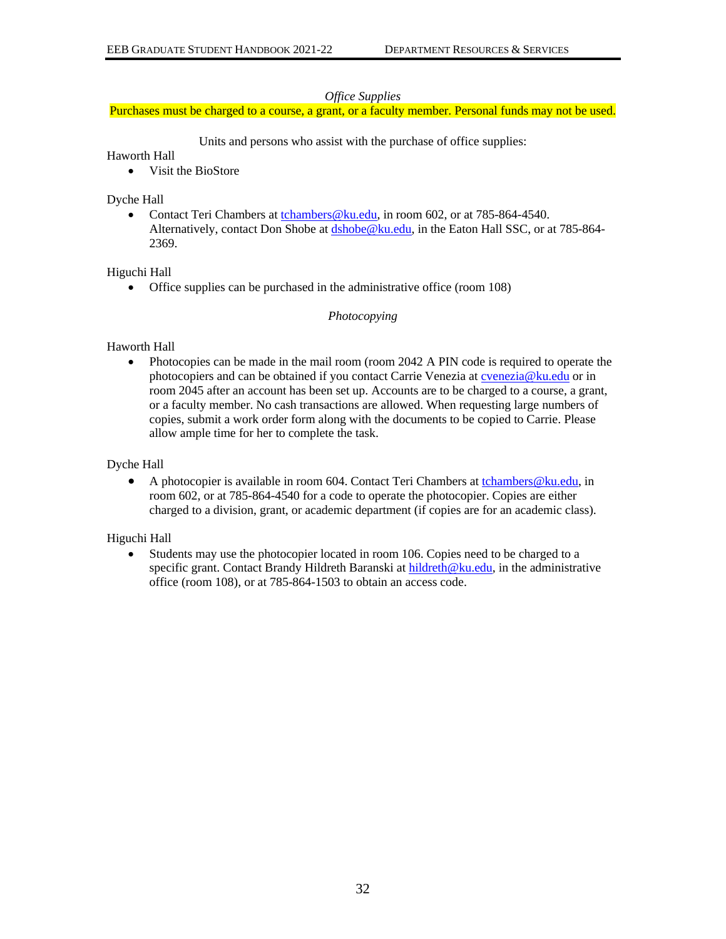#### *Office Supplies*

Purchases must be charged to a course, a grant, or a faculty member. Personal funds may not be used.

Units and persons who assist with the purchase of office supplies:

### Haworth Hall

• Visit the BioStore

### Dyche Hall

• Contact Teri Chambers at tchambers @ ku.edu, in room 602, or at 785-864-4540. Alternatively, contact Don Shobe at [dshobe@ku.edu,](mailto:dshobe@ku.edu) in the Eaton Hall SSC, or at 785-864-2369.

# Higuchi Hall

• Office supplies can be purchased in the administrative office (room 108)

### *Photocopying*

# Haworth Hall

• Photocopies can be made in the mail room (room 2042 A PIN code is required to operate the photocopiers and can be obtained if you contact Carrie Venezia at **cvenezia@ku.edu** or in room 2045 after an account has been set up. Accounts are to be charged to a course, a grant, or a faculty member. No cash transactions are allowed. When requesting large numbers of copies, submit a work order form along with the documents to be copied to Carrie. Please allow ample time for her to complete the task.

### Dyche Hall

• A photocopier is available in room 604. Contact Teri Chambers at tchambers  $@ku.edu, in$ room 602, or at 785-864-4540 for a code to operate the photocopier. Copies are either charged to a division, grant, or academic department (if copies are for an academic class).

# Higuchi Hall

• Students may use the photocopier located in room 106. Copies need to be charged to a specific grant. Contact Brandy Hildreth Baranski a[t hildreth@ku.edu,](mailto:hildreth@ku.edu) in the administrative office (room 108), or at 785-864-1503 to obtain an access code.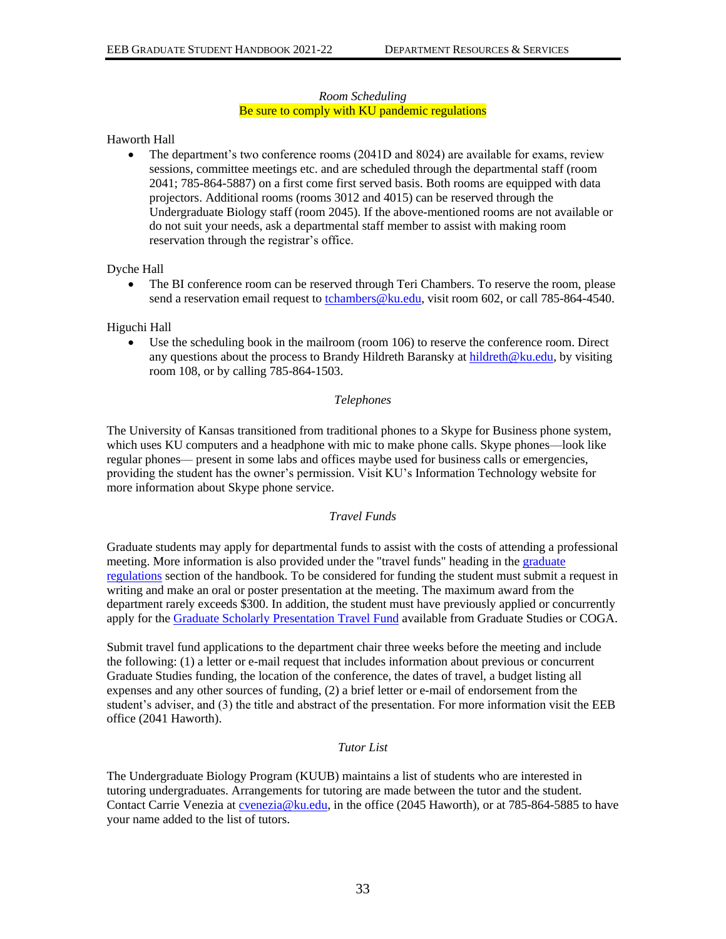#### *Room Scheduling* Be sure to comply with KU pandemic regulations

### Haworth Hall

• The department's two conference rooms (2041D and 8024) are available for exams, review sessions, committee meetings etc. and are scheduled through the departmental staff (room 2041; 785-864-5887) on a first come first served basis. Both rooms are equipped with data projectors. Additional rooms (rooms 3012 and 4015) can be reserved through the Undergraduate Biology staff (room 2045). If the above-mentioned rooms are not available or do not suit your needs, ask a departmental staff member to assist with making room reservation through the registrar's office.

Dyche Hall

• The BI conference room can be reserved through Teri Chambers. To reserve the room, please send a reservation email request to  $chambers@ku.edu, visit room 602, or call 785-864-4540.$ </u>

Higuchi Hall

• Use the scheduling book in the mailroom (room 106) to reserve the conference room. Direct any questions about the process to Brandy Hildreth Baransky at [hildreth@ku.edu,](mailto:hildreth@ku.edu) by visiting room 108, or by calling 785-864-1503.

### *Telephones*

The University of Kansas transitioned from traditional phones to a Skype for Business phone system, which uses KU computers and a headphone with mic to make phone calls. Skype phones—look like regular phones–– present in some labs and offices maybe used for business calls or emergencies, providing the student has the owner's permission. Visit KU's Information Technology website for more information about Skype phone service.

#### *Travel Funds*

Graduate students may apply for departmental funds to assist with the costs of attending a professional meeting. More information is also provided under the "travel funds" heading in the graduate [regulations](#page-8-0) section of the handbook. To be considered for funding the student must submit a request in writing and make an oral or poster presentation at the meeting. The maximum award from the department rarely exceeds \$300. In addition, the student must have previously applied or concurrently apply for the [Graduate Scholarly Presentation Travel Fund](https://coga.ku.edu/node/135) available from Graduate Studies or COGA.

Submit travel fund applications to the department chair three weeks before the meeting and include the following: (1) a letter or e-mail request that includes information about previous or concurrent Graduate Studies funding, the location of the conference, the dates of travel, a budget listing all expenses and any other sources of funding, (2) a brief letter or e-mail of endorsement from the student's adviser, and (3) the title and abstract of the presentation. For more information visit the EEB office (2041 Haworth).

#### *Tutor List*

The Undergraduate Biology Program (KUUB) maintains a list of students who are interested in tutoring undergraduates. Arrangements for tutoring are made between the tutor and the student. Contact Carrie Venezia at [cvenezia@ku.edu,](mailto:cvenezia@ku.edu) in the office (2045 Haworth), or at 785-864-5885 to have your name added to the list of tutors.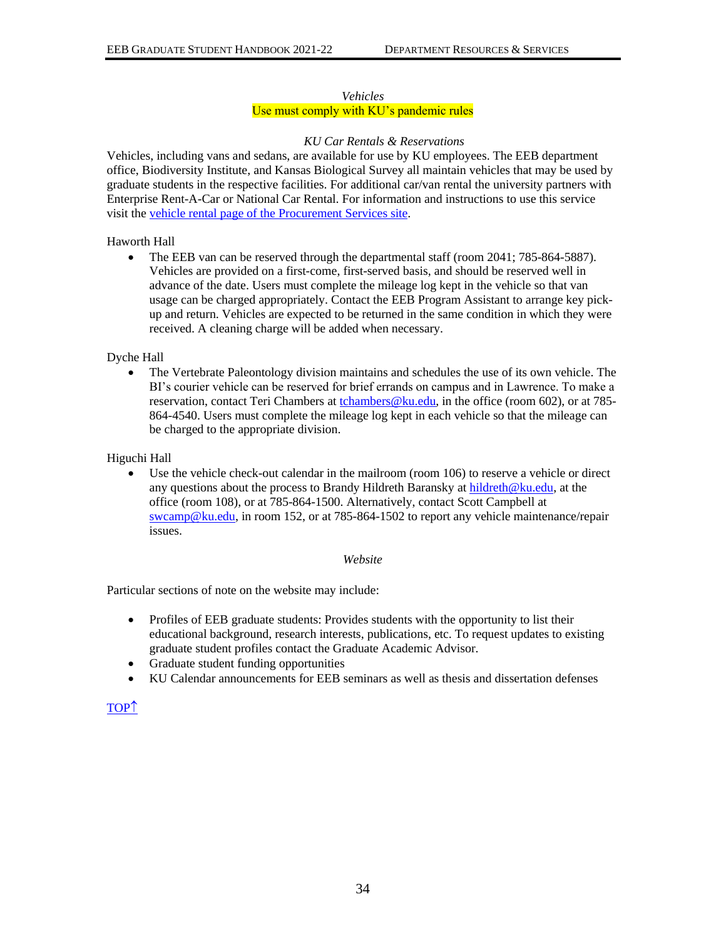#### *Vehicles*

# Use must comply with KU's pandemic rules

#### *KU Car Rentals & Reservations*

Vehicles, including vans and sedans, are available for use by KU employees. The EEB department office, Biodiversity Institute, and Kansas Biological Survey all maintain vehicles that may be used by graduate students in the respective facilities. For additional car/van rental the university partners with Enterprise Rent-A-Car or National Car Rental. For information and instructions to use this service visit the [vehicle rental page of the Procurement Services site.](https://procurement.ku.edu/car-rental-vehicle-rental)

#### Haworth Hall

• The EEB van can be reserved through the departmental staff (room 2041; 785-864-5887). Vehicles are provided on a first-come, first-served basis, and should be reserved well in advance of the date. Users must complete the mileage log kept in the vehicle so that van usage can be charged appropriately. Contact the EEB Program Assistant to arrange key pickup and return. Vehicles are expected to be returned in the same condition in which they were received. A cleaning charge will be added when necessary.

Dyche Hall

• The Vertebrate Paleontology division maintains and schedules the use of its own vehicle. The BI's courier vehicle can be reserved for brief errands on campus and in Lawrence. To make a reservation, contact Teri Chambers at [tchambers@ku.edu,](mailto:tchambers@ku.edu) in the office (room 602), or at 785-864-4540. Users must complete the mileage log kept in each vehicle so that the mileage can be charged to the appropriate division.

Higuchi Hall

• Use the vehicle check-out calendar in the mailroom (room 106) to reserve a vehicle or direct any questions about the process to Brandy Hildreth Baransky at [hildreth@ku.edu,](mailto:hildreth@ku.edu) at the office (room 108), or at 785-864-1500. Alternatively, contact Scott Campbell at [swcamp@ku.edu,](mailto:swcamp@ku.edu) in room 152, or at 785-864-1502 to report any vehicle maintenance/repair issues.

#### *Website*

Particular sections of note on the website may include:

- Profiles of EEB graduate students: Provides students with the opportunity to list their educational background, research interests, publications, etc. To request updates to existing graduate student profiles contact the Graduate Academic Advisor.
- Graduate student funding opportunities
- KU Calendar announcements for EEB seminars as well as thesis and dissertation defenses

# [TOP](#page-0-0)<sup>1</sup>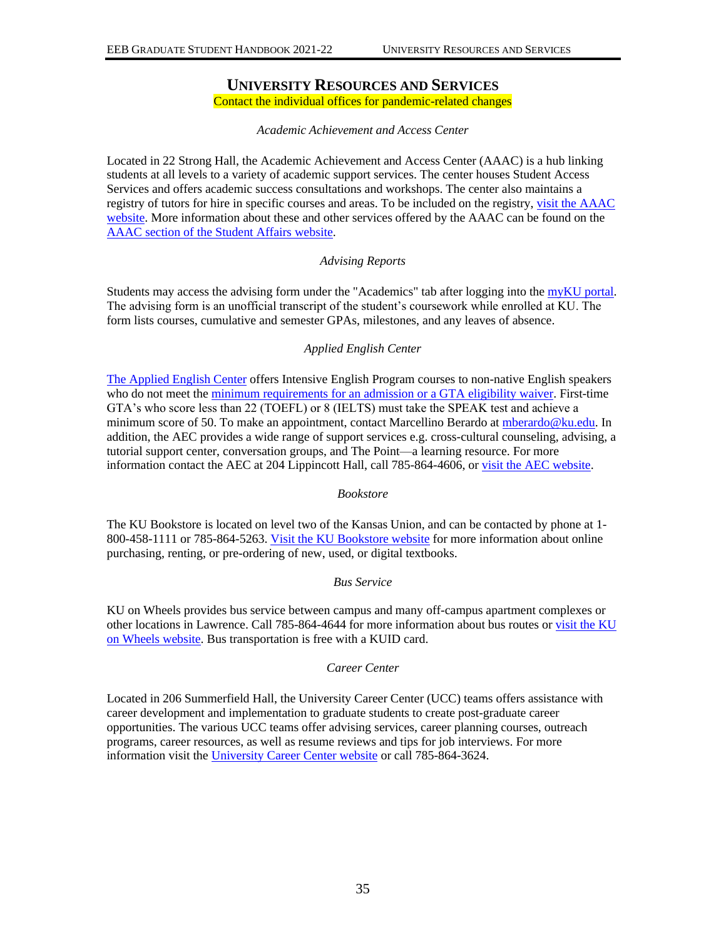# **UNIVERSITY RESOURCES AND SERVICES**

Contact the individual offices for pandemic-related changes

### *Academic Achievement and Access Center*

<span id="page-37-0"></span>Located in 22 Strong Hall, the Academic Achievement and Access Center (AAAC) is a hub linking students at all levels to a variety of academic support services. The center houses Student Access Services and offers academic success consultations and workshops. The center also maintains a registry of tutors for hire in specific courses and areas. To be included on the registry[, visit the AAAC](http://tutoring.ku.edu/become-tutor)  [website.](http://tutoring.ku.edu/become-tutor) More information about these and other services offered by the AAAC can be found on the [AAAC section of the Student Affairs website.](https://studentaffairs.ku.edu/aaac)

#### *Advising Reports*

Students may access the advising form under the "Academics" tab after logging into the [myKU portal.](https://my.ku.edu/uPortal/f/welcome/normal/render.uP) The advising form is an unofficial transcript of the student's coursework while enrolled at KU. The form lists courses, cumulative and semester GPAs, milestones, and any leaves of absence.

### *Applied English Center*

[The Applied English Center](http://aec.ku.edu/overview) offers Intensive English Program courses to non-native English speakers who do not meet the [minimum requirements for an admission or a GTA eligibility waiver.](http://graduate.ku.edu/english-proficiency-requirements) First-time GTA's who score less than 22 (TOEFL) or 8 (IELTS) must take the SPEAK test and achieve a minimum score of 50. To make an appointment, contact Marcellino Berardo a[t mberardo@ku.edu.](mailto:mberardo@ku.edu) In addition, the AEC provides a wide range of support services e.g. cross-cultural counseling, advising, a tutorial support center, conversation groups, and The Point—a learning resource. For more information contact the AEC at 204 Lippincott Hall, call 785-864-4606, or [visit the AEC website.](http://aec.ku.edu/)

#### *Bookstore*

The KU Bookstore is located on level two of the Kansas Union, and can be contacted by phone at 1- 800-458-1111 or 785-864-5263. [Visit the KU Bookstore website](http://union.ku.edu/textbooks) for more information about online purchasing, renting, or pre-ordering of new, used, or digital textbooks.

#### *Bus Service*

KU on Wheels provides bus service between campus and many off-campus apartment complexes or other locations in Lawrence. Call 785-864-4644 for more information about bus routes or visit the KU [on Wheels website.](https://transportationservices.ku.edu/bus-service) Bus transportation is free with a KUID card.

#### *Career Center*

Located in 206 Summerfield Hall, the University Career Center (UCC) teams offers assistance with career development and implementation to graduate students to create post-graduate career opportunities. The various UCC teams offer advising services, career planning courses, outreach programs, career resources, as well as resume reviews and tips for job interviews. For more information visit the [University Career Center website](https://career.ku.edu/) or call 785-864-3624.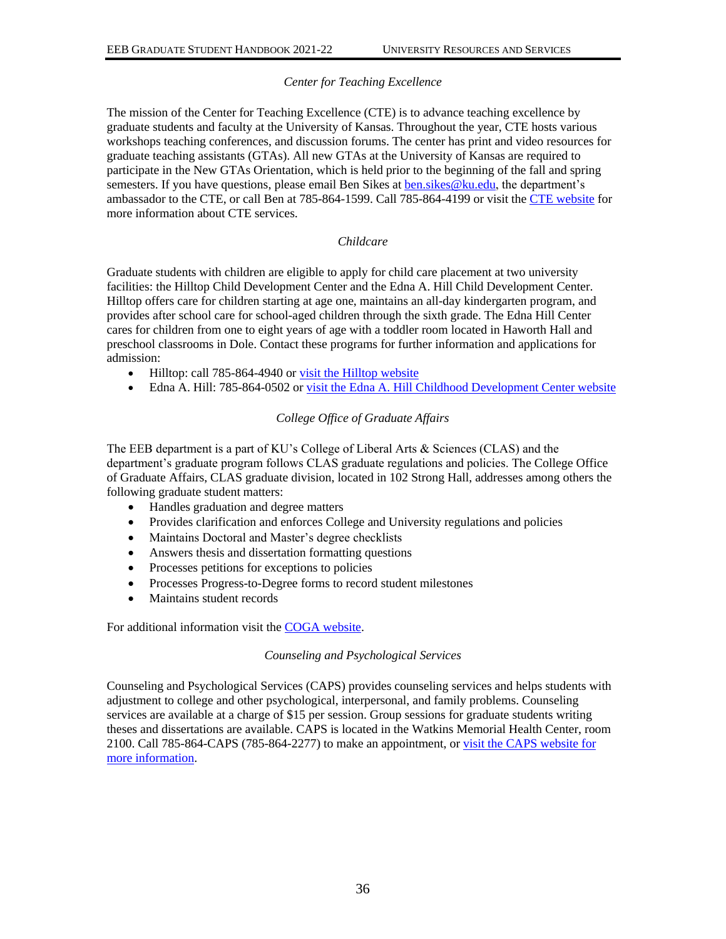# *Center for Teaching Excellence*

The mission of the Center for Teaching Excellence (CTE) is to advance teaching excellence by graduate students and faculty at the University of Kansas. Throughout the year, CTE hosts various workshops teaching conferences, and discussion forums. The center has print and video resources for graduate teaching assistants (GTAs). All new GTAs at the University of Kansas are required to participate in the New GTAs Orientation, which is held prior to the beginning of the fall and spring semesters. If you have questions, please email Ben Sikes at ben. sikes@ku.edu, the department's ambassador to the CTE, or call Ben at 785-864-1599. Call 785-864-4199 or visit the [CTE website](http://www.cte.ku.edu/) for more information about CTE services.

# *Childcare*

Graduate students with children are eligible to apply for child care placement at two university facilities: the Hilltop Child Development Center and the Edna A. Hill Child Development Center. Hilltop offers care for children starting at age one, maintains an all-day kindergarten program, and provides after school care for school-aged children through the sixth grade. The Edna Hill Center cares for children from one to eight years of age with a toddler room located in Haworth Hall and preschool classrooms in Dole. Contact these programs for further information and applications for admission:

- Hilltop: call 785-864-4940 o[r visit the Hilltop website](http://www.hilltop.ku.edu/)
- Edna A. Hill: 785-864-0502 or [visit the Edna A. Hill Childhood Development Center website](http://www.cdc.ku.edu/)

# *College Office of Graduate Affairs*

The EEB department is a part of KU's College of Liberal Arts & Sciences (CLAS) and the department's graduate program follows CLAS graduate regulations and policies. The College Office of Graduate Affairs, CLAS graduate division, located in 102 Strong Hall, addresses among others the following graduate student matters:

- Handles graduation and degree matters
- Provides clarification and enforces College and University regulations and policies
- Maintains Doctoral and Master's degree checklists
- Answers thesis and dissertation formatting questions
- Processes petitions for exceptions to policies
- Processes Progress-to-Degree forms to record student milestones
- Maintains student records

For additional information visit the [COGA website.](http://coga.ku.edu/)

#### *Counseling and Psychological Services*

Counseling and Psychological Services (CAPS) provides counseling services and helps students with adjustment to college and other psychological, interpersonal, and family problems. Counseling services are available at a charge of \$15 per session. Group sessions for graduate students writing theses and dissertations are available. CAPS is located in the Watkins Memorial Health Center, room 2100. Call 785-864-CAPS (785-864-2277) to make an appointment, o[r visit the CAPS website for](http://caps.ku.edu/) [more information.](http://caps.ku.edu/)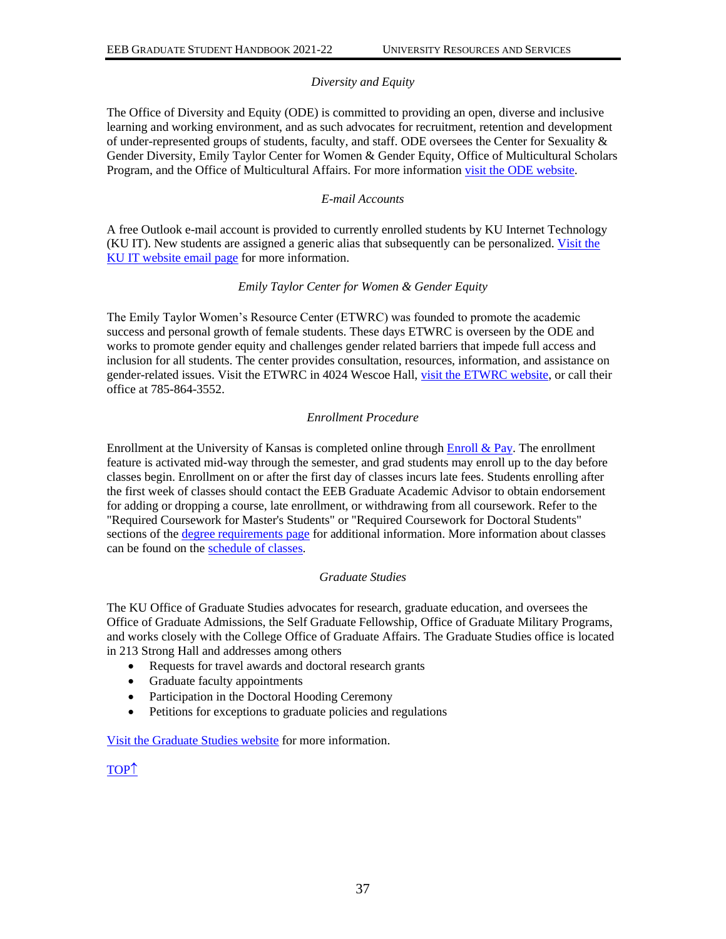### *Diversity and Equity*

The Office of Diversity and Equity (ODE) is committed to providing an open, diverse and inclusive learning and working environment, and as such advocates for recruitment, retention and development of under-represented groups of students, faculty, and staff. ODE oversees the Center for Sexuality & Gender Diversity, Emily Taylor Center for Women & Gender Equity, Office of Multicultural Scholars Program, and the Office of Multicultural Affairs. For more information [visit the ODE website.](http://diversity.ku.edu/)

### *E-mail Accounts*

A free Outlook e-mail account is provided to currently enrolled students by KU Internet Technology (KU IT). New students are assigned a generic alias that subsequently can be personalized. [Visit the](https://technology.ku.edu/email)  [KU IT website email page](https://technology.ku.edu/email) for more information.

### *Emily Taylor Center for Women & Gender Equity*

The Emily Taylor Women's Resource Center (ETWRC) was founded to promote the academic success and personal growth of female students. These days ETWRC is overseen by the ODE and works to promote gender equity and challenges gender related barriers that impede full access and inclusion for all students. The center provides consultation, resources, information, and assistance on gender-related issues. Visit the ETWRC in 4024 Wescoe Hall, [visit the ETWRC website,](http://emilytaylorcenter.ku.edu/) or call their office at 785-864-3552.

### *Enrollment Procedure*

Enrollment at the University of Kansas is completed online through  $\frac{\text{Enroll & Pay.}}{\text{Enval} \& Pay.}}$ feature is activated mid-way through the semester, and grad students may enroll up to the day before classes begin. Enrollment on or after the first day of classes incurs late fees. Students enrolling after the first week of classes should contact the EEB Graduate Academic Advisor to obtain endorsement for adding or dropping a course, late enrollment, or withdrawing from all coursework. Refer to the "Required Coursework for Master's Students" or "Required Coursework for Doctoral Students" sections of the [degree requirements page](https://kansas-my.sharepoint.com/eeb-sh-graduate-degree-requirements) for additional information. More information about classes can be found on the [schedule of classes.](https://classes.ku.edu/)

#### *Graduate Studies*

The KU Office of Graduate Studies advocates for research, graduate education, and oversees the Office of Graduate Admissions, the Self Graduate Fellowship, Office of Graduate Military Programs, and works closely with the College Office of Graduate Affairs. The Graduate Studies office is located in 213 Strong Hall and addresses among others

- Requests for travel awards and doctoral research grants
- Graduate faculty appointments
- Participation in the Doctoral Hooding Ceremony
- Petitions for exceptions to graduate policies and regulations

[Visit the Graduate Studies website](http://www.graduate.ku.edu/) for more information.

# [TOP](#page-0-0)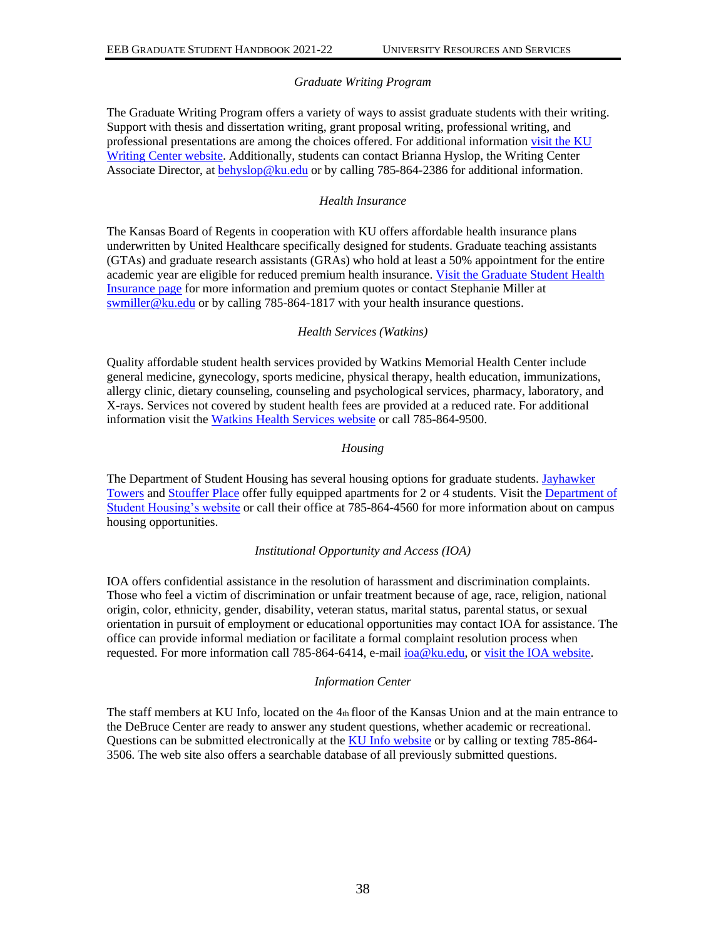### *Graduate Writing Program*

The Graduate Writing Program offers a variety of ways to assist graduate students with their writing. Support with thesis and dissertation writing, grant proposal writing, professional writing, and professional presentations are among the choices offered. For additional information visit the KU [Writing Center website.](http://writing.ku.edu/ku-graduate-students) Additionally, students can contact Brianna Hyslop, the Writing Center Associate Director, at **behyslop@ku.edu** or by calling 785-864-2386 for additional information.

#### *Health Insurance*

The Kansas Board of Regents in cooperation with KU offers affordable health insurance plans underwritten by United Healthcare specifically designed for students. Graduate teaching assistants (GTAs) and graduate research assistants (GRAs) who hold at least a 50% appointment for the entire academic year are eligible for reduced premium health insurance. Visit the Graduate Student Health [Insurance page](http://graduate.ku.edu/graduate-student-health-insurance) for more information and premium quotes or contact Stephanie Miller at [swmiller@ku.edu](mailto:swmiller@ku.edu) or by calling 785-864-1817 with your health insurance questions.

### *Health Services (Watkins)*

Quality affordable student health services provided by Watkins Memorial Health Center include general medicine, gynecology, sports medicine, physical therapy, health education, immunizations, allergy clinic, dietary counseling, counseling and psychological services, pharmacy, laboratory, and X-rays. Services not covered by student health fees are provided at a reduced rate. For additional information visit the [Watkins Health Services website](http://studenthealth.ku.edu/) or call 785-864-9500.

#### *Housing*

The Department of Student Housing has several housing options for graduate students. [Jayhawker](https://housing.ku.edu/jayhawker-towers)  [Towers](https://housing.ku.edu/jayhawker-towers) and [Stouffer Place](https://housing.ku.edu/stouffer) offer fully equipped apartments for 2 or 4 students. Visit th[e Department of](http://housing.ku.edu/)  [Student Housing's website](http://housing.ku.edu/) or call their office at 785-864-4560 for more information about on campus housing opportunities.

#### *Institutional Opportunity and Access (IOA)*

IOA offers confidential assistance in the resolution of harassment and discrimination complaints. Those who feel a victim of discrimination or unfair treatment because of age, race, religion, national origin, color, ethnicity, gender, disability, veteran status, marital status, parental status, or sexual orientation in pursuit of employment or educational opportunities may contact IOA for assistance. The office can provide informal mediation or facilitate a formal complaint resolution process when requested. For more information call 785-864-6414, e-mail [ioa@ku.edu,](mailto:ioa@ku.edu) o[r visit the IOA website.](http://ioa.ku.edu/)

# *Information Center*

The staff members at KU Info, located on the  $4<sub>th</sub>$  floor of the Kansas Union and at the main entrance to the DeBruce Center are ready to answer any student questions, whether academic or recreational. Questions can be submitted electronically at the [KU Info website](http://kuinfo.ku.edu/) or by calling or texting 785-864- 3506. The web site also offers a searchable database of all previously submitted questions.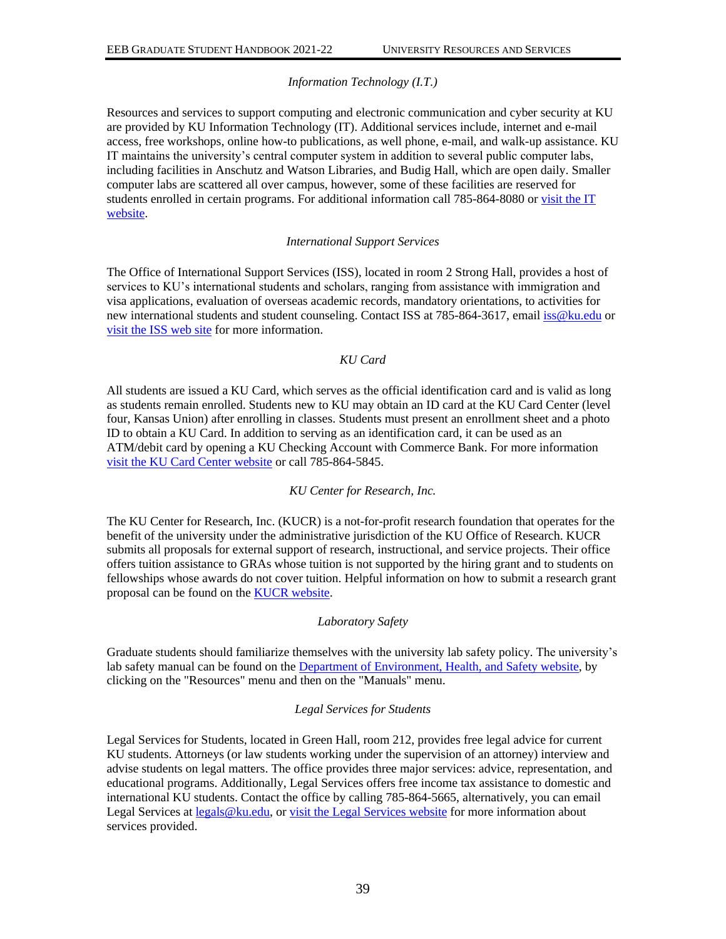# *Information Technology (I.T.)*

Resources and services to support computing and electronic communication and cyber security at KU are provided by KU Information Technology (IT). Additional services include, internet and e-mail access, free workshops, online how-to publications, as well phone, e-mail, and walk-up assistance. KU IT maintains the university's central computer system in addition to several public computer labs, including facilities in Anschutz and Watson Libraries, and Budig Hall, which are open daily. Smaller computer labs are scattered all over campus, however, some of these facilities are reserved for students enrolled in certain programs. For additional information call 785-864-8080 or [visit the IT](https://technology.ku.edu/)  [website.](https://technology.ku.edu/)

#### *International Support Services*

The Office of International Support Services (ISS), located in room 2 Strong Hall, provides a host of services to KU's international students and scholars, ranging from assistance with immigration and visa applications, evaluation of overseas academic records, mandatory orientations, to activities for new international students and student counseling. Contact ISS at 785-864-3617, email [iss@ku.edu](mailto:iss@ku.edu) or [visit the ISS web site](http://iss.ku.edu/) for more information.

### *KU Card*

All students are issued a KU Card, which serves as the official identification card and is valid as long as students remain enrolled. Students new to KU may obtain an ID card at the KU Card Center (level four, Kansas Union) after enrolling in classes. Students must present an enrollment sheet and a photo ID to obtain a KU Card. In addition to serving as an identification card, it can be used as an ATM/debit card by opening a KU Checking Account with Commerce Bank. For more information [visit the KU Card Center website](http://kucard.ku.edu/) or call 785-864-5845.

#### *KU Center for Research, Inc.*

The KU Center for Research, Inc. (KUCR) is a not-for-profit research foundation that operates for the benefit of the university under the administrative jurisdiction of the KU Office of Research. KUCR submits all proposals for external support of research, instructional, and service projects. Their office offers tuition assistance to GRAs whose tuition is not supported by the hiring grant and to students on fellowships whose awards do not cover tuition. Helpful information on how to submit a research grant proposal can be found on the **KUCR** website.

#### *Laboratory Safety*

Graduate students should familiarize themselves with the university lab safety policy. The university's lab safety manual can be found on the [Department of Environment, Health, and Safety website,](http://ehs.ku.edu/) by clicking on the "Resources" menu and then on the "Manuals" menu.

#### *Legal Services for Students*

Legal Services for Students, located in Green Hall, room 212, provides free legal advice for current KU students. Attorneys (or law students working under the supervision of an attorney) interview and advise students on legal matters. The office provides three major services: advice, representation, and educational programs. Additionally, Legal Services offers free income tax assistance to domestic and international KU students. Contact the office by calling 785-864-5665, alternatively, you can email Legal Services at [legals@ku.edu,](mailto:legals@ku.edu) or [visit the Legal Services website](https://legalservices.ku.edu/) for more information about services provided.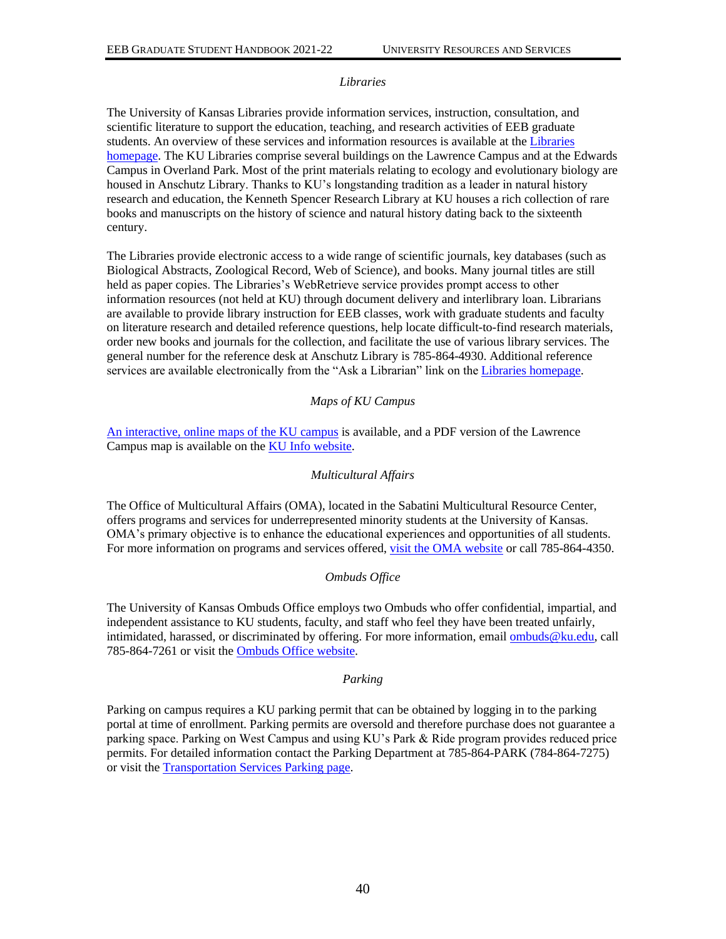#### *Libraries*

The University of Kansas Libraries provide information services, instruction, consultation, and scientific literature to support the education, teaching, and research activities of EEB graduate students. An overview of these services and information resources is available at the [Libraries](http://www.lib.ku.edu/)  [homepage.](http://www.lib.ku.edu/) The KU Libraries comprise several buildings on the Lawrence Campus and at the Edwards Campus in Overland Park. Most of the print materials relating to ecology and evolutionary biology are housed in Anschutz Library. Thanks to KU's longstanding tradition as a leader in natural history research and education, the Kenneth Spencer Research Library at KU houses a rich collection of rare books and manuscripts on the history of science and natural history dating back to the sixteenth century.

The Libraries provide electronic access to a wide range of scientific journals, key databases (such as Biological Abstracts, Zoological Record, Web of Science), and books. Many journal titles are still held as paper copies. The Libraries's WebRetrieve service provides prompt access to other information resources (not held at KU) through document delivery and interlibrary loan. Librarians are available to provide library instruction for EEB classes, work with graduate students and faculty on literature research and detailed reference questions, help locate difficult-to-find research materials, order new books and journals for the collection, and facilitate the use of various library services. The general number for the reference desk at Anschutz Library is 785-864-4930. Additional reference services are available electronically from the "Ask a Librarian" link on the [Libraries homepage.](http://www.lib.ku.edu/)

### *Maps of KU Campus*

[An interactive, online maps of the KU campus](http://places.ku.edu/map) is available, and a PDF version of the Lawrence Campus map is available on the [KU Info website.](https://kuinfo.ku.edu/category/map)

### *Multicultural Affairs*

The Office of Multicultural Affairs (OMA), located in the Sabatini Multicultural Resource Center, offers programs and services for underrepresented minority students at the University of Kansas. OMA's primary objective is to enhance the educational experiences and opportunities of all students. For more information on programs and services offered, [visit the OMA website](http://www.oma.ku.edu/) or call 785-864-4350.

# *Ombuds Office*

The University of Kansas Ombuds Office employs two Ombuds who offer confidential, impartial, and independent assistance to KU students, faculty, and staff who feel they have been treated unfairly, intimidated, harassed, or discriminated by offering. For more information, email [ombuds@ku.edu,](mailto:ombuds@ku.edu) call 785-864-7261 or visit th[e Ombuds Office website.](https://ombuds.ku.edu/)

#### *Parking*

Parking on campus requires a KU parking permit that can be obtained by logging in to the parking portal at time of enrollment. Parking permits are oversold and therefore purchase does not guarantee a parking space. Parking on West Campus and using KU's Park & Ride program provides reduced price permits. For detailed information contact the Parking Department at 785-864-PARK (784-864-7275) or visit the [Transportation Services Parking page.](https://parking.ku.edu/)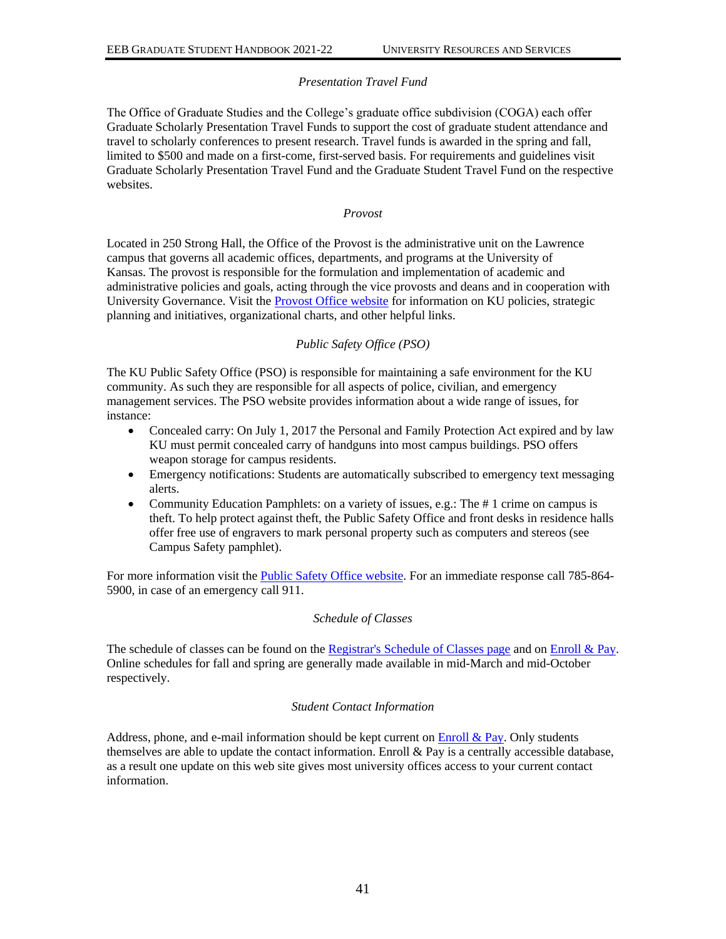### *Presentation Travel Fund*

The Office of Graduate Studies and the College's graduate office subdivision (COGA) each offer Graduate Scholarly Presentation Travel Funds to support the cost of graduate student attendance and travel to scholarly conferences to present research. Travel funds is awarded in the spring and fall, limited to \$500 and made on a first-come, first-served basis. For requirements and guidelines visit Graduate Scholarly Presentation Travel Fund and the Graduate Student Travel Fund on the respective websites.

*Provost*

Located in 250 Strong Hall, the Office of the Provost is the administrative unit on the Lawrence campus that governs all academic offices, departments, and programs at the University of Kansas. The provost is responsible for the formulation and implementation of academic and administrative policies and goals, acting through the vice provosts and deans and in cooperation with University Governance. Visit the **Provost Office website** for information on KU policies, strategic planning and initiatives, organizational charts, and other helpful links.

### *Public Safety Office (PSO)*

The KU Public Safety Office (PSO) is responsible for maintaining a safe environment for the KU community. As such they are responsible for all aspects of police, civilian, and emergency management services. The PSO website provides information about a wide range of issues, for instance:

- Concealed carry: On July 1, 2017 the Personal and Family Protection Act expired and by law KU must permit concealed carry of handguns into most campus buildings. PSO offers weapon storage for campus residents.
- Emergency notifications: Students are automatically subscribed to emergency text messaging alerts.
- Community Education Pamphlets: on a variety of issues, e.g.: The # 1 crime on campus is theft. To help protect against theft, the Public Safety Office and front desks in residence halls offer free use of engravers to mark personal property such as computers and stereos (see Campus Safety pamphlet).

For more information visit the [Public Safety Office website.](http://publicsafety.ku.edu/) For an immediate response call 785-864-5900, in case of an emergency call 911.

#### *Schedule of Classes*

The schedule of classes can be found on the [Registrar's Schedule of Classes page](https://classes.ku.edu/) and on [Enroll & Pay.](https://sa.ku.edu/) Online schedules for fall and spring are generally made available in mid-March and mid-October respectively.

#### *Student Contact Information*

Address, phone, and e-mail information should be kept current on  $\overline{\text{Enroll}} \& \overline{\text{Pay}}$ . Only students themselves are able to update the contact information. Enroll  $\&$  Pay is a centrally accessible database, as a result one update on this web site gives most university offices access to your current contact information.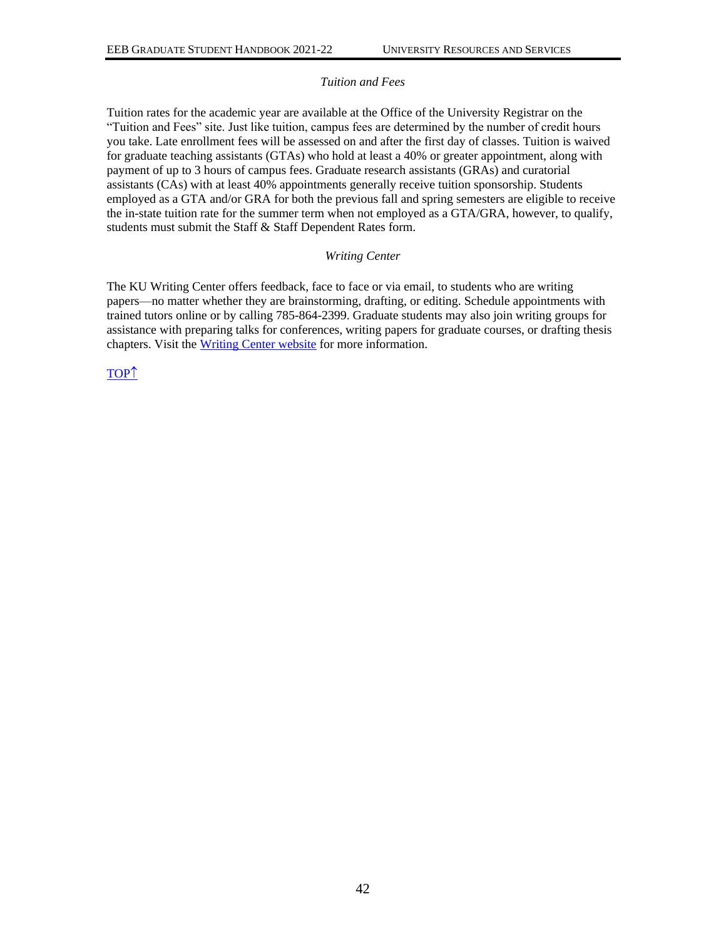#### *Tuition and Fees*

Tuition rates for the academic year are available at the Office of the University Registrar on the "Tuition and Fees" site. Just like tuition, campus fees are determined by the number of credit hours you take. Late enrollment fees will be assessed on and after the first day of classes. Tuition is waived for graduate teaching assistants (GTAs) who hold at least a 40% or greater appointment, along with payment of up to 3 hours of campus fees. Graduate research assistants (GRAs) and curatorial assistants (CAs) with at least 40% appointments generally receive tuition sponsorship. Students employed as a GTA and/or GRA for both the previous fall and spring semesters are eligible to receive the in-state tuition rate for the summer term when not employed as a GTA/GRA, however, to qualify, students must submit the Staff & Staff Dependent Rates form.

#### *Writing Center*

The KU Writing Center offers feedback, face to face or via email, to students who are writing papers—no matter whether they are brainstorming, drafting, or editing. Schedule appointments with trained tutors online or by calling 785-864-2399. Graduate students may also join writing groups for assistance with preparing talks for conferences, writing papers for graduate courses, or drafting thesis chapters. Visit th[e Writing Center website](http://writing.ku.edu/) for more information.

[TOP](#page-0-0)<sup>1</sup>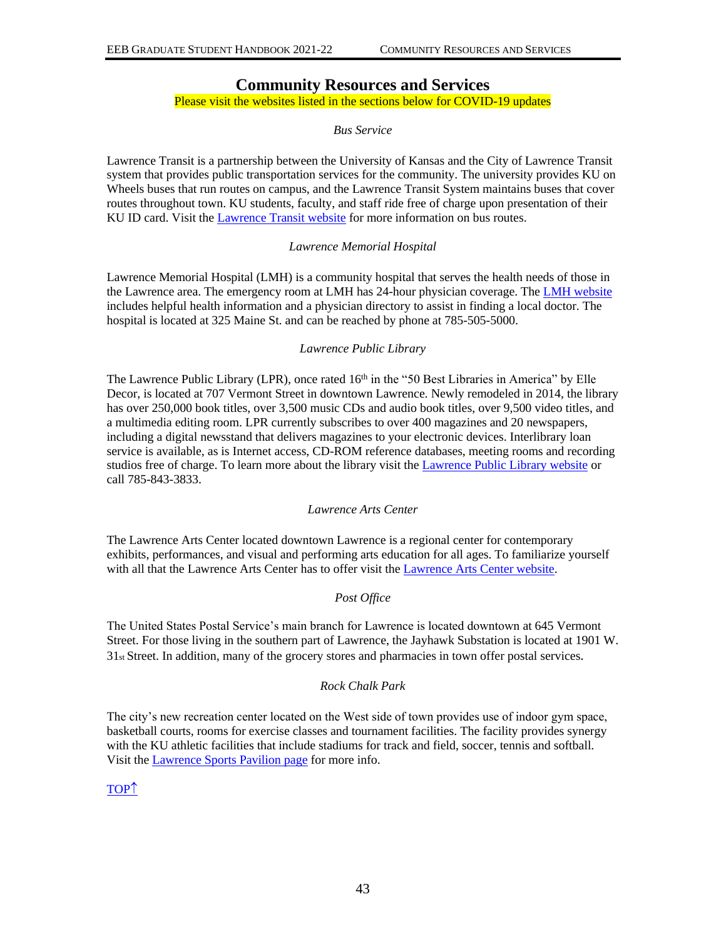# **Community Resources and Services**

# <span id="page-45-0"></span>Please visit the websites listed in the sections below for COVID-19 updates

# *Bus Service*

Lawrence Transit is a partnership between the University of Kansas and the City of Lawrence Transit system that provides public transportation services for the community. The university provides KU on Wheels buses that run routes on campus, and the Lawrence Transit System maintains buses that cover routes throughout town. KU students, faculty, and staff ride free of charge upon presentation of their KU ID card. Visit the [Lawrence Transit website](https://lawrencetransit.org/) for more information on bus routes.

### *Lawrence Memorial Hospital*

Lawrence Memorial Hospital (LMH) is a community hospital that serves the health needs of those in the Lawrence area. The emergency room at LMH has 24-hour physician coverage. The [LMH website](https://www.lmh.org/) includes helpful health information and a physician directory to assist in finding a local doctor. The hospital is located at 325 Maine St. and can be reached by phone at 785-505-5000.

### *Lawrence Public Library*

The Lawrence Public Library (LPR), once rated 16<sup>th</sup> in the "50 Best Libraries in America" by Elle Decor, is located at 707 Vermont Street in downtown Lawrence. Newly remodeled in 2014, the library has over 250,000 book titles, over 3,500 music CDs and audio book titles, over 9,500 video titles, and a multimedia editing room. LPR currently subscribes to over 400 magazines and 20 newspapers, including a digital newsstand that delivers magazines to your electronic devices. Interlibrary loan service is available, as is Internet access, CD-ROM reference databases, meeting rooms and recording studios free of charge. To learn more about the library visit the [Lawrence Public Library website](https://lplks.org/) or call 785-843-3833.

#### *Lawrence Arts Center*

The Lawrence Arts Center located downtown Lawrence is a regional center for contemporary exhibits, performances, and visual and performing arts education for all ages. To familiarize yourself with all that the Lawrence Arts Center has to offer visit the [Lawrence Arts Center website.](http://lawrenceartscenter.org/aboutus/)

# *Post Office*

The United States Postal Service's main branch for Lawrence is located downtown at 645 Vermont Street. For those living in the southern part of Lawrence, the Jayhawk Substation is located at 1901 W. 31st Street. In addition, many of the grocery stores and pharmacies in town offer postal services.

# *Rock Chalk Park*

The city's new recreation center located on the West side of town provides use of indoor gym space, basketball courts, rooms for exercise classes and tournament facilities. The facility provides synergy with the KU athletic facilities that include stadiums for track and field, soccer, tennis and softball. Visit the [Lawrence Sports Pavilion page](https://lawrenceks.org/lprd/recreationfacilities/spl/) for more info.

# [TOP](#page-0-0)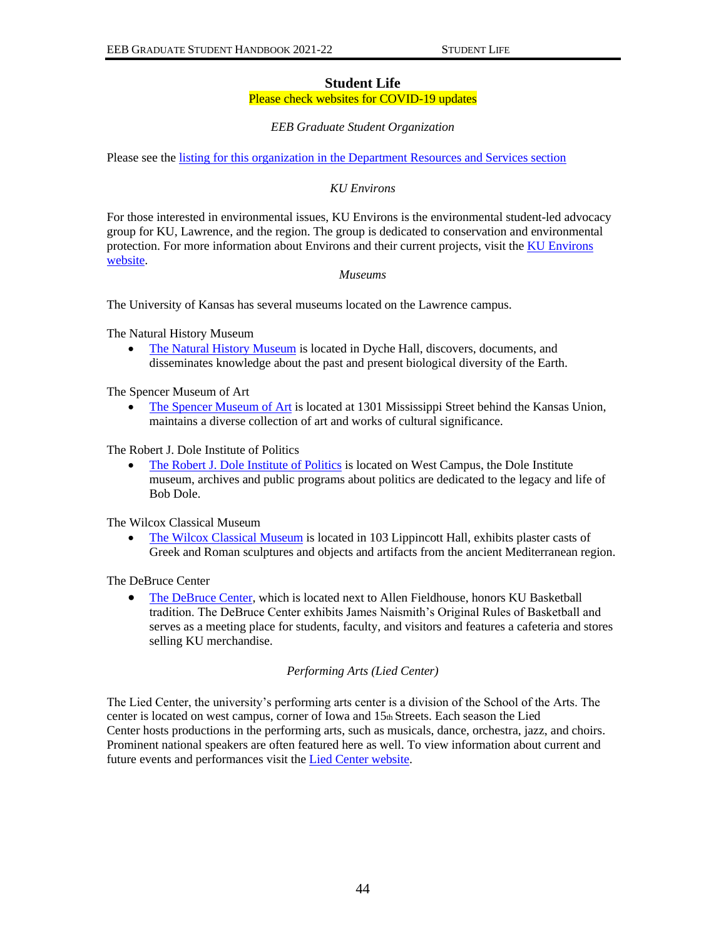### **Student Life**

#### Please check websites for COVID-19 updates

### *EEB Graduate Student Organization*

<span id="page-46-0"></span>Please see the [listing for this organization in the Department Resources and Services section](#page-32-0)

# *KU Environs*

For those interested in environmental issues, KU Environs is the environmental student-led advocacy group for KU, Lawrence, and the region. The group is dedicated to conservation and environmental protection. For more information about Environs and their current projects, visit the KU Environs [website.](https://rockchalkcentral.ku.edu/organization/environsku)

#### *Museums*

The University of Kansas has several museums located on the Lawrence campus.

The Natural History Museum

• [The Natural History Museum](https://biodiversity.ku.edu/) is located in Dyche Hall, discovers, documents, and disseminates knowledge about the past and present biological diversity of the Earth.

The Spencer Museum of Art

• [The Spencer Museum of Art](https://www.spencerart.ku.edu/) is located at 1301 Mississippi Street behind the Kansas Union, maintains a diverse collection of art and works of cultural significance.

The Robert J. Dole Institute of Politics

• [The Robert J. Dole Institute of Politics](https://doleinstitute.org/) is located on West Campus, the Dole Institute museum, archives and public programs about politics are dedicated to the legacy and life of Bob Dole.

The Wilcox Classical Museum

• [The Wilcox Classical Museum](https://wilcox.ku.edu/s/wilcox/page/home) is located in 103 Lippincott Hall, exhibits plaster casts of Greek and Roman sculptures and objects and artifacts from the ancient Mediterranean region.

The DeBruce Center

• [The DeBruce Center,](https://debrucecenter.ku.edu/) which is located next to Allen Fieldhouse, honors KU Basketball tradition. The DeBruce Center exhibits James Naismith's Original Rules of Basketball and serves as a meeting place for students, faculty, and visitors and features a cafeteria and stores selling KU merchandise.

# *Performing Arts (Lied Center)*

The Lied Center, the university's performing arts center is a division of the School of the Arts. The center is located on west campus, corner of Iowa and 15th Streets. Each season the Lied Center hosts productions in the performing arts, such as musicals, dance, orchestra, jazz, and choirs. Prominent national speakers are often featured here as well. To view information about current and future events and performances visit the [Lied Center website.](https://lied.ku.edu/)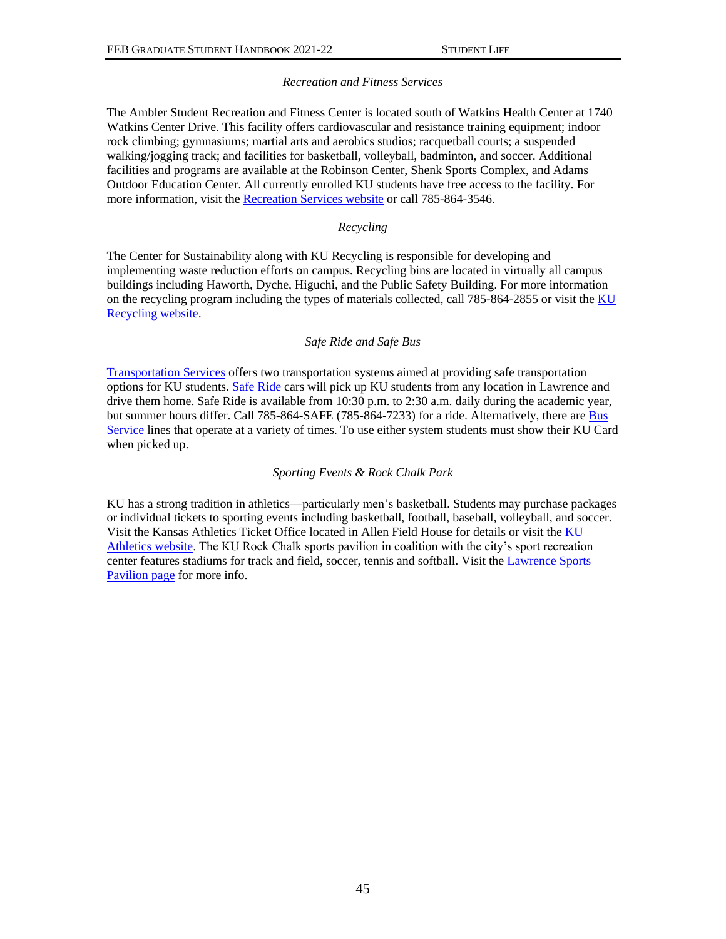# *Recreation and Fitness Services*

The Ambler Student Recreation and Fitness Center is located south of Watkins Health Center at 1740 Watkins Center Drive. This facility offers cardiovascular and resistance training equipment; indoor rock climbing; gymnasiums; martial arts and aerobics studios; racquetball courts; a suspended walking/jogging track; and facilities for basketball, volleyball, badminton, and soccer. Additional facilities and programs are available at the Robinson Center, Shenk Sports Complex, and Adams Outdoor Education Center. All currently enrolled KU students have free access to the facility. For more information, visit the [Recreation Services website](https://recreation.ku.edu/) or call 785-864-3546.

### *Recycling*

The Center for Sustainability along with KU Recycling is responsible for developing and implementing waste reduction efforts on campus. Recycling bins are located in virtually all campus buildings including Haworth, Dyche, Higuchi, and the Public Safety Building. For more information on the recycling program including the types of materials collected, call 785-864-2855 or visit the KU [Recycling website.](https://recycle.ku.edu/)

### *Safe Ride and Safe Bus*

[Transportation Services](https://transportationservices.ku.edu/) offers two transportation systems aimed at providing safe transportation options for KU students. [Safe Ride](https://transportationservices.ku.edu/saferide) cars will pick up KU students from any location in Lawrence and drive them home. Safe Ride is available from 10:30 p.m. to 2:30 a.m. daily during the academic year, but summer hours differ. Call 785-864-SAFE (785-864-7233) for a ride. Alternatively, there ar[e Bus](https://transportationservices.ku.edu/bus-service)  [Service](https://transportationservices.ku.edu/bus-service) lines that operate at a variety of times. To use either system students must show their KU Card when picked up.

# *Sporting Events & Rock Chalk Park*

KU has a strong tradition in athletics—particularly men's basketball. Students may purchase packages or individual tickets to sporting events including basketball, football, baseball, volleyball, and soccer. Visit the Kansas Athletics Ticket Office located in Allen Field House for details or visit th[e KU](http://www.kuathletics.com/)  [Athletics website.](http://www.kuathletics.com/) The KU Rock Chalk sports pavilion in coalition with the city's sport recreation center features stadiums for track and field, soccer, tennis and softball. Visit th[e Lawrence Sports](https://lawrenceks.org/lprd/recreationfacilities/spl/)  [Pavilion page](https://lawrenceks.org/lprd/recreationfacilities/spl/) for more info.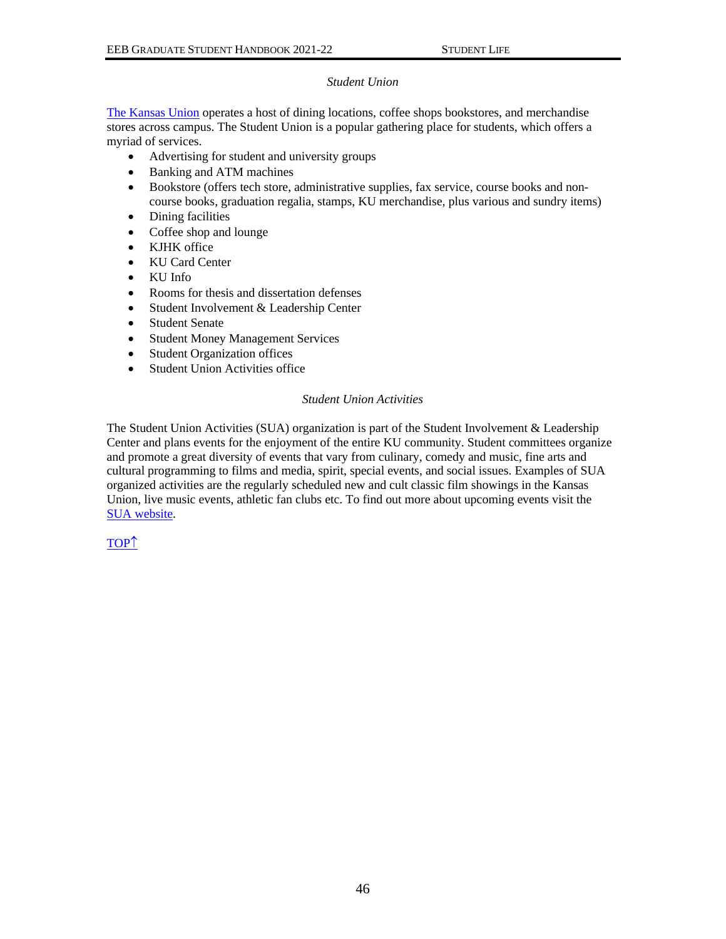### *Student Union*

[The Kansas Union](https://union.ku.edu/) operates a host of dining locations, coffee shops bookstores, and merchandise stores across campus. The Student Union is a popular gathering place for students, which offers a myriad of services.

- Advertising for student and university groups
- Banking and ATM machines
- Bookstore (offers tech store, administrative supplies, fax service, course books and noncourse books, graduation regalia, stamps, KU merchandise, plus various and sundry items)
- Dining facilities
- Coffee shop and lounge
- KJHK office
- KU Card Center
- KU Info
- Rooms for thesis and dissertation defenses
- Student Involvement & Leadership Center
- Student Senate
- Student Money Management Services
- Student Organization offices
- Student Union Activities office

#### *Student Union Activities*

The Student Union Activities (SUA) organization is part of the Student Involvement & Leadership Center and plans events for the enjoyment of the entire KU community. Student committees organize and promote a great diversity of events that vary from culinary, comedy and music, fine arts and cultural programming to films and media, spirit, special events, and social issues. Examples of SUA organized activities are the regularly scheduled new and cult classic film showings in the Kansas Union, live music events, athletic fan clubs etc. To find out more about upcoming events visit the [SUA website.](https://rockchalkcentral.ku.edu/)

[TOP](#page-0-0)<sup>1</sup>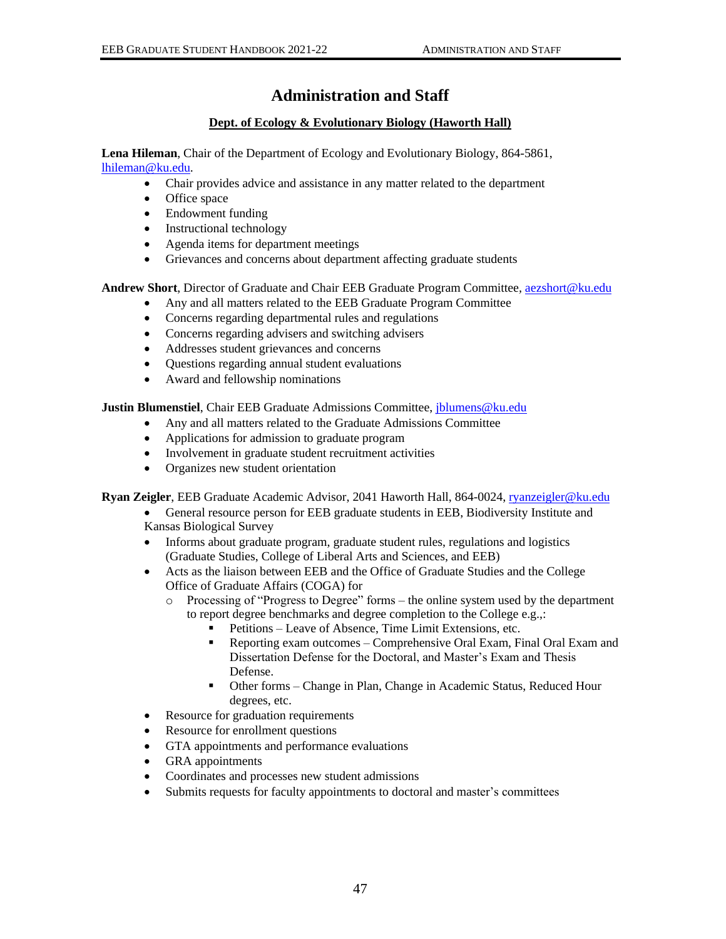# **Administration and Staff**

# **Dept. of Ecology & Evolutionary Biology (Haworth Hall)**

<span id="page-49-1"></span><span id="page-49-0"></span>**Lena Hileman**, Chair of the Department of Ecology and Evolutionary Biology, 864-5861, [lhileman@ku.edu.](mailto:lhileman@ku.edu)

- Chair provides advice and assistance in any matter related to the department
- Office space
- Endowment funding
- Instructional technology
- Agenda items for department meetings
- Grievances and concerns about department affecting graduate students

**Andrew Short**, Director of Graduate and Chair EEB Graduate Program Committee*,* [aezshort@ku.edu](mailto:aezshort@ku.edu)

- Any and all matters related to the EEB Graduate Program Committee
- Concerns regarding departmental rules and regulations
- Concerns regarding advisers and switching advisers
- Addresses student grievances and concerns
- Questions regarding annual student evaluations
- Award and fellowship nominations

**Justin Blumenstiel**, Chair EEB Graduate Admissions Committee[, jblumens@ku.edu](mailto:jblumens@ku.edu)

- Any and all matters related to the Graduate Admissions Committee
- Applications for admission to graduate program
- Involvement in graduate student recruitment activities
- Organizes new student orientation

**Ryan Zeigler**, EEB Graduate Academic Advisor, 2041 Haworth Hall, 864-0024, [ryanzeigler@ku.edu](mailto:ryanzeigler@ku.edu)

- General resource person for EEB graduate students in EEB, Biodiversity Institute and Kansas Biological Survey
- Informs about graduate program, graduate student rules, regulations and logistics (Graduate Studies, College of Liberal Arts and Sciences, and EEB)
- Acts as the liaison between EEB and the Office of Graduate Studies and the College Office of Graduate Affairs (COGA) for
	- o Processing of "Progress to Degree" forms the online system used by the department to report degree benchmarks and degree completion to the College e.g.,:
		- Petitions Leave of Absence, Time Limit Extensions, etc.
		- Reporting exam outcomes Comprehensive Oral Exam, Final Oral Exam and Dissertation Defense for the Doctoral, and Master's Exam and Thesis Defense.
		- Other forms Change in Plan, Change in Academic Status, Reduced Hour degrees, etc.
- Resource for graduation requirements
- Resource for enrollment questions
- GTA appointments and performance evaluations
- GRA appointments
- Coordinates and processes new student admissions
- Submits requests for faculty appointments to doctoral and master's committees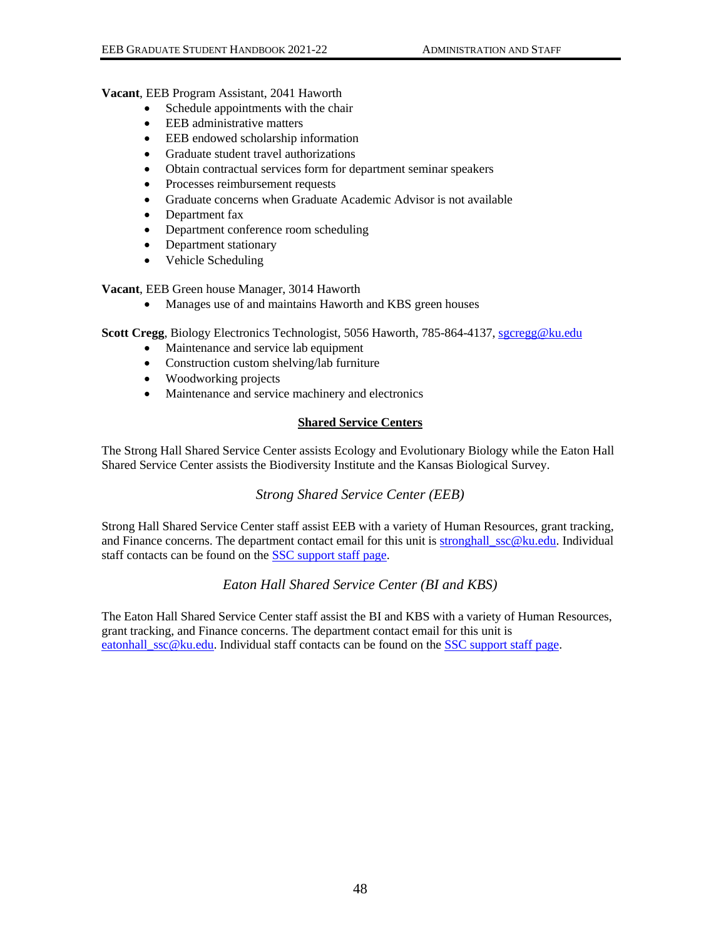### **Vacant**, EEB Program Assistant, 2041 Haworth

- Schedule appointments with the chair
- EEB administrative matters
- EEB endowed scholarship information
- Graduate student travel authorizations
- Obtain contractual services form for department seminar speakers
- Processes reimbursement requests
- Graduate concerns when Graduate Academic Advisor is not available
- Department fax
- Department conference room scheduling
- Department stationary
- Vehicle Scheduling

**Vacant**, EEB Green house Manager, 3014 Haworth

• Manages use of and maintains Haworth and KBS green houses

**Scott Cregg**, Biology Electronics Technologist, 5056 Haworth, 785-864-4137[, sgcregg@ku.edu](mailto:sgcregg@ku.edu)

- Maintenance and service lab equipment
- Construction custom shelving/lab furniture
- Woodworking projects
- Maintenance and service machinery and electronics

# **Shared Service Centers**

<span id="page-50-0"></span>The Strong Hall Shared Service Center assists Ecology and Evolutionary Biology while the Eaton Hall Shared Service Center assists the Biodiversity Institute and the Kansas Biological Survey.

# *Strong Shared Service Center (EEB)*

<span id="page-50-1"></span>Strong Hall Shared Service Center staff assist EEB with a variety of Human Resources, grant tracking, and Finance concerns. The department contact email for this unit is [stronghall\\_ssc@ku.edu.](mailto:stronghall_ssc@ku.edu) Individual staff contacts can be found on the [SSC support staff page.](http://ssc.ku.edu/support-staff)

# *Eaton Hall Shared Service Center (BI and KBS)*

<span id="page-50-2"></span>The Eaton Hall Shared Service Center staff assist the BI and KBS with a variety of Human Resources, grant tracking, and Finance concerns. The department contact email for this unit is [eatonhall\\_ssc@ku.edu.](mailto:eatonhall_ssc@ku.edu) Individual staff contacts can be found on the [SSC support staff page.](http://ssc.ku.edu/support-staff)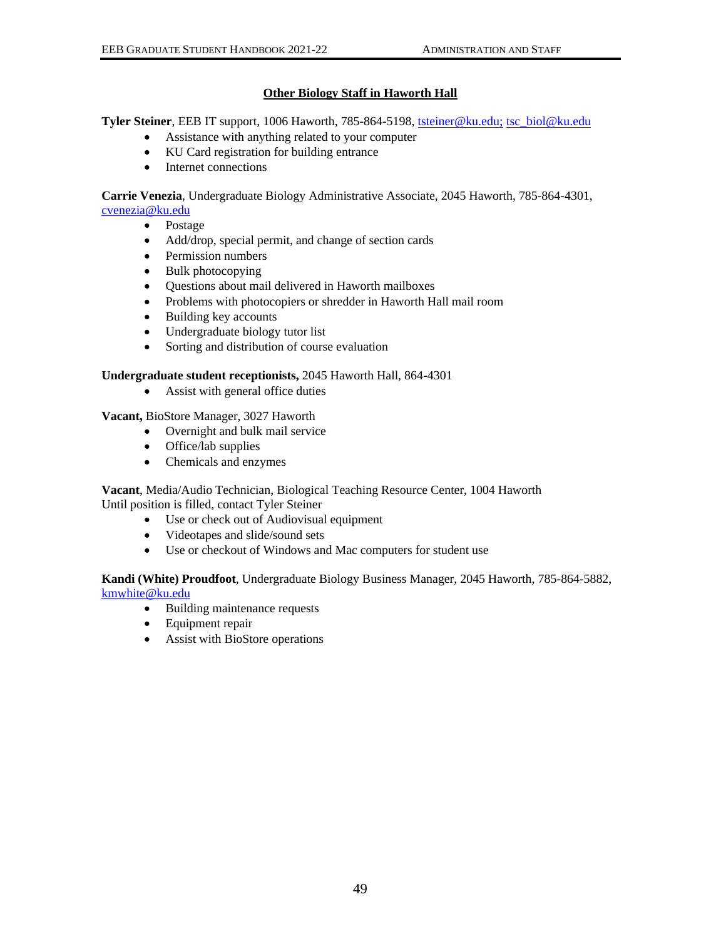# **Other Biology Staff in Haworth Hall**

<span id="page-51-0"></span>**Tyler Steiner**, EEB IT support, 1006 Haworth, 785-864-5198, [tsteiner@ku.edu;](mailto:tsteiner@ku.edu;) [tsc\\_biol@ku.edu](mailto:tsc_biol@ku.edu)

- Assistance with anything related to your computer
- KU Card registration for building entrance
- Internet connections

**Carrie Venezia**, Undergraduate Biology Administrative Associate, 2045 Haworth, 785-864-4301, [cvenezia@ku.edu](mailto:cvenezia@ku.edu)

- Postage
- Add/drop, special permit, and change of section cards
- Permission numbers
- Bulk photocopying
- Questions about mail delivered in Haworth mailboxes
- Problems with photocopiers or shredder in Haworth Hall mail room
- Building key accounts
- Undergraduate biology tutor list
- Sorting and distribution of course evaluation

# **Undergraduate student receptionists,** 2045 Haworth Hall, 864-4301

• Assist with general office duties

**Vacant,** BioStore Manager, 3027 Haworth

- Overnight and bulk mail service
- Office/lab supplies
- Chemicals and enzymes

**Vacant**, Media/Audio Technician, Biological Teaching Resource Center, 1004 Haworth Until position is filled, contact Tyler Steiner

- Use or check out of Audiovisual equipment
- Videotapes and slide/sound sets
- Use or checkout of Windows and Mac computers for student use

**Kandi (White) Proudfoot**, Undergraduate Biology Business Manager, 2045 Haworth, 785-864-5882, kmwhite@ku.edu

- Building maintenance requests
- Equipment repair
- Assist with BioStore operations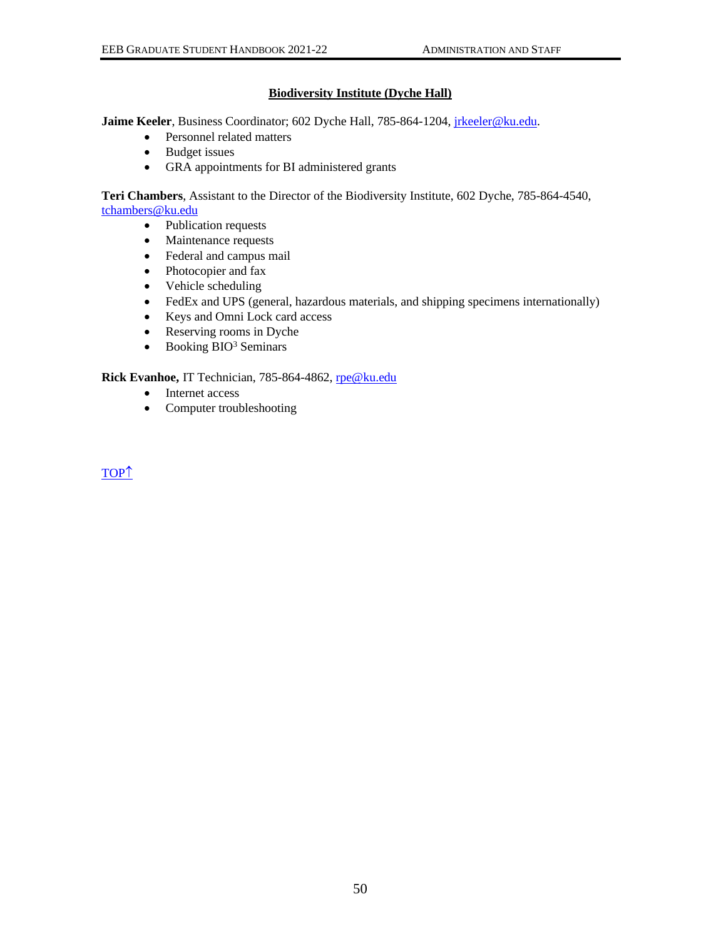# **Biodiversity Institute (Dyche Hall)**

<span id="page-52-0"></span>Jaime Keeler, Business Coordinator; 602 Dyche Hall, 785-864-1204, *jrkeeler@ku.edu.* 

- Personnel related matters
- Budget issues
- GRA appointments for BI administered grants

**Teri Chambers**, Assistant to the Director of the Biodiversity Institute, 602 Dyche, 785-864-4540, [tchambers@ku.edu](mailto:tchambers@ku.edu)

- Publication requests
- Maintenance requests
- Federal and campus mail
- Photocopier and fax
- Vehicle scheduling
- FedEx and UPS (general, hazardous materials, and shipping specimens internationally)
- Keys and Omni Lock card access
- Reserving rooms in Dyche
- Booking  $BIO<sup>3</sup>$  Seminars

**Rick Evanhoe,** IT Technician, 785-864-4862, [rpe@ku.edu](mailto:rpe@ku.edu)

- Internet access
- Computer troubleshooting

[TOP](#page-0-0)<sup>1</sup>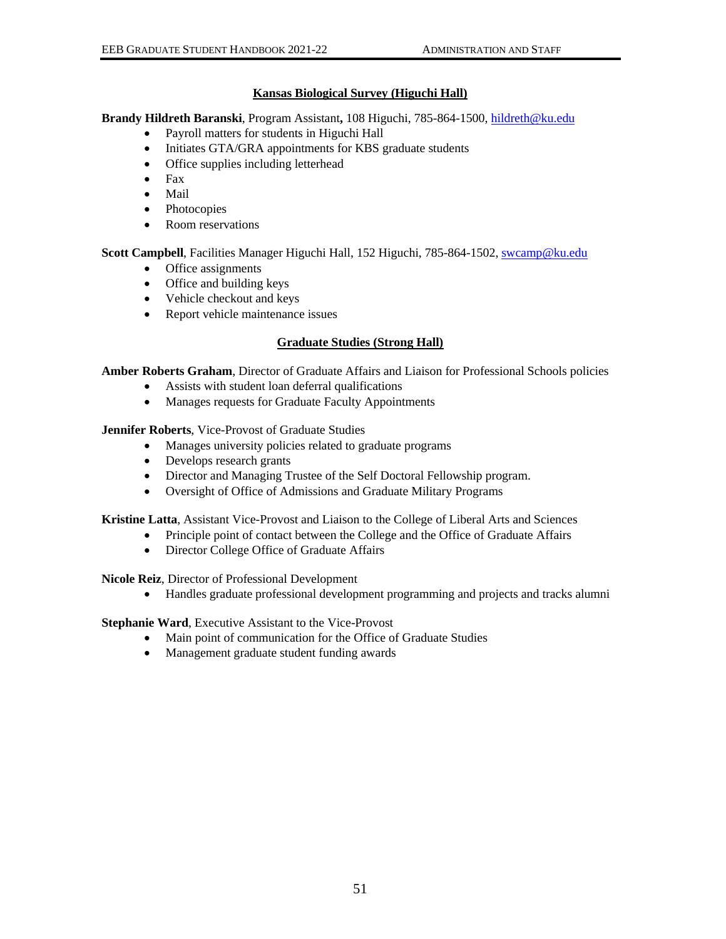# **Kansas Biological Survey (Higuchi Hall)**

<span id="page-53-0"></span>**Brandy Hildreth Baranski**, Program Assistant**,** 108 Higuchi, 785-864-1500, [hildreth@ku.edu](mailto:hildreth@ku.edu)

- Payroll matters for students in Higuchi Hall
- Initiates GTA/GRA appointments for KBS graduate students
- Office supplies including letterhead
- Fax
- Mail
- Photocopies
- Room reservations

**Scott Campbell**, Facilities Manager Higuchi Hall, 152 Higuchi, 785-864-1502, [swcamp@ku.edu](mailto:swcamp@ku.edu)

- Office assignments
- Office and building keys
- Vehicle checkout and keys
- Report vehicle maintenance issues

# **Graduate Studies (Strong Hall)**

<span id="page-53-1"></span>**Amber Roberts Graham**, Director of Graduate Affairs and Liaison for Professional Schools policies

- Assists with student loan deferral qualifications
- Manages requests for Graduate Faculty Appointments

**Jennifer Roberts**, Vice-Provost of Graduate Studies

- Manages university policies related to graduate programs
- Develops research grants
- Director and Managing Trustee of the Self Doctoral Fellowship program.
- Oversight of Office of Admissions and Graduate Military Programs

**Kristine Latta**, Assistant Vice-Provost and Liaison to the College of Liberal Arts and Sciences

- Principle point of contact between the College and the Office of Graduate Affairs
- Director College Office of Graduate Affairs

**Nicole Reiz**, Director of Professional Development

• Handles graduate professional development programming and projects and tracks alumni

**Stephanie Ward**, Executive Assistant to the Vice-Provost

- Main point of communication for the Office of Graduate Studies
- Management graduate student funding awards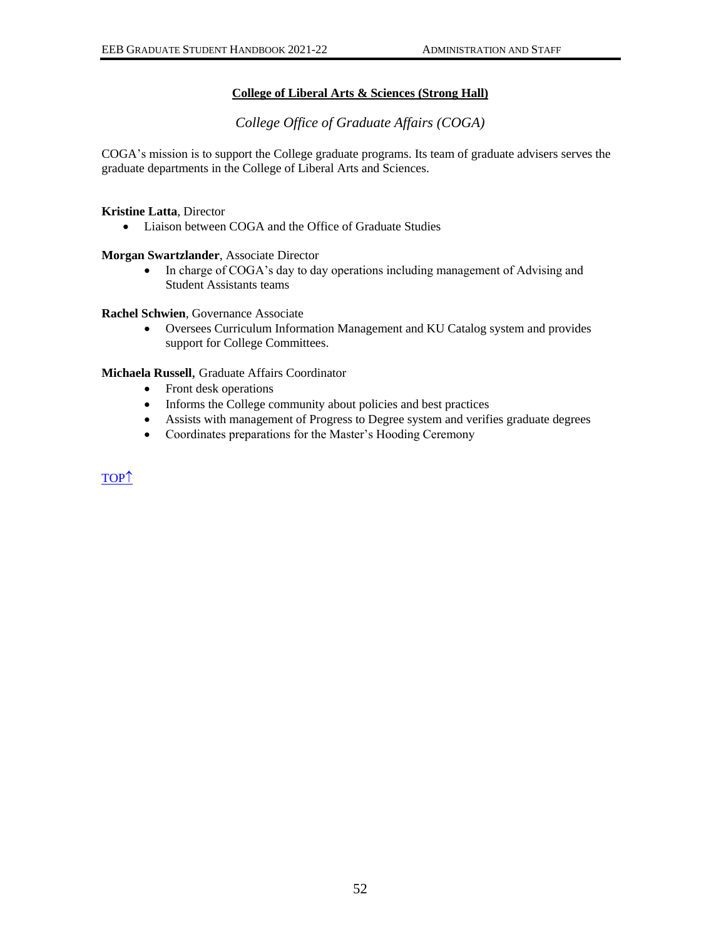# **College of Liberal Arts & Sciences (Strong Hall)**

*College Office of Graduate Affairs (COGA)*

<span id="page-54-1"></span><span id="page-54-0"></span>COGA's mission is to support the College graduate programs. Its team of graduate advisers serves the graduate departments in the College of Liberal Arts and Sciences.

**Kristine Latta**, Director

• Liaison between COGA and the Office of Graduate Studies

**Morgan Swartzlander**, Associate Director

• In charge of COGA's day to day operations including management of Advising and Student Assistants teams

**Rachel Schwien**, Governance Associate

• Oversees Curriculum Information Management and KU Catalog system and provides support for College Committees.

### **Michaela Russell**, Graduate Affairs Coordinator

- Front desk operations
- Informs the College community about policies and best practices
- Assists with management of Progress to Degree system and verifies graduate degrees
- Coordinates preparations for the Master's Hooding Ceremony

[TOP](#page-0-0)<sup>1</sup>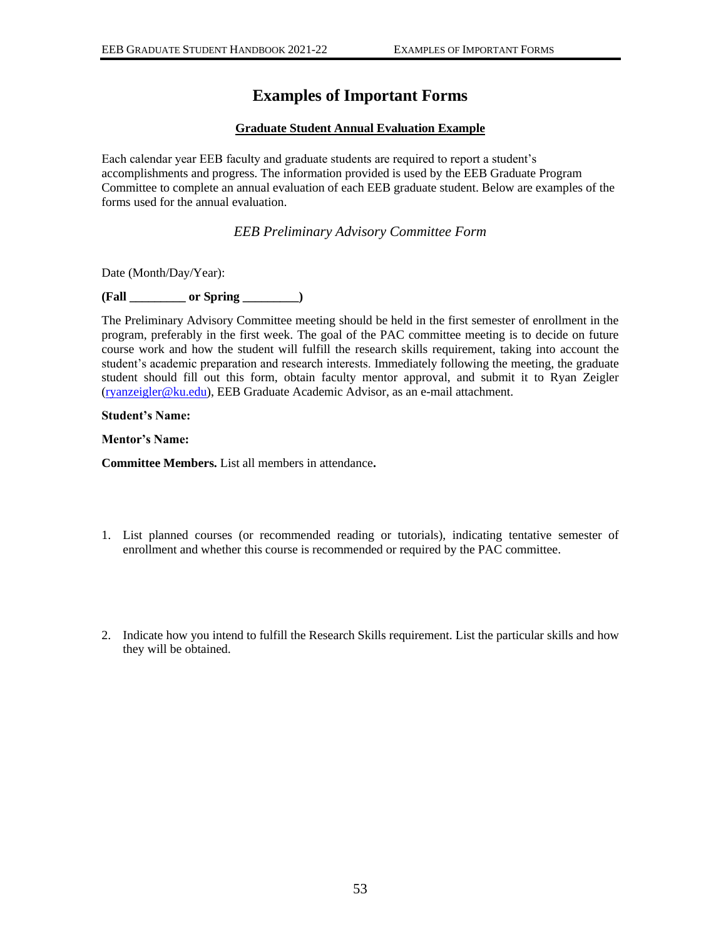# **Examples of Important Forms**

### **Graduate Student Annual Evaluation Example**

<span id="page-55-1"></span><span id="page-55-0"></span>Each calendar year EEB faculty and graduate students are required to report a student's accomplishments and progress. The information provided is used by the EEB Graduate Program Committee to complete an annual evaluation of each EEB graduate student. Below are examples of the forms used for the annual evaluation.

*EEB Preliminary Advisory Committee Form*

<span id="page-55-2"></span>Date (Month/Day/Year):

**(Fall \_\_\_\_\_\_\_\_\_ or Spring \_\_\_\_\_\_\_\_\_)**

The Preliminary Advisory Committee meeting should be held in the first semester of enrollment in the program, preferably in the first week. The goal of the PAC committee meeting is to decide on future course work and how the student will fulfill the research skills requirement, taking into account the student's academic preparation and research interests. Immediately following the meeting, the graduate student should fill out this form, obtain faculty mentor approval, and submit it to Ryan Zeigler [\(ryanzeigler@ku.edu\)](mailto:ryanzeigler@ku.edu), EEB Graduate Academic Advisor, as an e-mail attachment.

#### **Student's Name:**

**Mentor's Name:**

**Committee Members.** List all members in attendance**.**

- 1. List planned courses (or recommended reading or tutorials), indicating tentative semester of enrollment and whether this course is recommended or required by the PAC committee.
- 2. Indicate how you intend to fulfill the Research Skills requirement. List the particular skills and how they will be obtained.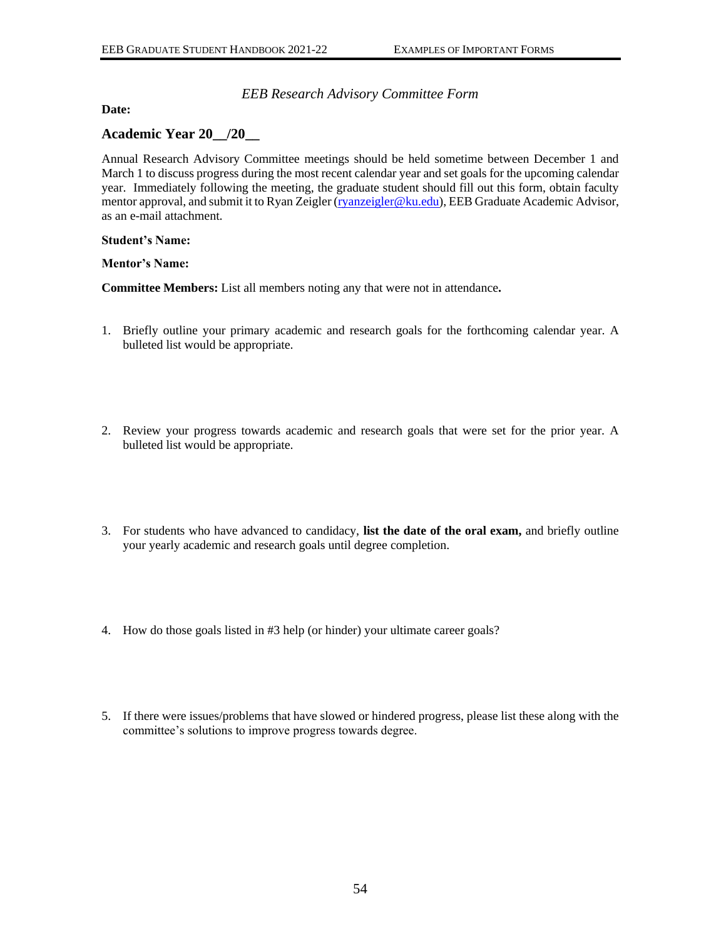# *EEB Research Advisory Committee Form*

<span id="page-56-0"></span>**Date:** 

# **Academic Year 20\_\_/20\_\_**

Annual Research Advisory Committee meetings should be held sometime between December 1 and March 1 to discuss progress during the most recent calendar year and set goals for the upcoming calendar year. Immediately following the meeting, the graduate student should fill out this form, obtain faculty mentor approval, and submit it to Ryan Zeigler [\(ryanzeigler@ku.edu\)](mailto:ryanzeigler@ku.edu), EEB Graduate Academic Advisor, as an e-mail attachment.

#### **Student's Name:**

### **Mentor's Name:**

**Committee Members:** List all members noting any that were not in attendance**.**

- 1. Briefly outline your primary academic and research goals for the forthcoming calendar year. A bulleted list would be appropriate.
- 2. Review your progress towards academic and research goals that were set for the prior year. A bulleted list would be appropriate.
- 3. For students who have advanced to candidacy, **list the date of the oral exam,** and briefly outline your yearly academic and research goals until degree completion.
- 4. How do those goals listed in #3 help (or hinder) your ultimate career goals?
- 5. If there were issues/problems that have slowed or hindered progress, please list these along with the committee's solutions to improve progress towards degree.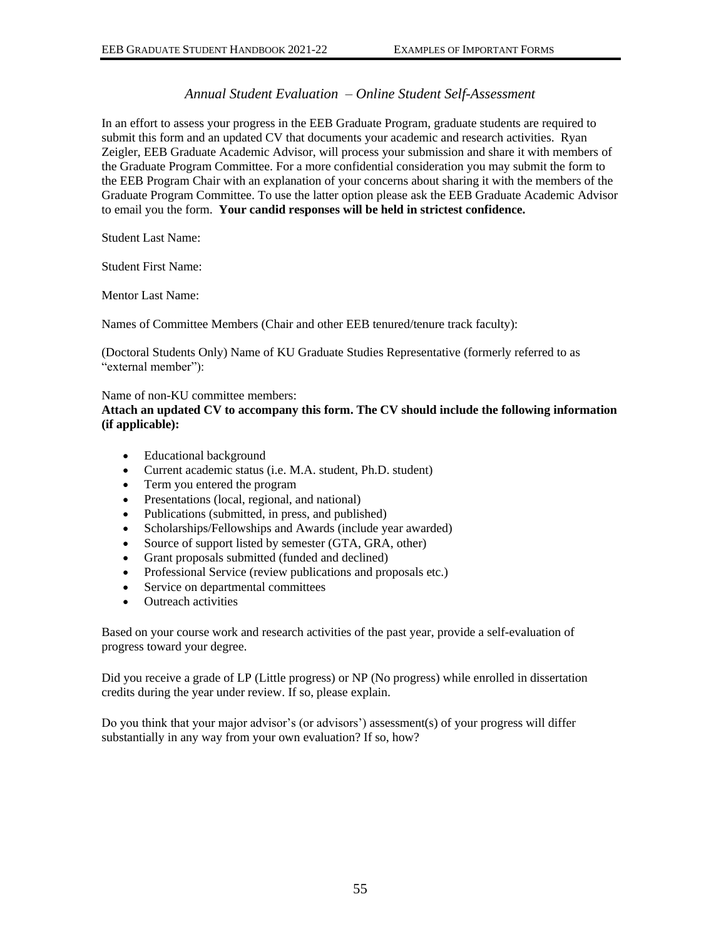# *Annual Student Evaluation – Online Student Self-Assessment*

<span id="page-57-0"></span>In an effort to assess your progress in the EEB Graduate Program, graduate students are required to submit this form and an updated CV that documents your academic and research activities. Ryan Zeigler, EEB Graduate Academic Advisor, will process your submission and share it with members of the Graduate Program Committee. For a more confidential consideration you may submit the form to the EEB Program Chair with an explanation of your concerns about sharing it with the members of the Graduate Program Committee. To use the latter option please ask the EEB Graduate Academic Advisor to email you the form. **Your candid responses will be held in strictest confidence.**

Student Last Name:

Student First Name:

Mentor Last Name:

Names of Committee Members (Chair and other EEB tenured/tenure track faculty):

(Doctoral Students Only) Name of KU Graduate Studies Representative (formerly referred to as "external member"):

### Name of non-KU committee members:

**Attach an updated CV to accompany this form. The CV should include the following information (if applicable):**

- Educational background
- Current academic status (i.e. M.A. student, Ph.D. student)
- Term you entered the program
- Presentations (local, regional, and national)
- Publications (submitted, in press, and published)
- Scholarships/Fellowships and Awards (include year awarded)
- Source of support listed by semester (GTA, GRA, other)
- Grant proposals submitted (funded and declined)
- Professional Service (review publications and proposals etc.)
- Service on departmental committees
- Outreach activities

Based on your course work and research activities of the past year, provide a self-evaluation of progress toward your degree.

Did you receive a grade of LP (Little progress) or NP (No progress) while enrolled in dissertation credits during the year under review. If so, please explain.

Do you think that your major advisor's (or advisors') assessment(s) of your progress will differ substantially in any way from your own evaluation? If so, how?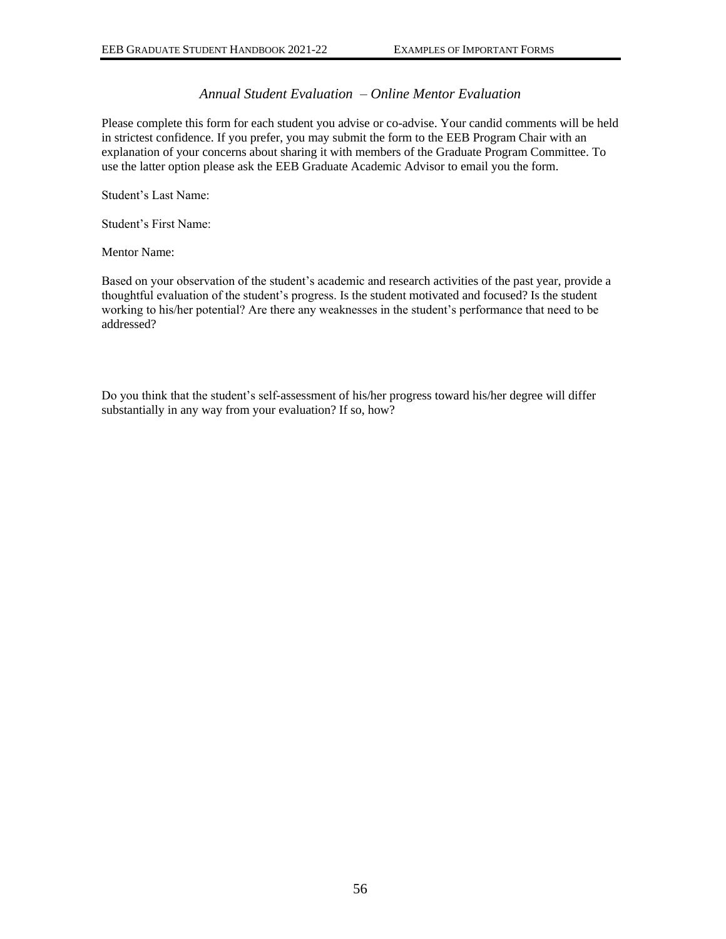# *Annual Student Evaluation – Online Mentor Evaluation*

<span id="page-58-0"></span>Please complete this form for each student you advise or co-advise. Your candid comments will be held in strictest confidence. If you prefer, you may submit the form to the EEB Program Chair with an explanation of your concerns about sharing it with members of the Graduate Program Committee. To use the latter option please ask the EEB Graduate Academic Advisor to email you the form.

Student's Last Name:

Student's First Name:

Mentor Name:

Based on your observation of the student's academic and research activities of the past year, provide a thoughtful evaluation of the student's progress. Is the student motivated and focused? Is the student working to his/her potential? Are there any weaknesses in the student's performance that need to be addressed?

Do you think that the student's self-assessment of his/her progress toward his/her degree will differ substantially in any way from your evaluation? If so, how?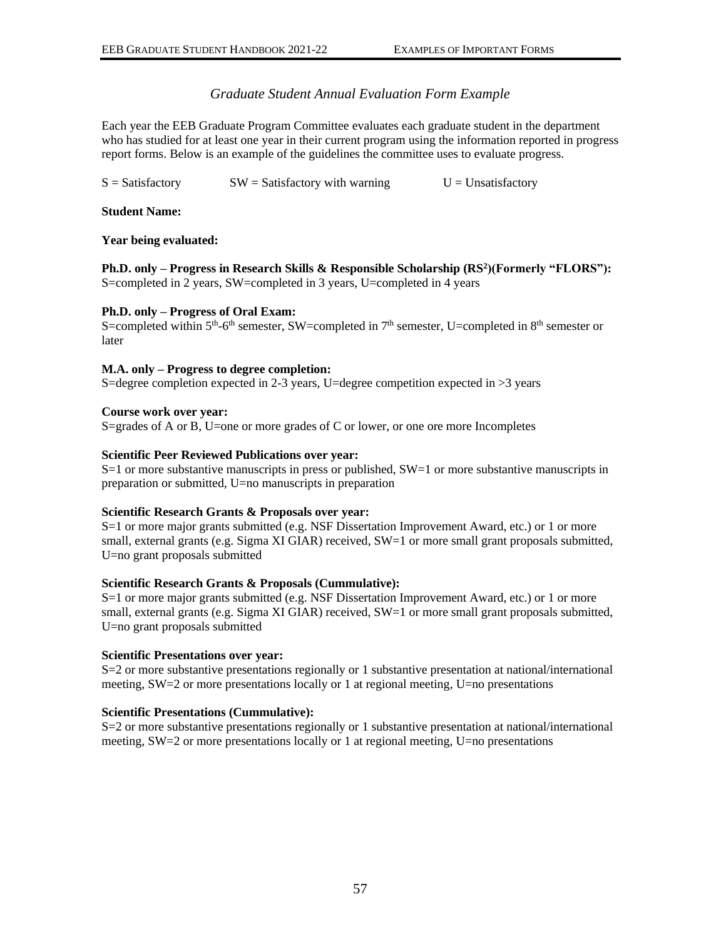# *Graduate Student Annual Evaluation Form Example*

<span id="page-59-0"></span>Each year the EEB Graduate Program Committee evaluates each graduate student in the department who has studied for at least one year in their current program using the information reported in progress report forms. Below is an example of the guidelines the committee uses to evaluate progress.

 $S = S \atop S = S \atop S = S \atop S = S \atop S = S \atop S = S \atop S = S \atop S = S \atop S = S \atop S = S \atop S = S \atop S = S \atop S = S \atop S = S \atop S = S \atop S = S \atop S = S \atop S = S \atop S = S \atop S = S \atop S = S \atop S = S \atop S = S \atop S = S \atop S = S \atop S = S \atop S = S \atop S = S \atop S = S \atop S = S \atop S = S \atop S = S \atop S = S \atop S = S \atop S = S \atop S = S \atop S = S \$ 

### **Student Name:**

#### **Year being evaluated:**

**Ph.D. only – Progress in Research Skills & Responsible Scholarship (RS<sup>2</sup> )(Formerly "FLORS"):** S=completed in 2 years, SW=completed in 3 years, U=completed in 4 years

#### **Ph.D. only – Progress of Oral Exam:**

S=completed within  $5<sup>th</sup>$ -6<sup>th</sup> semester, SW=completed in 7<sup>th</sup> semester, U=completed in 8<sup>th</sup> semester or later

### **M.A. only – Progress to degree completion:**

S=degree completion expected in 2-3 years, U=degree competition expected in >3 years

#### **Course work over year:**

S=grades of A or B, U=one or more grades of C or lower, or one ore more Incompletes

#### **Scientific Peer Reviewed Publications over year:**

S=1 or more substantive manuscripts in press or published, SW=1 or more substantive manuscripts in preparation or submitted, U=no manuscripts in preparation

#### **Scientific Research Grants & Proposals over year:**

S=1 or more major grants submitted (e.g. NSF Dissertation Improvement Award, etc.) or 1 or more small, external grants (e.g. Sigma XI GIAR) received, SW=1 or more small grant proposals submitted, U=no grant proposals submitted

#### **Scientific Research Grants & Proposals (Cummulative):**

S=1 or more major grants submitted (e.g. NSF Dissertation Improvement Award, etc.) or 1 or more small, external grants (e.g. Sigma XI GIAR) received, SW=1 or more small grant proposals submitted, U=no grant proposals submitted

#### **Scientific Presentations over year:**

S=2 or more substantive presentations regionally or 1 substantive presentation at national/international meeting, SW=2 or more presentations locally or 1 at regional meeting, U=no presentations

#### **Scientific Presentations (Cummulative):**

S=2 or more substantive presentations regionally or 1 substantive presentation at national/international meeting, SW=2 or more presentations locally or 1 at regional meeting, U=no presentations